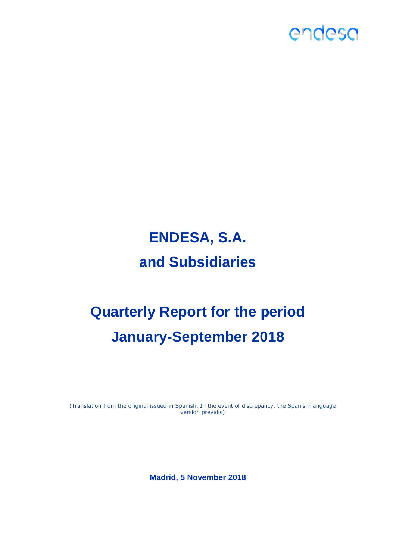

# **ENDESA, S.A. and Subsidiaries**

# **Quarterly Report for the period January-September 2018**

(Translation from the original issued in Spanish. In the event of discrepancy, the Spanish-language version prevails)

**Madrid, 5 November 2018**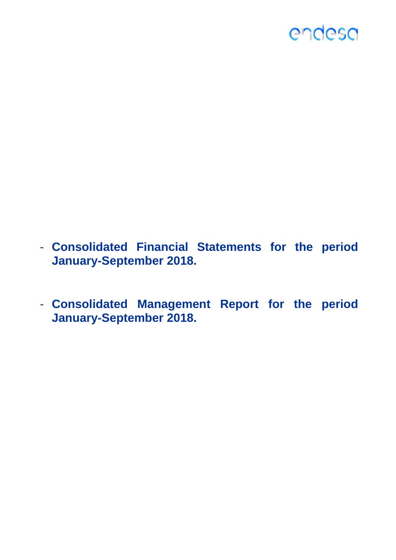

- **Consolidated Financial Statements for the period January-September 2018.**
- **Consolidated Management Report for the period January-September 2018.**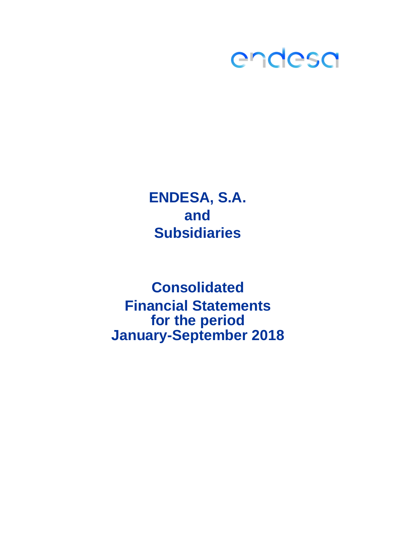

**ENDESA, S.A. and Subsidiaries**

**Consolidated for the period January-September 2018 Financial Statements**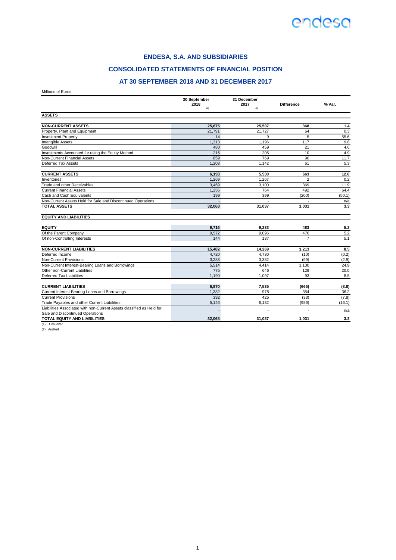#### **ENDESA, S.A. AND SUBSIDIARIES**

#### **CONSOLIDATED STATEMENTS OF FINANCIAL POSITION**

#### **AT 30 SEPTEMBER 2018 AND 31 DECEMBER 2017**

Millions of Euros

|                                                                       | 30 September<br>31 December |             |                   |        |
|-----------------------------------------------------------------------|-----------------------------|-------------|-------------------|--------|
|                                                                       | 2018<br>(1)                 | 2017<br>(2) | <b>Difference</b> | % Var. |
| <b>ASSETS</b>                                                         |                             |             |                   |        |
|                                                                       |                             |             |                   |        |
| <b>NON-CURRENT ASSETS</b>                                             | 25.875                      | 25.507      | 368               | 1.4    |
| Property, Plant and Equipment                                         | 21.791                      | 21,727      | 64                | 0.3    |
| <b>Investment Property</b>                                            | 14                          | 9           | 5                 | 55.6   |
| Intangible Assets                                                     | 1.313                       | 1.196       | 117               | 9.8    |
| Goodwill                                                              | 480                         | 459         | 21                | 4.6    |
| Investments Accounted for using the Equity Method                     | 215                         | 205         | 10                | 4.9    |
| Non-Current Financial Assets                                          | 859                         | 769         | 90                | 11.7   |
| Deferred Tax Assets                                                   | 1,203                       | 1,142       | 61                | 5.3    |
| <b>CURRENT ASSETS</b>                                                 | 6,193                       | 5,530       | 663               | 12.0   |
| Inventories                                                           | 1.269                       | 1,267       | $\overline{a}$    | 0.2    |
| Trade and other Receivables                                           | 3,469                       | 3,100       | 369               | 11.9   |
| <b>Current Financial Assets</b>                                       | 1,256                       | 764         | 492               | 64.4   |
| Cash and Cash Equivalents                                             | 199                         | 399         | (200)             | (50.1) |
| Non-Current Assets Held for Sale and Discontinued Operations          | $\overline{a}$              |             |                   | n/a    |
| <b>TOTAL ASSETS</b>                                                   | 32,068                      | 31,037      | 1.031             | 3.3    |
| <b>EQUITY AND LIABILITIES</b>                                         |                             |             |                   |        |
| <b>EQUITY</b>                                                         | 9,716                       | 9,233       | 483               | 5.2    |
| Of the Parent Company                                                 | 9,572                       | 9,096       | 476               | 5.2    |
| Of non-Controlling Interests                                          | 144                         | 137         | $\overline{7}$    | 5.1    |
| <b>NON-CURRENT LIABILITIES</b>                                        | 15,482                      | 14,269      | 1,213             | 8.5    |
| Deferred Income                                                       | 4.720                       | 4.730       | (10)              | (0.2)  |
| <b>Non-Current Provisions</b>                                         | 3.283                       | 3.382       | (99)              | (2.9)  |
| Non-Current Interest-Bearing Loans and Borrowings                     | 5,514                       | 4,414       | 1,100             | 24.9   |
| Other non-Current Liabilities                                         | 775                         | 646         | 129               | 20.0   |
| Deferred Tax Liabilities                                              | 1.190                       | 1.097       | 93                | 8.5    |
| <b>CURRENT LIABILITIES</b>                                            | 6,870                       | 7,535       | (665)             | (8.8)  |
| Current Interest-Bearing Loans and Borrowings                         | 1.332                       | 978         | 354               | 36.2   |
| <b>Current Provisions</b>                                             | 392                         | 425         | (33)              | (7.8)  |
| Trade Payables and other Current Liabilities                          | 5,146                       | 6.132       | (986)             | (16.1) |
| Liabilities Associated with non-Current Assets classified as Held for |                             |             |                   |        |
| Sale and Discontinued Operations                                      |                             |             |                   | n/a    |
| TOTAL EQUITY AND LIABILITIES                                          | 32.068                      | 31.037      | 1.031             | 3.3    |

(1) Unaudited (2) Audited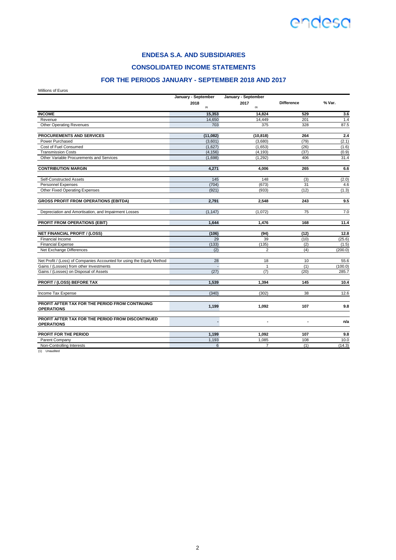

**CONSOLIDATED INCOME STATEMENTS**

### **FOR THE PERIODS JANUARY - SEPTEMBER 2018 AND 2017**

Millions of Euros

|                                                                        | January - September | January - September |                   |         |
|------------------------------------------------------------------------|---------------------|---------------------|-------------------|---------|
|                                                                        | 2018<br>(1)         | 2017<br>(1)         | <b>Difference</b> | % Var.  |
| <b>INCOME</b>                                                          | 15,353              | 14,824              | 529               | 3.6     |
| Revenue                                                                | 14,650              | 14,449              | 201               | 1.4     |
| Other Operating Revenues                                               | 703                 | 375                 | 328               | 87.5    |
| <b>PROCUREMENTS AND SERVICES</b>                                       | (11,082)            | (10, 818)           | 264               | 2.4     |
| Power Purchased                                                        | (3,601)             | (3,680)             | (79)              | (2.1)   |
| Cost of Fuel Consumed                                                  | (1,627)             | (1,653)             | (26)              | (1.6)   |
| <b>Transmission Costs</b>                                              | (4, 156)            | (4, 193)            | (37)              | (0.9)   |
| Other Variable Procurements and Services                               | (1,698)             | (1,292)             | 406               | 31.4    |
| <b>CONTRIBUTION MARGIN</b>                                             | 4.271               | 4.006               | 265               | 6.6     |
| Self-Constructed Assets                                                | 145                 | 148                 | (3)               | (2.0)   |
| <b>Personnel Expenses</b>                                              | (704)               | (673)               | 31                | 4.6     |
| Other Fixed Operating Expenses                                         | (921)               | (933)               | (12)              | (1.3)   |
| <b>GROSS PROFIT FROM OPERATIONS (EBITDA)</b>                           | 2.791               | 2.548               | 243               | 9.5     |
| Depreciation and Amortisation, and Impairment Losses                   | (1, 147)            | (1,072)             | 75                | 7.0     |
| PROFIT FROM OPERATIONS (EBIT)                                          | 1.644               | 1.476               | 168               | 11.4    |
| <b>NET FINANCIAL PROFIT / (LOSS)</b>                                   | (106)               | (94)                | (12)              | 12.8    |
| <b>Financial Income</b>                                                | 29                  | 39                  | (10)              | (25.6)  |
| <b>Financial Expense</b>                                               | (133)               | (135)               | (2)               | (1.5)   |
| Net Exchange Differences                                               | (2)                 | 2                   | (4)               | (200.0) |
| Net Profit / (Loss) of Companies Accounted for using the Equity Method | 28                  | 18                  | 10                | 55.6    |
| Gains / (Losses) from other Investments                                | $\Box$              | $\mathbf{1}$        | (1)               | (100.0) |
| Gains / (Losses) on Disposal of Assets                                 | (27)                | (7)                 | (20)              | 285.7   |
| <b>PROFIT / (LOSS) BEFORE TAX</b>                                      | 1.539               | 1.394               | 145               | 10.4    |
| Income Tax Expense                                                     | (340)               | (302)               | 38                | 12.6    |
| PROFIT AFTER TAX FOR THE PERIOD FROM CONTINUING<br><b>OPERATIONS</b>   | 1,199               | 1,092               | 107               | 9.8     |
|                                                                        |                     |                     |                   |         |
| PROFIT AFTER TAX FOR THE PERIOD FROM DISCONTINUED<br><b>OPERATIONS</b> |                     | ٠                   | ٠                 | n/a     |
| PROFIT FOR THE PERIOD                                                  | 1,199               | 1,092               | 107               | 9.8     |
| Parent Company                                                         | 1,193               | 1,085               | 108               | 10.0    |
| Non-Controlling Interests                                              | 6                   | $\overline{7}$      | (1)               | (14.3)  |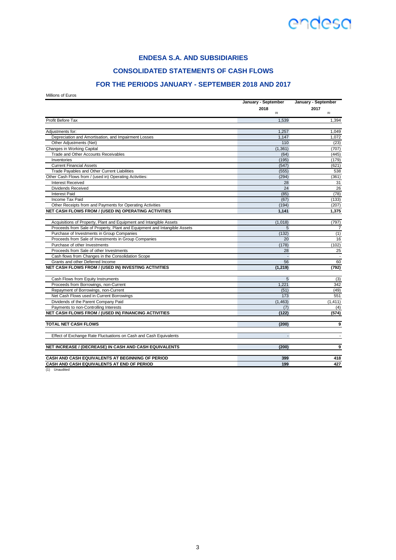### **ENDESA S.A. AND SUBSIDIARIES**

### **CONSOLIDATED STATEMENTS OF CASH FLOWS**

### **FOR THE PERIODS JANUARY - SEPTEMBER 2018 AND 2017**

Millions of Euros

|                                                                           | January - September | January - September |  |
|---------------------------------------------------------------------------|---------------------|---------------------|--|
|                                                                           | 2018                | 2017                |  |
|                                                                           | (1)                 | (1)                 |  |
| Profit Before Tax                                                         | 1,539               | 1,394               |  |
| Adjustments for:                                                          | 1,257               | 1,049               |  |
| Depreciation and Amortisation, and Impairment Losses                      | 1.147               | 1,072               |  |
| Other Adjustments (Net)                                                   | 110                 | (23)                |  |
| Changes in Working Capital                                                | (1, 361)            | (707)               |  |
| Trade and Other Accounts Receivables                                      | (64)                | (445)               |  |
| Inventories                                                               | (195)               | (179)               |  |
| <b>Current Financial Assets</b>                                           | (547)               | (621)               |  |
| Trade Payables and Other Current Liabilities                              | (555)               | 538                 |  |
| Other Cash Flows from / (used in) Operating Activities:                   | (294)               | (361)               |  |
| <b>Interest Received</b>                                                  | 28                  | 31                  |  |
| <b>Dividends Received</b>                                                 | 24                  | 26                  |  |
| <b>Interest Paid</b>                                                      | (85)                | (78)                |  |
| Income Tax Paid                                                           | (67)                | (133)               |  |
| Other Receipts from and Payments for Operating Activities                 | (194)               | (207)               |  |
| NET CASH FLOWS FROM / (USED IN) OPERATING ACTIVITIES                      | 1,141               | 1,375               |  |
| Acquisitions of Property, Plant and Equipment and Intangible Assets       | (1,018)             | (797)               |  |
| Proceeds from Sale of Property, Plant and Equipment and Intangible Assets | 5                   | 7                   |  |
| Purchase of Investments in Group Companies                                | (132)               | (1)                 |  |
| Proceeds from Sale of Investments in Group Companies                      | 20                  | 16                  |  |
| Purchase of other Investments                                             | (178)               | (102)               |  |
| Proceeds from Sale of other Investments                                   | 28                  | 25                  |  |
| Cash flows from Changes in the Consolidation Scope                        |                     |                     |  |
| Grants and other Deferred Income                                          | 56                  | 60                  |  |
| NET CASH FLOWS FROM / (USED IN) INVESTING ACTIVITIES                      | (1, 219)            | (792)               |  |
|                                                                           |                     |                     |  |
| Cash Flows from Equity Instruments                                        | 5<br>1,221          | (3)<br>342          |  |
| Proceeds from Borrowings, non-Current                                     |                     |                     |  |
| Repayment of Borrowings, non-Current                                      | (51)                | (49)                |  |
| Net Cash Flows used in Current Borrowings                                 | 173                 | 551                 |  |
| Dividends of the Parent Company Paid                                      | (1, 463)            | (1, 411)            |  |
| Payments to non-Controlling Interests                                     | (7)                 | (4)                 |  |
| NET CASH FLOWS FROM / (USED IN) FINANCING ACTIVITIES                      | (122)               | (574)               |  |
| <b>TOTAL NET CASH FLOWS</b>                                               | (200)               | 9                   |  |
| Effect of Exchange Rate Fluctuations on Cash and Cash Equivalents         | $\overline{a}$      |                     |  |
| NET INCREASE / (DECREASE) IN CASH AND CASH EQUIVALENTS                    | (200)               | 9                   |  |
| CASH AND CASH EQUIVALENTS AT BEGINNING OF PERIOD                          | 399                 | 418                 |  |
| CASH AND CASH EQUIVALENTS AT END OF PERIOD                                | 199                 | 427                 |  |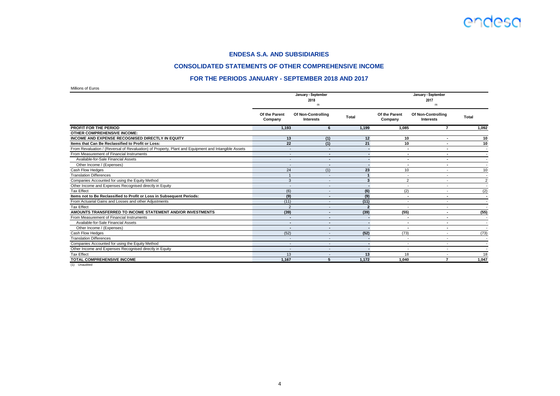

#### **CONSOLIDATED STATEMENTS OF OTHER COMPREHENSIVE INCOME**

#### **FOR THE PERIODS JANUARY - SEPTEMBER 2018 AND 2017**

Millions of Euros

|                                                                                                     | January - September<br>2018<br>(1) |                                        |                | January - September<br>2017<br>(1) |                                        |                |  |
|-----------------------------------------------------------------------------------------------------|------------------------------------|----------------------------------------|----------------|------------------------------------|----------------------------------------|----------------|--|
|                                                                                                     | Of the Parent<br>Company           | Of Non-Controlling<br><b>Interests</b> | <b>Total</b>   | Of the Parent<br>Company           | Of Non-Controlling<br><b>Interests</b> | Total          |  |
| <b>PROFIT FOR THE PERIOD</b>                                                                        | 1,193                              | 6                                      | 1,199          | 1.085                              | 7                                      | 1,092          |  |
| <b>OTHER COMPREHENSIVE INCOME:</b>                                                                  |                                    |                                        |                |                                    |                                        |                |  |
| <b>INCOME AND EXPENSE RECOGNISED DIRECTLY IN EQUITY</b>                                             | 13                                 | (1)                                    | 12             | 10                                 | $\overline{\phantom{a}}$               | 10             |  |
| Items that Can Be Reclassified to Profit or Loss:                                                   | 22                                 | (1)                                    | 21             | 10                                 |                                        | 10             |  |
| From Revaluation / (Reversal of Revaluation) of Property, Plant and Equipment and Intangible Assets |                                    | $\overline{\phantom{a}}$               |                | $\sim$                             |                                        |                |  |
| From Measurement of Financial Instruments                                                           | -                                  | $\overline{\phantom{a}}$               |                |                                    | $\overline{\phantom{a}}$               |                |  |
| Available-for-Sale Financial Assets                                                                 |                                    | $\overline{\phantom{a}}$               |                | $\blacksquare$                     |                                        |                |  |
| Other Income / (Expenses)                                                                           |                                    | -                                      |                | $\overline{\phantom{a}}$           | $\overline{\phantom{a}}$               |                |  |
| Cash Flow Hedges                                                                                    | 24                                 | (1)                                    | 23             | 10                                 |                                        | 10             |  |
| <b>Translation Differences</b>                                                                      |                                    | $\overline{\phantom{a}}$               |                | $\overline{\phantom{a}}$           | $\overline{\phantom{a}}$               |                |  |
| Companies Accounted for using the Equity Method                                                     | 3                                  |                                        | 3              | $\overline{2}$                     |                                        | $\overline{2}$ |  |
| Other Income and Expenses Recognised directly in Equity                                             | $\overline{\phantom{a}}$           | $\overline{\phantom{a}}$               |                | $\overline{\phantom{a}}$           | $\overline{\phantom{a}}$               |                |  |
| <b>Tax Effect</b>                                                                                   | (6)                                |                                        | (6)            | (2)                                |                                        | (2)            |  |
| Items not to Be Reclassified to Profit or Loss in Subsequent Periods:                               | (9)                                | $\overline{\phantom{a}}$               | (9)            | $\sim$                             | $\blacksquare$                         |                |  |
| From Actuarial Gains and Losses and other Adjustments                                               | (11)                               |                                        | (11)           | $\overline{\phantom{a}}$           |                                        |                |  |
| <b>Tax Effect</b>                                                                                   | $\overline{2}$                     | $\overline{\phantom{a}}$               | $\overline{2}$ | $\overline{\phantom{a}}$           | $\overline{\phantom{a}}$               |                |  |
| AMOUNTS TRANSFERRED TO INCOME STATEMENT AND/OR INVESTMENTS                                          | (39)                               | $\overline{\phantom{a}}$               | (39)           | (55)                               | $\overline{\phantom{a}}$               | (55)           |  |
| From Measurement of Financial Instruments                                                           |                                    |                                        |                | $\overline{\phantom{a}}$           |                                        |                |  |
| Available-for-Sale Financial Assets                                                                 |                                    | ×                                      |                |                                    | $\blacksquare$                         |                |  |
| Other Income / (Expenses)                                                                           |                                    |                                        |                |                                    |                                        |                |  |
| Cash Flow Hedges                                                                                    | (52)                               |                                        | (52)           | (73)                               | $\overline{\phantom{a}}$               | (73)           |  |
| <b>Translation Differences</b>                                                                      | $\sim$                             |                                        |                | $\overline{\phantom{a}}$           |                                        |                |  |
| Companies Accounted for using the Equity Method                                                     | $\overline{\phantom{a}}$           |                                        |                | $\overline{\phantom{a}}$           | $\overline{\phantom{a}}$               |                |  |
| Other Income and Expenses Recognised directly in Equity                                             |                                    |                                        |                |                                    |                                        |                |  |
| <b>Tax Effect</b>                                                                                   | 13                                 |                                        | 13             | 18                                 | $\overline{\phantom{a}}$               | 18             |  |
| TOTAL COMPREHENSIVE INCOME                                                                          | 1,167                              | 5                                      | 1,172          | 1.040                              | $\overline{ }$                         | 1,047          |  |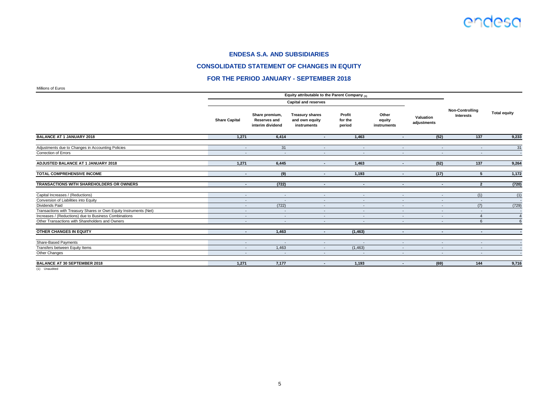#### **CONSOLIDATED STATEMENT OF CHANGES IN EQUITY**

#### **FOR THE PERIOD JANUARY - SEPTEMBER 2018**

Millions of Euros

|                                                                                                          | Equity attributable to the Parent Company (1)        |                                                           |                                                         |                                    |                                    |                          |                                     |                     |
|----------------------------------------------------------------------------------------------------------|------------------------------------------------------|-----------------------------------------------------------|---------------------------------------------------------|------------------------------------|------------------------------------|--------------------------|-------------------------------------|---------------------|
|                                                                                                          | <b>Capital and reserves</b>                          |                                                           |                                                         |                                    |                                    |                          |                                     |                     |
|                                                                                                          | <b>Share Capital</b>                                 | Share premium,<br><b>Reserves and</b><br>interim dividend | <b>Treasury shares</b><br>and own equity<br>instruments | Profit<br>for the<br>period        | Other<br>equity<br>instruments     | Valuation<br>adjustments | <b>Non-Controlling</b><br>Interests | <b>Total equity</b> |
| <b>BALANCE AT 1 JANUARY 2018</b>                                                                         | 1,271                                                | 6,414                                                     | $\blacksquare$                                          | 1,463                              | $\blacksquare$                     | (52)                     | $\overline{137}$                    | 9,233               |
| Adjustments due to Changes in Accounting Policies<br>Correction of Errors                                | $\sim$<br>$\overline{\phantom{a}}$                   | 31<br>$\overline{\phantom{a}}$                            | $\sim$<br>$\overline{\phantom{a}}$                      | $\sim$<br>$\overline{\phantom{a}}$ | $\sim$<br>$\overline{\phantom{a}}$ | $\sim$                   | $\sim$<br>$\overline{\phantom{a}}$  | 31<br>$\sim$        |
| ADJUSTED BALANCE AT 1 JANUARY 2018                                                                       | 1,271                                                | 6,445                                                     | $\overline{\phantom{a}}$                                | 1,463                              | $\blacksquare$                     | (52)                     | 137                                 | 9,264               |
| <b>TOTAL COMPREHENSIVE INCOME</b>                                                                        | $\blacksquare$                                       | (9)                                                       | $\sim$                                                  | 1,193                              | $\sim$                             | (17)                     | 5                                   | 1,172               |
| TRANSACTIONS WITH SHAREHOLDERS OR OWNERS                                                                 | $\sim$                                               | (722)                                                     | $\sim$                                                  | $\sim$                             | $\sim$                             | $\sim$                   | $\overline{2}$                      | (720)               |
| Capital Increases / (Reductions)                                                                         | $\overline{\phantom{a}}$                             | $\overline{\phantom{a}}$                                  | $\sim$                                                  | $\sim$                             | $\sim$                             | $\sim$                   | (1)                                 | (1)                 |
| Conversion of Liabilities into Equity                                                                    | $\overline{\phantom{a}}$                             | $\overline{\phantom{a}}$                                  | $\overline{\phantom{a}}$                                | $\overline{\phantom{a}}$           | $\overline{\phantom{0}}$           | $\sim$                   | $\sim$                              |                     |
| Dividends Paid                                                                                           | $\overline{\phantom{a}}$                             | (722)                                                     | $\sim$                                                  | $\overline{a}$                     | $\sim$                             | $\overline{a}$           | (7)                                 | (729)               |
| Transactions with Treasury Shares or Own Equity Instruments (Net)                                        | $\overline{\phantom{a}}$                             | $\overline{\phantom{a}}$                                  | $\overline{\phantom{a}}$                                | $\sim$                             | $\sim$                             | $\sim$                   | $\sim$                              |                     |
| Increases / (Reductions) due to Business Combinations<br>Other Transactions with Shareholders and Owners | $\overline{\phantom{a}}$<br>$\overline{\phantom{a}}$ | $\overline{\phantom{a}}$<br>$\sim$                        | $\overline{\phantom{a}}$<br>$\sim$                      | $\overline{\phantom{a}}$<br>$\sim$ | $\sim$                             | $\sim$                   | 4<br>6                              |                     |
| OTHER CHANGES IN EQUITY                                                                                  | $\sim$                                               | 1,463                                                     | $\sim$                                                  | (1, 463)                           | $\overline{\phantom{a}}$           | $\sim$                   | $\sim$                              |                     |
| Share-Based Payments                                                                                     | $\overline{\phantom{a}}$                             | $\overline{\phantom{a}}$                                  | $\sim$                                                  | $\overline{\phantom{a}}$           | $\sim$                             | $\sim$                   | $\sim$                              |                     |
| Transfers between Equity Items                                                                           | $\overline{\phantom{a}}$                             | 1,463                                                     | $\sim$                                                  | (1, 463)                           | $\sim$                             | $\sim$                   | $\overline{\phantom{a}}$            |                     |
| Other Changes                                                                                            | $\overline{\phantom{a}}$                             |                                                           | $\overline{\phantom{a}}$                                |                                    | $\overline{\phantom{a}}$           |                          | $\blacksquare$                      |                     |
| <b>BALANCE AT 30 SEPTEMBER 2018</b>                                                                      | 1,271                                                | 7,177                                                     | $\overline{\phantom{a}}$                                | 1,193                              | $\blacksquare$                     | (69)                     | 144                                 | 9,716               |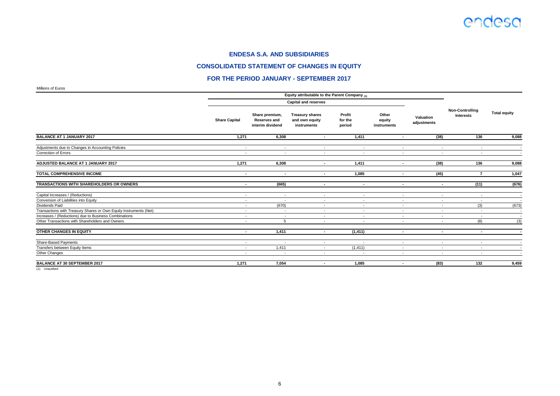#### **CONSOLIDATED STATEMENT OF CHANGES IN EQUITY**

#### **FOR THE PERIOD JANUARY - SEPTEMBER 2017**

Millions of Euros

|                                                                                  | Equity attributable to the Parent Company (1) |                                                           |                                                         |                             |                                |                                    |                                                      |                          |
|----------------------------------------------------------------------------------|-----------------------------------------------|-----------------------------------------------------------|---------------------------------------------------------|-----------------------------|--------------------------------|------------------------------------|------------------------------------------------------|--------------------------|
|                                                                                  |                                               |                                                           | <b>Capital and reserves</b>                             |                             |                                |                                    |                                                      |                          |
|                                                                                  | <b>Share Capital</b>                          | Share premium,<br><b>Reserves and</b><br>interim dividend | <b>Treasury shares</b><br>and own equity<br>instruments | Profit<br>for the<br>period | Other<br>equity<br>instruments | Valuation<br>adjustments           | <b>Non-Controlling</b><br>Interests                  | <b>Total equity</b>      |
| <b>BALANCE AT 1 JANUARY 2017</b>                                                 | 1,271                                         | 6,308                                                     | $\overline{\phantom{a}}$                                | 1,411                       | $\blacksquare$                 | (38)                               | 136                                                  | 9,088                    |
| Adjustments due to Changes in Accounting Policies<br><b>Correction of Errors</b> | $\sim$<br>$\sim$                              | $\sim$                                                    | $\sim$<br>$\overline{\phantom{a}}$                      | $\sim$<br>$\overline{a}$    | $\sim$<br>$\sim$               | $\sim$<br>$\overline{\phantom{a}}$ | $\overline{\phantom{a}}$<br>$\overline{\phantom{a}}$ |                          |
| ADJUSTED BALANCE AT 1 JANUARY 2017                                               | 1,271                                         | 6,308                                                     | $\blacksquare$                                          | 1,411                       | $\overline{\phantom{a}}$       | (38)                               | 136                                                  | 9,088                    |
| <b>TOTAL COMPREHENSIVE INCOME</b>                                                | $\blacksquare$                                | $\sim$                                                    | $\sim$                                                  | 1,085                       | $\sim$                         | (45)                               | $\overline{7}$                                       | 1,047                    |
| TRANSACTIONS WITH SHAREHOLDERS OR OWNERS                                         | $\blacksquare$                                | (665)                                                     | $\sim$                                                  | $\sim$                      | $\blacksquare$                 | $\sim$                             | (11)                                                 | (676)                    |
| Capital Increases / (Reductions)                                                 | $\overline{\phantom{a}}$                      | $\sim$                                                    | $\sim$                                                  | $\sim$                      | $\sim$                         | $\overline{\phantom{a}}$           | $\overline{\phantom{a}}$                             | $\overline{a}$           |
| Conversion of Liabilities into Equity<br>Dividends Paid                          | $\overline{\phantom{a}}$<br>$\sim$            | $\overline{\phantom{a}}$<br>(670)                         | $\sim$<br>$\sim$                                        | $\sim$                      | $\sim$<br>$\sim$               | $\sim$<br>$\overline{a}$           | $\sim$                                               | (673)                    |
| Transactions with Treasury Shares or Own Equity Instruments (Net)                | $\overline{\phantom{a}}$                      | $\overline{\phantom{a}}$                                  | $\sim$                                                  | $\sim$<br>$\sim$            | $\sim$                         | $\overline{\phantom{a}}$           | (3)<br>$\overline{\phantom{a}}$                      | $\overline{\phantom{a}}$ |
| Increases / (Reductions) due to Business Combinations                            | $\overline{\phantom{a}}$                      | $\sim$                                                    | $\sim$                                                  | $\sim$                      | $\sim$                         | $\sim$                             | $\sim$                                               | $\sim$                   |
| Other Transactions with Shareholders and Owners                                  | $\overline{\phantom{a}}$                      | 5                                                         | $\sim$                                                  | $\sim$                      | $\sim$                         | $\overline{\phantom{a}}$           | (8)                                                  | (3)                      |
| OTHER CHANGES IN EQUITY                                                          | $\overline{\phantom{a}}$                      | 1,411                                                     | $\overline{\phantom{a}}$                                | (1, 411)                    | $\overline{\phantom{a}}$       | $\overline{\phantom{a}}$           | $\blacksquare$                                       |                          |
| <b>Share-Based Payments</b>                                                      | $\overline{\phantom{a}}$                      | $\overline{\phantom{a}}$                                  | $\sim$                                                  | $\sim$                      | $\sim$                         | $\overline{\phantom{a}}$           | $\overline{\phantom{a}}$                             |                          |
| Transfers between Equity Items                                                   | $\blacksquare$                                | 1,411                                                     | $\sim$                                                  | (1, 411)                    | $\sim$                         | $\overline{\phantom{a}}$           | $\overline{\phantom{a}}$                             |                          |
| Other Changes                                                                    | $\sim$                                        | $\overline{a}$                                            | $\sim$                                                  | $\overline{a}$              | $\sim$                         | $\sim$                             | $\overline{\phantom{a}}$                             |                          |
| <b>BALANCE AT 30 SEPTEMBER 2017</b>                                              | 1,271                                         | 7,054                                                     | $\sim$                                                  | 1,085                       | $\sim$                         | (83)                               | 132                                                  | 9,459                    |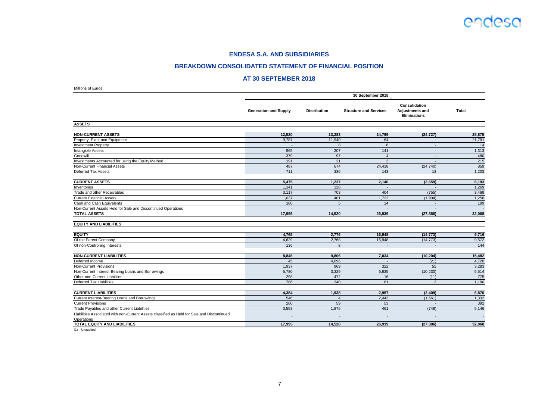#### **BREAKDOWN CONSOLIDATED STATEMENT OF FINANCIAL POSITION**

#### **AT 30 SEPTEMBER 2018**

| Millions of Euros                                                                                         |                              |                     |                               |                                                                |              |
|-----------------------------------------------------------------------------------------------------------|------------------------------|---------------------|-------------------------------|----------------------------------------------------------------|--------------|
|                                                                                                           |                              |                     | 30 September 2018 $_{(1)}$    |                                                                |              |
|                                                                                                           | <b>Generation and Supply</b> | <b>Distribution</b> | <b>Structure and Services</b> | Consolidation<br><b>Adjustments and</b><br><b>Eliminations</b> | <b>Total</b> |
| <b>ASSETS</b>                                                                                             |                              |                     |                               |                                                                |              |
| <b>NON-CURRENT ASSETS</b>                                                                                 | 12,520                       | 13,283              | 24,799                        | (24, 727)                                                      | 25,875       |
| Property, Plant and Equipment                                                                             | 9,787                        | 11,940              | 64                            | $\sim$                                                         | 21,791       |
| <b>Investment Property</b>                                                                                |                              | 8                   | 6                             |                                                                | 14           |
| Intangible Assets                                                                                         | 965                          | 207                 | 141                           | $\overline{\phantom{a}}$                                       | 1,313        |
| Goodwill                                                                                                  | 379                          | 97                  | $\overline{4}$                | $\sim$                                                         | 480          |
| Investments Accounted for using the Equity Method                                                         | 191                          | 21                  | 3                             | $\overline{\phantom{a}}$                                       | 215          |
| Non-Current Financial Assets                                                                              | 487                          | 674                 | 24,438                        | (24, 740)                                                      | 859          |
| Deferred Tax Assets                                                                                       | 711                          | 336                 | 143                           | 13                                                             | 1,203        |
| <b>CURRENT ASSETS</b>                                                                                     | 5,475                        | 1,237               | 2,140                         | (2,659)                                                        | 6,193        |
| Inventories                                                                                               | 1,141                        | 128                 |                               |                                                                | 1,269        |
| Trade and other Receivables                                                                               | 3,117                        | 703                 | 404                           | (755)                                                          | 3,469        |
| <b>Current Financial Assets</b>                                                                           | 1,037                        | 401                 | 1,722                         | (1,904)                                                        | 1,256        |
| Cash and Cash Equivalents                                                                                 | 180                          | $\sqrt{5}$          | 14                            |                                                                | 199          |
| Non-Current Assets Held for Sale and Discontinued Operations                                              |                              |                     |                               |                                                                |              |
| <b>TOTAL ASSETS</b>                                                                                       | 17,995                       | 14,520              | 26,939                        | (27, 386)                                                      | 32,068       |
| <b>EQUITY AND LIABILITIES</b>                                                                             |                              |                     |                               |                                                                |              |
| <b>EQUITY</b>                                                                                             | 4.765                        | 2.776               | 16.948                        | (14, 773)                                                      | 9,716        |
| Of the Parent Company                                                                                     | 4,629                        | 2,768               | 16,948                        | (14, 773)                                                      | 9,572        |
| Of non-Controlling Interests                                                                              | 136                          | 8                   | $\blacksquare$                | $\overline{\phantom{a}}$                                       | 144          |
| <b>NON-CURRENT LIABILITIES</b>                                                                            | 8,846                        | 9,806               | 7,034                         | (10, 204)                                                      | 15,482       |
| Deferred Income                                                                                           | 45                           | 4,696               |                               | (21)                                                           | 4,720        |
| <b>Non-Current Provisions</b>                                                                             | 1,937                        | 969                 | 322                           | 55                                                             | 3,283        |
| Non-Current Interest-Bearing Loans and Borrowings                                                         | 5,780                        | 3,329               | 6,635                         | (10, 230)                                                      | 5,514        |
| Other non-Current Liabilities                                                                             | 298                          | 472                 | 16                            | (11)                                                           | 775          |
| Deferred Tax Liabilities                                                                                  | 786                          | 340                 | 61                            | 3                                                              | 1,190        |
|                                                                                                           |                              |                     |                               |                                                                |              |
| <b>CURRENT LIABILITIES</b>                                                                                | 4,384                        | 1,938               | 2,957                         | (2,409)                                                        | 6,870        |
| Current Interest-Bearing Loans and Borrowings                                                             | 546                          | $\overline{4}$      | 2.443                         | (1,661)                                                        | 1,332        |
| <b>Current Provisions</b>                                                                                 | 280                          | 59                  | 53                            |                                                                | 392          |
| Trade Payables and other Current Liabilities                                                              | 3,558                        | 1,875               | 461                           | (748)                                                          | 5,146        |
| Liabilities Associated with non-Current Assets classified as Held for Sale and Discontinued<br>Operations |                              |                     |                               |                                                                |              |
| TOTAL EQUITY AND LIABILITIES                                                                              | 17,995                       | 14,520              | 26,939                        | (27, 386)                                                      | 32,068       |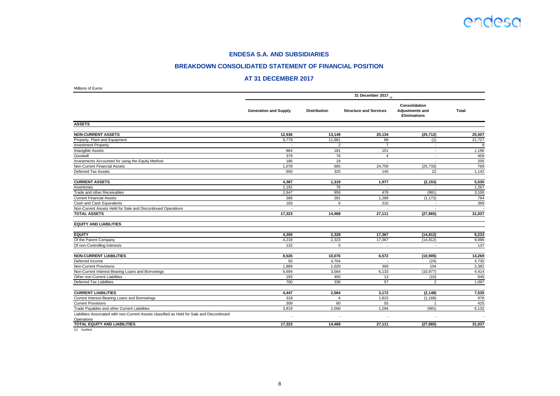#### **BREAKDOWN CONSOLIDATED STATEMENT OF FINANCIAL POSITION**

#### **AT 31 DECEMBER 2017**

| Millions of Euros                                                                           |                              |                     |                                 |                                                                |              |
|---------------------------------------------------------------------------------------------|------------------------------|---------------------|---------------------------------|----------------------------------------------------------------|--------------|
|                                                                                             |                              |                     | 31 December 2017 <sub>(1)</sub> |                                                                |              |
|                                                                                             | <b>Generation and Supply</b> | <b>Distribution</b> | <b>Structure and Services</b>   | Consolidation<br><b>Adjustments and</b><br><b>Eliminations</b> | <b>Total</b> |
| <b>ASSETS</b>                                                                               |                              |                     |                                 |                                                                |              |
| <b>NON-CURRENT ASSETS</b>                                                                   | 12,936                       | 13,149              | 25,134                          | (25, 712)                                                      | 25,507       |
| Property, Plant and Equipment                                                               | 9,779                        | 11,881              | 68                              | (1)                                                            | 21,727       |
| <b>Investment Property</b>                                                                  |                              | $\overline{2}$      | $\overline{7}$                  | $\overline{\phantom{a}}$                                       | 9            |
| Intangible Assets                                                                           | 864                          | 181                 | 151                             | $\overline{\phantom{a}}$                                       | 1,196        |
| Goodwill                                                                                    | 379                          | 76                  | $\overline{4}$                  | $\sim$                                                         | 459          |
| Investments Accounted for using the Equity Method                                           | 186                          | 19                  | ÷.                              | $\sim$                                                         | 205          |
| Non-Current Financial Assets                                                                | 1,078                        | 665                 | 24,759                          | (25, 733)                                                      | 769          |
| Deferred Tax Assets                                                                         | 650                          | 325                 | 145                             | 22                                                             | 1,142        |
| <b>CURRENT ASSETS</b>                                                                       | 4,387                        | 1,319               | 1,977                           | (2, 153)                                                       | 5,530        |
| Inventories                                                                                 | 1,191                        | 76                  |                                 |                                                                | 1,267        |
| Trade and other Receivables                                                                 | 2,647                        | 956                 | 478                             | (981)                                                          | 3,100        |
| <b>Current Financial Assets</b>                                                             | 366                          | 281                 | 1,289                           | (1, 172)                                                       | 764          |
| Cash and Cash Equivalents                                                                   | 183                          | 6                   | 210                             |                                                                | 399          |
| Non-Current Assets Held for Sale and Discontinued Operations                                |                              |                     |                                 |                                                                |              |
| <b>TOTAL ASSETS</b>                                                                         | 17,323                       | 14,468              | 27,111                          | (27, 865)                                                      | 31,037       |
| <b>EQUITY AND LIABILITIES</b>                                                               |                              |                     |                                 |                                                                |              |
| <b>EQUITY</b>                                                                               | 4.350                        | 2.328               | 17.367                          | (14, 812)                                                      | 9,233        |
| Of the Parent Company                                                                       | 4,218                        | 2,323               | 17,367                          | (14, 812)                                                      | 9,096        |
| Of non-Controlling Interests                                                                | 132                          | 5                   | $\sim$                          | $\overline{\phantom{a}}$                                       | 137          |
| <b>NON-CURRENT LIABILITIES</b>                                                              | 8,526                        | 10,076              | 6,572                           | (10, 905)                                                      | 14,269       |
| Deferred Income                                                                             | 50                           | 4,704               |                                 | (24)                                                           | 4,730        |
| <b>Non-Current Provisions</b>                                                               | 1,889                        | 1.020               | 369                             | 104                                                            | 3,382        |
| Non-Current Interest-Bearing Loans and Borrowings                                           | 5,694                        | 3,564               | 6,133                           | (10, 977)                                                      | 4,414        |
| Other non-Current Liabilities                                                               | 193                          | 450                 | 13                              | (10)                                                           | 646          |
| Deferred Tax Liabilities                                                                    | 700                          | 338                 | 57                              | $\overline{2}$                                                 | 1,097        |
| <b>CURRENT LIABILITIES</b>                                                                  | 4,447                        | 2,064               | 3,172                           | (2, 148)                                                       | 7,535        |
| Current Interest-Bearing Loans and Borrowings                                               | 319                          | $\overline{4}$      | 1,823                           | (1, 168)                                                       | 978          |
| <b>Current Provisions</b>                                                                   | 309                          | 60                  | 55                              | $\overline{1}$                                                 | 425          |
| Trade Payables and other Current Liabilities                                                | 3,819                        | 2.000               | 1,294                           | (981)                                                          | 6,132        |
| Liabilities Associated with non-Current Assets classified as Held for Sale and Discontinued |                              |                     |                                 |                                                                |              |
| Operations<br>TOTAL EQUITY AND LIABILITIES                                                  | 17,323                       | 14,468              | 27,111                          | (27, 865)                                                      | 31,037       |

(1) Audited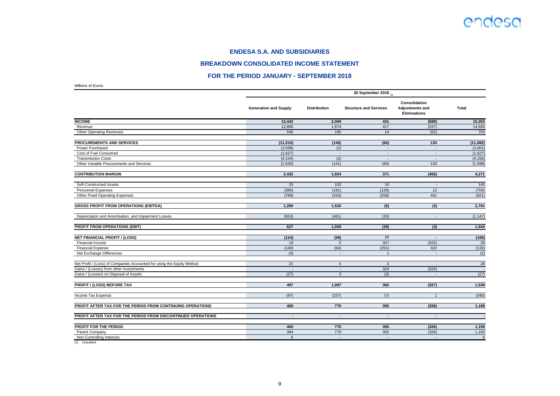#### **BREAKDOWN CONSOLIDATED INCOME STATEMENT**

#### **FOR THE PERIOD JANUARY - SEPTEMBER 2018**

Millions of Euros

|                                                                        | 30 September 2018 (1)        |                     |                               |                                                                       |              |  |  |
|------------------------------------------------------------------------|------------------------------|---------------------|-------------------------------|-----------------------------------------------------------------------|--------------|--|--|
|                                                                        | <b>Generation and Supply</b> | <b>Distribution</b> | <b>Structure and Services</b> | <b>Consolidation</b><br><b>Adjustments and</b><br><b>Eliminations</b> | <b>Total</b> |  |  |
| <b>INCOME</b>                                                          | 13,442                       | 2,069               | 431                           | (589)                                                                 | 15,353       |  |  |
| Revenue                                                                | 12.896                       | 1.874               | 417                           | (537)                                                                 | 14,650       |  |  |
| <b>Other Operating Revenues</b>                                        | 546                          | 195                 | 14                            | (52)                                                                  | 703          |  |  |
| PROCUREMENTS AND SERVICES                                              | (11,010)                     | (145)               | (60)                          | 133                                                                   | (11,082)     |  |  |
| Power Purchased                                                        | (3,599)                      | (2)                 | $\sim$                        | $\omega$                                                              | (3,601)      |  |  |
| Cost of Fuel Consumed                                                  | (1,627)                      | $\overline{a}$      | $\sim$                        | $\overline{\phantom{a}}$                                              | (1,627)      |  |  |
| <b>Transmission Costs</b>                                              | (4, 154)                     | (2)                 | $\sim$                        | $\sim$                                                                | (4, 156)     |  |  |
| Other Variable Procurements and Services                               | (1,630)                      | (141)               | (60)                          | 133                                                                   | (1,698)      |  |  |
| <b>CONTRIBUTION MARGIN</b>                                             | 2,432                        | 1,924               | 371                           | (456)                                                                 | 4,271        |  |  |
| Self-Constructed Assets                                                | 33                           | 102                 | 10                            | $\sim$                                                                | 145          |  |  |
| Personnel Expenses                                                     | (396)                        | (191)               | (129)                         | 12                                                                    | (704)        |  |  |
| Other Fixed Operating Expenses                                         | (789)                        | (315)               | (258)                         | 441                                                                   | (921)        |  |  |
| <b>GROSS PROFIT FROM OPERATIONS (EBITDA)</b>                           | 1,280                        | 1,520               | (6)                           | (3)                                                                   | 2,791        |  |  |
| Depreciation and Amortisation, and Impairment Losses                   | (653)                        | (461)               | (33)                          | $\blacksquare$                                                        | (1, 147)     |  |  |
| PROFIT FROM OPERATIONS (EBIT)                                          | 627                          | 1,059               | (39)                          | (3)                                                                   | 1,644        |  |  |
| <b>NET FINANCIAL PROFIT / (LOSS)</b>                                   | (124)                        | (59)                | 77                            | $\overline{\phantom{a}}$                                              | (106)        |  |  |
| Financial Income                                                       | 19                           | 5                   | 327                           | (322)                                                                 | 29           |  |  |
| <b>Financial Expense</b>                                               | (140)                        | (64)                | (251)                         | 322                                                                   | (133)        |  |  |
| Net Exchange Differences                                               | (3)                          | $\blacksquare$      | $\overline{1}$                | $\overline{\phantom{a}}$                                              | (2)          |  |  |
| Net Profit / (Loss) of Companies Accounted for using the Equity Method | 21                           | $\overline{4}$      | 3                             |                                                                       | 28           |  |  |
| Gains / (Losses) from other Investments                                | $\sim$                       | $\omega$            | 324                           | (324)                                                                 | $\sim$       |  |  |
| Gains / (Losses) on Disposal of Assets                                 | (27)                         | 3                   | (3)                           | $\sim$                                                                | (27)         |  |  |
| <b>PROFIT / (LOSS) BEFORE TAX</b>                                      | 497                          | 1,007               | 362                           | (327)                                                                 | 1,539        |  |  |
| Income Tax Expense                                                     | (97)                         | (237)               | (7)                           | $\overline{1}$                                                        | (340)        |  |  |
| PROFIT AFTER TAX FOR THE PERIOD FROM CONTINUING OPERATIONS             | 400                          | 770                 | 355                           | (326)                                                                 | 1,199        |  |  |
| PROFIT AFTER TAX FOR THE PERIOD FROM DISCONTINUED OPERATIONS           | $\blacksquare$               | $\blacksquare$      | $\overline{\phantom{a}}$      | $\blacksquare$                                                        |              |  |  |
| PROFIT FOR THE PERIOD                                                  | 400                          | 770                 | 355                           | (326)                                                                 | 1,199        |  |  |
| Parent Company                                                         | 394                          | 770                 | 355                           | (326)                                                                 | 1,193        |  |  |
| Non-Controlling Interests                                              | 6                            | $\sim$              | $\sim$                        | $\sim$                                                                | 6            |  |  |
|                                                                        |                              |                     |                               |                                                                       |              |  |  |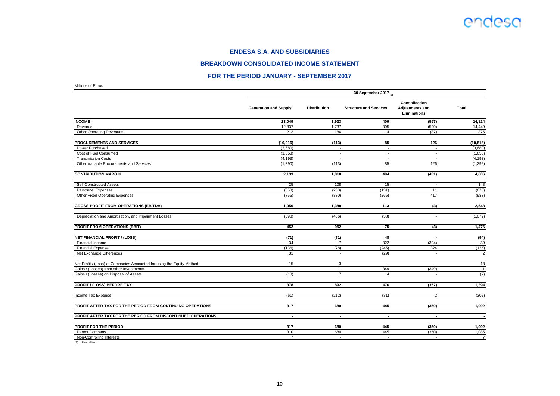#### **BREAKDOWN CONSOLIDATED INCOME STATEMENT**

#### **FOR THE PERIOD JANUARY - SEPTEMBER 2017**

Millions of Euros

|                                                                        | 30 September 2017 $_{(1)}$   |                     |                               |                                                                       |                 |  |  |
|------------------------------------------------------------------------|------------------------------|---------------------|-------------------------------|-----------------------------------------------------------------------|-----------------|--|--|
|                                                                        | <b>Generation and Supply</b> | <b>Distribution</b> | <b>Structure and Services</b> | <b>Consolidation</b><br><b>Adjustments and</b><br><b>Eliminations</b> | <b>Total</b>    |  |  |
| <b>INCOME</b>                                                          | 13,049                       | 1,923               | 409                           | (557)                                                                 | 14,824          |  |  |
| Revenue                                                                | 12,837                       | 1,737               | 395                           | (520)                                                                 | 14,449          |  |  |
| <b>Other Operating Revenues</b>                                        | 212                          | 186                 | 14                            | (37)                                                                  | 375             |  |  |
| PROCUREMENTS AND SERVICES                                              | (10, 916)                    | (113)               | 85                            | 126                                                                   | (10, 818)       |  |  |
| Power Purchased                                                        | (3,680)                      | $\sim$              | $\sim$                        | $\sim$                                                                | (3,680)         |  |  |
| Cost of Fuel Consumed                                                  | (1,653)                      | $\blacksquare$      | $\sim$                        | $\sim$                                                                | (1,653)         |  |  |
| <b>Transmission Costs</b>                                              | (4, 193)                     | $\sim$              | $\overline{\phantom{a}}$      | $\sim$                                                                | (4, 193)        |  |  |
| Other Variable Procurements and Services                               | (1, 390)                     | (113)               | 85                            | 126                                                                   | (1, 292)        |  |  |
| <b>CONTRIBUTION MARGIN</b>                                             | 2,133                        | 1,810               | 494                           | (431)                                                                 | 4,006           |  |  |
| Self-Constructed Assets                                                | 25                           | 108                 | 15                            | $\sim$                                                                | 148             |  |  |
| Personnel Expenses                                                     | (353)                        | (200)               | (131)                         | 11                                                                    | (673)           |  |  |
| Other Fixed Operating Expenses                                         | (755)                        | (330)               | (265)                         | 417                                                                   | (933)           |  |  |
| <b>GROSS PROFIT FROM OPERATIONS (EBITDA)</b>                           | 1,050                        | 1,388               | 113                           | (3)                                                                   | 2,548           |  |  |
| Depreciation and Amortisation, and Impairment Losses                   | (598)                        | (436)               | (38)                          | $\sim$                                                                | (1,072)         |  |  |
| PROFIT FROM OPERATIONS (EBIT)                                          | 452                          | 952                 | 75                            | (3)                                                                   | 1,476           |  |  |
| <b>NET FINANCIAL PROFIT / (LOSS)</b>                                   | (71)                         | (71)                | 48                            | $\overline{\phantom{a}}$                                              | (94)            |  |  |
| Financial Income                                                       | 34                           | $\overline{7}$      | 322                           | (324)                                                                 | 39              |  |  |
| <b>Financial Expense</b>                                               | (136)                        | (78)                | (245)                         | 324                                                                   | (135)           |  |  |
| Net Exchange Differences                                               | 31                           | $\blacksquare$      | (29)                          | $\sim$                                                                | $\overline{2}$  |  |  |
| Net Profit / (Loss) of Companies Accounted for using the Equity Method | 15                           | 3                   | $\overline{\phantom{a}}$      | $\sim$                                                                | $\overline{18}$ |  |  |
| Gains / (Losses) from other Investments                                | $\sim$                       | $\mathbf{1}$        | 349                           | (349)                                                                 | $\overline{1}$  |  |  |
| Gains / (Losses) on Disposal of Assets                                 | (18)                         | $\overline{7}$      | $\overline{4}$                | $\sim$                                                                | (7)             |  |  |
| PROFIT / (LOSS) BEFORE TAX                                             | 378                          | 892                 | 476                           | (352)                                                                 | 1,394           |  |  |
| Income Tax Expense                                                     | (61)                         | (212)               | (31)                          | $\overline{2}$                                                        | (302)           |  |  |
| PROFIT AFTER TAX FOR THE PERIOD FROM CONTINUING OPERATIONS             | 317                          | 680                 | 445                           | (350)                                                                 | 1,092           |  |  |
| PROFIT AFTER TAX FOR THE PERIOD FROM DISCONTINUED OPERATIONS           | $\overline{\phantom{a}}$     | $\sim$              | $\overline{\phantom{a}}$      | $\sim$                                                                | $\sim$          |  |  |
| PROFIT FOR THE PERIOD                                                  | 317                          | 680                 | 445                           | (350)                                                                 | 1,092           |  |  |
| Parent Company                                                         | 310                          | 680                 | 445                           | (350)                                                                 | 1,085           |  |  |
| Non-Controlling Interests                                              | $\overline{7}$               | $\sim$              | $\sim$                        | $\overline{a}$                                                        | $\overline{7}$  |  |  |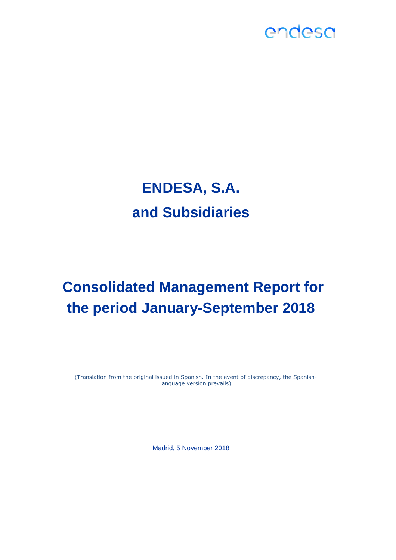# **ENDESA, S.A. and Subsidiaries**

# **Consolidated Management Report for the period January-September 2018**

(Translation from the original issued in Spanish. In the event of discrepancy, the Spanishlanguage version prevails)

Madrid, 5 November 2018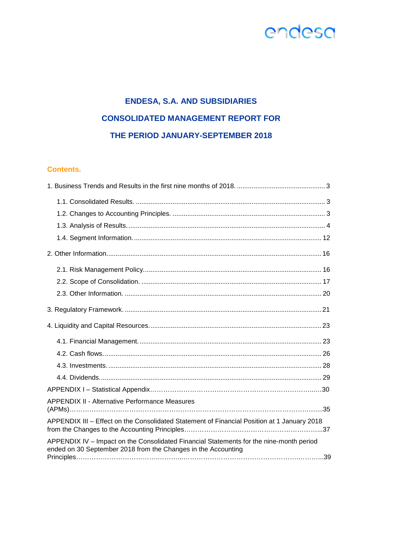### **ENDESA, S.A. AND SUBSIDIARIES CONSOLIDATED MANAGEMENT REPORT FOR THE PERIOD JANUARY-SEPTEMBER 2018**

### **Contents.**

| <b>APPENDIX II - Alternative Performance Measures</b>                                                                                                    |
|----------------------------------------------------------------------------------------------------------------------------------------------------------|
| APPENDIX III - Effect on the Consolidated Statement of Financial Position at 1 January 2018                                                              |
| APPENDIX IV - Impact on the Consolidated Financial Statements for the nine-month period<br>ended on 30 September 2018 from the Changes in the Accounting |
|                                                                                                                                                          |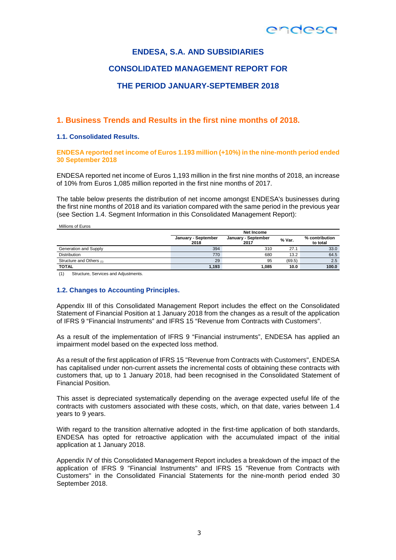### **ENDESA, S.A. AND SUBSIDIARIES**

### **CONSOLIDATED MANAGEMENT REPORT FOR**

### **THE PERIOD JANUARY-SEPTEMBER 2018**

### **1. Business Trends and Results in the first nine months of 2018.**

#### **1.1. Consolidated Results.**

**ENDESA reported net income of Euros 1.193 million (+10%) in the nine-month period ended 30 September 2018** 

ENDESA reported net income of Euros 1,193 million in the first nine months of 2018, an increase of 10% from Euros 1,085 million reported in the first nine months of 2017.

The table below presents the distribution of net income amongst ENDESA's businesses during the first nine months of 2018 and its variation compared with the same period in the previous year (see Section 1.4. Segment Information in this Consolidated Management Report):

| Millions of Euros        |                             |                             |        |                            |  |  |  |  |
|--------------------------|-----------------------------|-----------------------------|--------|----------------------------|--|--|--|--|
|                          | Net Income                  |                             |        |                            |  |  |  |  |
|                          | January - September<br>2018 | January - September<br>2017 | % Var. | % contribution<br>to total |  |  |  |  |
| Generation and Supply    | 394                         | 310                         | 27.1   | 33.0                       |  |  |  |  |
| <b>Distribution</b>      | 770                         | 680                         | 13.2   | 64.5                       |  |  |  |  |
| Structure and Others (1) | 29                          | 95                          | (69.5) | 2.5                        |  |  |  |  |
| <b>TOTAL</b>             | 1,193                       | 1.085                       | 10.0   | 100.0                      |  |  |  |  |

(1) Structure, Services and Adjustments.

#### **1.2. Changes to Accounting Principles.**

Appendix III of this Consolidated Management Report includes the effect on the Consolidated Statement of Financial Position at 1 January 2018 from the changes as a result of the application of IFRS 9 "Financial Instruments" and IFRS 15 "Revenue from Contracts with Customers".

As a result of the implementation of IFRS 9 "Financial instruments", ENDESA has applied an impairment model based on the expected loss method.

As a result of the first application of IFRS 15 "Revenue from Contracts with Customers", ENDESA has capitalised under non-current assets the incremental costs of obtaining these contracts with customers that, up to 1 January 2018, had been recognised in the Consolidated Statement of Financial Position.

This asset is depreciated systematically depending on the average expected useful life of the contracts with customers associated with these costs, which, on that date, varies between 1.4 years to 9 years.

With regard to the transition alternative adopted in the first-time application of both standards, ENDESA has opted for retroactive application with the accumulated impact of the initial application at 1 January 2018.

Appendix IV of this Consolidated Management Report includes a breakdown of the impact of the application of IFRS 9 "Financial Instruments" and IFRS 15 "Revenue from Contracts with Customers" in the Consolidated Financial Statements for the nine-month period ended 30 September 2018.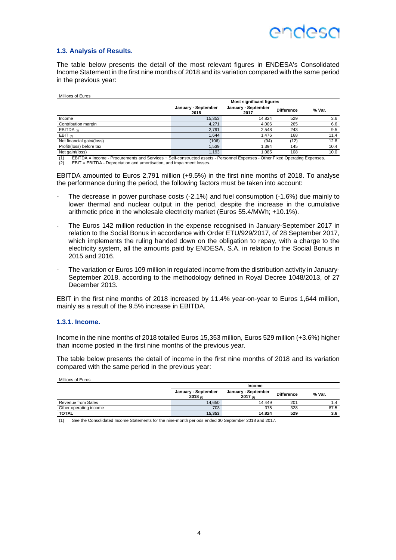

#### **1.3. Analysis of Results.**

The table below presents the detail of the most relevant figures in ENDESA's Consolidated Income Statement in the first nine months of 2018 and its variation compared with the same period in the previous year:

| Millions of Euros         |                             |                                 |                   |        |  |  |  |  |  |
|---------------------------|-----------------------------|---------------------------------|-------------------|--------|--|--|--|--|--|
|                           |                             | <b>Most significant figures</b> |                   |        |  |  |  |  |  |
|                           | January - September<br>2018 | January - September<br>2017     | <b>Difference</b> | % Var. |  |  |  |  |  |
| Income                    | 15,353                      | 14.824                          | 529               | 3.6    |  |  |  |  |  |
| Contribution margin       | 4.271                       | 4.006                           | 265               | 6.6    |  |  |  |  |  |
| EBITDA $(1)$              | 2,791                       | 2.548                           | 243               | 9.5    |  |  |  |  |  |
| EBIT $(2)$                | .644                        | 1.476                           | 168               | 11.4   |  |  |  |  |  |
| Net financial gain/(loss) | (106)                       | (94)                            | (12)              | 12.8   |  |  |  |  |  |
| Profit/(loss) before tax  | .539                        | .394                            | 145               | 10.4   |  |  |  |  |  |
| Net gain/(loss)           | .193                        | .085                            | 108               | 10.0   |  |  |  |  |  |

(1) EBITDA = Income - Procurements and Services + Self-constructed assets - Personnel Expenses - Other Fixed Operating Expenses.

(2) EBIT = EBITDA - Depreciation and amortisation, and impairment losses.

EBITDA amounted to Euros 2,791 million (+9.5%) in the first nine months of 2018. To analyse the performance during the period, the following factors must be taken into account:

- The decrease in power purchase costs (-2.1%) and fuel consumption (-1.6%) due mainly to lower thermal and nuclear output in the period, despite the increase in the cumulative arithmetic price in the wholesale electricity market (Euros 55.4/MWh; +10.1%).
- The Euros 142 million reduction in the expense recognised in January-September 2017 in relation to the Social Bonus in accordance with Order ETU/929/2017, of 28 September 2017, which implements the ruling handed down on the obligation to repay, with a charge to the electricity system, all the amounts paid by ENDESA, S.A. in relation to the Social Bonus in 2015 and 2016.
- The variation or Euros 109 million in regulated income from the distribution activity in January-September 2018, according to the methodology defined in Royal Decree 1048/2013, of 27 December 2013.

EBIT in the first nine months of 2018 increased by 11.4% year-on-year to Euros 1,644 million, mainly as a result of the 9.5% increase in EBITDA.

#### **1.3.1. Income.**

Millions of Euros

Income in the nine months of 2018 totalled Euros 15,353 million, Euros 529 million (+3.6%) higher than income posted in the first nine months of the previous year.

The table below presents the detail of income in the first nine months of 2018 and its variation compared with the same period in the previous year:

|                        | Income                              |                                      |                   |        |  |
|------------------------|-------------------------------------|--------------------------------------|-------------------|--------|--|
|                        | January - September<br>$2018_{(1)}$ | January - September<br>2017 $_{(1)}$ | <b>Difference</b> | % Var. |  |
| Revenue from Sales     | 14.650                              | 14.449                               | 201               |        |  |
| Other operating income | 703                                 | 375                                  | 328               | 87.5   |  |
| <b>TOTAL</b>           | 15,353                              | 14.824                               | 529               | 3.6    |  |

(1) See the Consolidated Income Statements for the nine-month periods ended 30 September 2018 and 2017.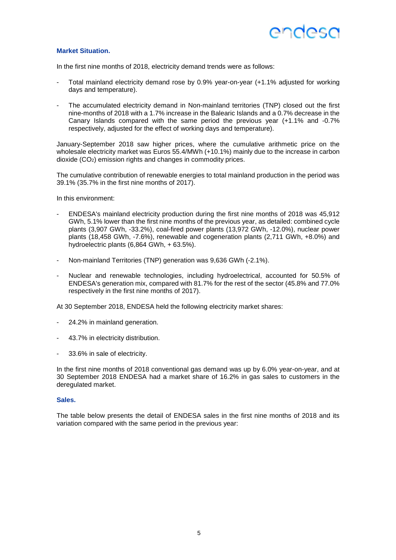#### **Market Situation.**

In the first nine months of 2018, electricity demand trends were as follows:

- Total mainland electricity demand rose by 0.9% year-on-year (+1.1% adjusted for working days and temperature).
- The accumulated electricity demand in Non-mainland territories (TNP) closed out the first nine-months of 2018 with a 1.7% increase in the Balearic Islands and a 0.7% decrease in the Canary Islands compared with the same period the previous year (+1.1% and -0.7% respectively, adjusted for the effect of working days and temperature).

January-September 2018 saw higher prices, where the cumulative arithmetic price on the wholesale electricity market was Euros 55.4/MWh (+10.1%) mainly due to the increase in carbon dioxide (CO2) emission rights and changes in commodity prices.

The cumulative contribution of renewable energies to total mainland production in the period was 39.1% (35.7% in the first nine months of 2017).

In this environment:

- ENDESA's mainland electricity production during the first nine months of 2018 was 45,912 GWh, 5.1% lower than the first nine months of the previous year, as detailed: combined cycle plants (3,907 GWh, -33.2%), coal-fired power plants (13,972 GWh, -12.0%), nuclear power plants (18,458 GWh, -7.6%), renewable and cogeneration plants (2,711 GWh, +8.0%) and hydroelectric plants (6,864 GWh, + 63.5%).
- Non-mainland Territories (TNP) generation was 9,636 GWh (-2.1%).
- Nuclear and renewable technologies, including hydroelectrical, accounted for 50.5% of ENDESA's generation mix, compared with 81.7% for the rest of the sector (45.8% and 77.0% respectively in the first nine months of 2017).

At 30 September 2018, ENDESA held the following electricity market shares:

- 24.2% in mainland generation.
- 43.7% in electricity distribution.
- 33.6% in sale of electricity.

In the first nine months of 2018 conventional gas demand was up by 6.0% year-on-year, and at 30 September 2018 ENDESA had a market share of 16.2% in gas sales to customers in the deregulated market.

#### **Sales.**

The table below presents the detail of ENDESA sales in the first nine months of 2018 and its variation compared with the same period in the previous year: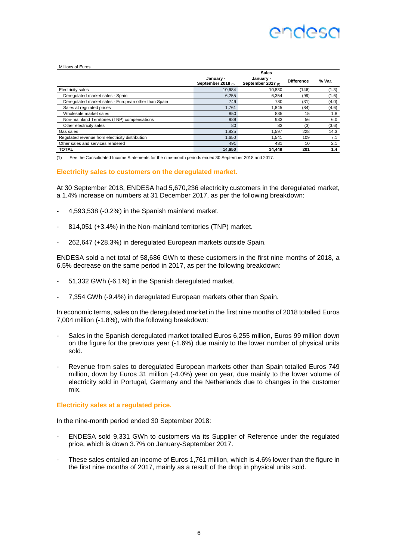## Andesa

#### Millions of Euros

|                                                      | <b>Sales</b>                    |                                 |                   |        |  |  |
|------------------------------------------------------|---------------------------------|---------------------------------|-------------------|--------|--|--|
|                                                      | January -<br>September 2018 (1) | January -<br>September 2017 (1) | <b>Difference</b> | % Var. |  |  |
| <b>Electricity sales</b>                             | 10.684                          | 10.830                          | (146)             | (1.3)  |  |  |
| Deregulated market sales - Spain                     | 6.255                           | 6.354                           | (99)              | (1.6)  |  |  |
| Deregulated market sales - European other than Spain | 749                             | 780                             | (31)              | (4.0)  |  |  |
| Sales at regulated prices                            | 1,761                           | 1.845                           | (84)              | (4.6)  |  |  |
| Wholesale market sales                               | 850                             | 835                             | 15                | 1.8    |  |  |
| Non-mainland Territories (TNP) compensations         | 989                             | 933                             | 56                | 6.0    |  |  |
| Other electricity sales                              | 80                              | 83                              | (3)               | (3.6)  |  |  |
| Gas sales                                            | 1.825                           | 1.597                           | 228               | 14.3   |  |  |
| Regulated revenue from electricity distribution      | 1.650                           | 1.541                           | 109               | 7.1    |  |  |
| Other sales and services rendered                    | 491                             | 481                             | 10                | 2.1    |  |  |
| <b>TOTAL</b>                                         | 14.650                          | 14.449                          | 201               | 1.4    |  |  |

(1) See the Consolidated Income Statements for the nine-month periods ended 30 September 2018 and 2017.

#### **Electricity sales to customers on the deregulated market.**

At 30 September 2018, ENDESA had 5,670,236 electricity customers in the deregulated market, a 1.4% increase on numbers at 31 December 2017, as per the following breakdown:

- 4,593,538 (-0.2%) in the Spanish mainland market.
- 814,051 (+3.4%) in the Non-mainland territories (TNP) market.
- 262,647 (+28.3%) in deregulated European markets outside Spain.

ENDESA sold a net total of 58,686 GWh to these customers in the first nine months of 2018, a 6.5% decrease on the same period in 2017, as per the following breakdown:

- 51,332 GWh (-6.1%) in the Spanish deregulated market.
- 7,354 GWh (-9.4%) in deregulated European markets other than Spain.

In economic terms, sales on the deregulated market in the first nine months of 2018 totalled Euros 7,004 million (-1.8%), with the following breakdown:

- Sales in the Spanish deregulated market totalled Euros 6,255 million, Euros 99 million down on the figure for the previous year (-1.6%) due mainly to the lower number of physical units sold.
- Revenue from sales to deregulated European markets other than Spain totalled Euros 749 million, down by Euros 31 million (-4.0%) year on year, due mainly to the lower volume of electricity sold in Portugal, Germany and the Netherlands due to changes in the customer mix.

#### **Electricity sales at a regulated price.**

In the nine-month period ended 30 September 2018:

- ENDESA sold 9,331 GWh to customers via its Supplier of Reference under the regulated price, which is down 3.7% on January-September 2017.
- These sales entailed an income of Euros 1,761 million, which is 4.6% lower than the figure in the first nine months of 2017, mainly as a result of the drop in physical units sold.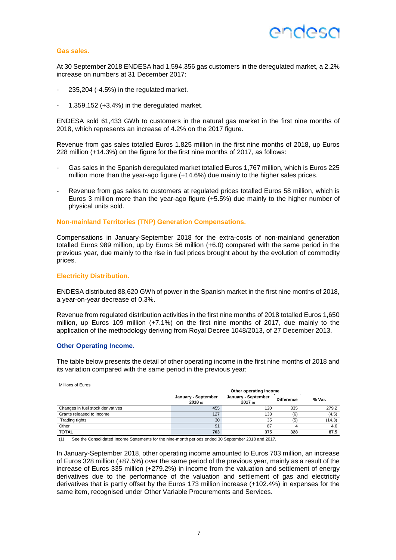## ANNASA

#### **Gas sales.**

At 30 September 2018 ENDESA had 1,594,356 gas customers in the deregulated market, a 2.2% increase on numbers at 31 December 2017:

- 235,204 (-4.5%) in the regulated market.
- 1,359,152 (+3.4%) in the deregulated market.

ENDESA sold 61,433 GWh to customers in the natural gas market in the first nine months of 2018, which represents an increase of 4.2% on the 2017 figure.

Revenue from gas sales totalled Euros 1.825 million in the first nine months of 2018, up Euros 228 million (+14.3%) on the figure for the first nine months of 2017, as follows:

- Gas sales in the Spanish deregulated market totalled Euros 1,767 million, which is Euros 225 million more than the year-ago figure (+14.6%) due mainly to the higher sales prices.
- Revenue from gas sales to customers at regulated prices totalled Euros 58 million, which is Euros 3 million more than the year-ago figure (+5.5%) due mainly to the higher number of physical units sold.

#### **Non-mainland Territories (TNP) Generation Compensations.**

Compensations in January-September 2018 for the extra-costs of non-mainland generation totalled Euros 989 million, up by Euros 56 million (+6.0) compared with the same period in the previous year, due mainly to the rise in fuel prices brought about by the evolution of commodity prices.

#### **Electricity Distribution.**

ENDESA distributed 88,620 GWh of power in the Spanish market in the first nine months of 2018, a year-on-year decrease of 0.3%.

Revenue from regulated distribution activities in the first nine months of 2018 totalled Euros 1,650 million, up Euros 109 million (+7.1%) on the first nine months of 2017, due mainly to the application of the methodology deriving from Royal Decree 1048/2013, of 27 December 2013.

#### **Other Operating Income.**

Millions of Euros

The table below presents the detail of other operating income in the first nine months of 2018 and its variation compared with the same period in the previous year:

| <b>IVIIIIIUIIS ULEUIUS</b>        | Other operating income         |                                |                   |        |  |  |
|-----------------------------------|--------------------------------|--------------------------------|-------------------|--------|--|--|
|                                   | January - September<br>2018(1) | January - September<br>2017(n) | <b>Difference</b> | % Var. |  |  |
| Changes in fuel stock derivatives | 455                            | 120                            | 335               | 279.2  |  |  |
| Grants released to income         | 127                            | 133                            | (6)               | (4.5)  |  |  |
| Trading rights                    | 30                             | 35                             | (5                | (14.3) |  |  |
| Other                             | 91                             | 87                             |                   | 4.6    |  |  |
| <b>TOTAL</b>                      | 703                            | 375                            | 328               | 87.5   |  |  |

(1) See the Consolidated Income Statements for the nine-month periods ended 30 September 2018 and 2017.

In January-September 2018, other operating income amounted to Euros 703 million, an increase of Euros 328 million (+87.5%) over the same period of the previous year, mainly as a result of the increase of Euros 335 million (+279.2%) in income from the valuation and settlement of energy derivatives due to the performance of the valuation and settlement of gas and electricity derivatives that is partly offset by the Euros 173 million increase (+102.4%) in expenses for the same item, recognised under Other Variable Procurements and Services.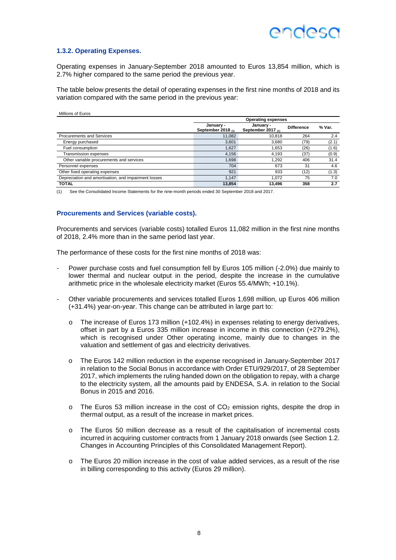

#### **1.3.2. Operating Expenses.**

Operating expenses in January-September 2018 amounted to Euros 13,854 million, which is 2.7% higher compared to the same period the previous year.

The table below presents the detail of operating expenses in the first nine months of 2018 and its variation compared with the same period in the previous year:

| Millions of Euros                                    |                                   |                                      |                   |        |  |  |  |  |
|------------------------------------------------------|-----------------------------------|--------------------------------------|-------------------|--------|--|--|--|--|
|                                                      |                                   | <b>Operating expenses</b>            |                   |        |  |  |  |  |
|                                                      | January -<br>September 2018 $(n)$ | January -<br>September 2017 $_{(1)}$ | <b>Difference</b> | % Var. |  |  |  |  |
| <b>Procurements and Services</b>                     | 11.082                            | 10.818                               | 264               | 2.4    |  |  |  |  |
| Energy purchased                                     | 3,601                             | 3.680                                | (79)              | (2.1)  |  |  |  |  |
| Fuel consumption                                     | 1,627                             | 1.653                                | (26)              | (1.6)  |  |  |  |  |
| Transmission expenses                                | 4,156                             | 4.193                                | (37)              | (0.9)  |  |  |  |  |
| Other variable procurements and services             | 1,698                             | 1.292                                | 406               | 31.4   |  |  |  |  |
| Personnel expenses                                   | 704                               | 673                                  | 31                | 4.6    |  |  |  |  |
| Other fixed operating expenses                       | 921                               | 933                                  | (12)              | (1.3)  |  |  |  |  |
| Depreciation and amortisation, and impairment losses | 1.147                             | 1.072                                | 75                | 7.0    |  |  |  |  |
| <b>TOTAL</b>                                         | 13.854                            | 13.496                               | 358               | 2.7    |  |  |  |  |

(1) See the Consolidated Income Statements for the nine-month periods ended 30 September 2018 and 2017.

#### **Procurements and Services (variable costs).**

Procurements and services (variable costs) totalled Euros 11,082 million in the first nine months of 2018, 2.4% more than in the same period last year.

The performance of these costs for the first nine months of 2018 was:

- Power purchase costs and fuel consumption fell by Euros 105 million (-2.0%) due mainly to lower thermal and nuclear output in the period, despite the increase in the cumulative arithmetic price in the wholesale electricity market (Euros 55.4/MWh; +10.1%).
- Other variable procurements and services totalled Euros 1,698 million, up Euros 406 million (+31.4%) year-on-year. This change can be attributed in large part to:
	- o The increase of Euros 173 million (+102.4%) in expenses relating to energy derivatives, offset in part by a Euros 335 million increase in income in this connection (+279.2%), which is recognised under Other operating income, mainly due to changes in the valuation and settlement of gas and electricity derivatives.
	- o The Euros 142 million reduction in the expense recognised in January-September 2017 in relation to the Social Bonus in accordance with Order ETU/929/2017, of 28 September 2017, which implements the ruling handed down on the obligation to repay, with a charge to the electricity system, all the amounts paid by ENDESA, S.A. in relation to the Social Bonus in 2015 and 2016.
	- $\circ$  The Euros 53 million increase in the cost of CO<sub>2</sub> emission rights, despite the drop in thermal output, as a result of the increase in market prices.
	- o The Euros 50 million decrease as a result of the capitalisation of incremental costs incurred in acquiring customer contracts from 1 January 2018 onwards (see Section 1.2. Changes in Accounting Principles of this Consolidated Management Report).
	- o The Euros 20 million increase in the cost of value added services, as a result of the rise in billing corresponding to this activity (Euros 29 million).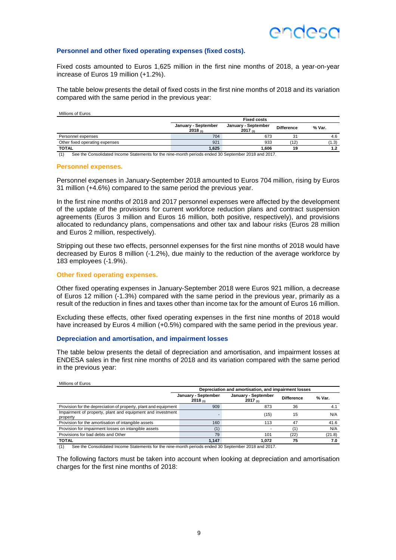### ANNASO

#### **Personnel and other fixed operating expenses (fixed costs).**

Fixed costs amounted to Euros 1,625 million in the first nine months of 2018, a year-on-year increase of Euros 19 million (+1.2%).

The table below presents the detail of fixed costs in the first nine months of 2018 and its variation compared with the same period in the previous year:

Millions of Euros

|                                                                                                           | <b>Fixed costs</b>             |                                |                   |        |  |  |
|-----------------------------------------------------------------------------------------------------------|--------------------------------|--------------------------------|-------------------|--------|--|--|
|                                                                                                           | January - September<br>2018(n) | January - September<br>2017(1) | <b>Difference</b> | % Var. |  |  |
| Personnel expenses                                                                                        | 704                            | 673                            | 31                | 4.6    |  |  |
| Other fixed operating expenses                                                                            | 921                            | 933                            | (12)              | (1.3)  |  |  |
| <b>TOTAL</b>                                                                                              | 1.625                          | 1.606                          | 19                |        |  |  |
| (1)<br>See the Cancelidated Income Statements for the pine menth periods anded 20 September 2019 and 2017 |                                |                                |                   |        |  |  |

See the Consolidated Income Statements for the nine-month periods ended 30 September 2018 and 2017.

#### **Personnel expenses.**

Personnel expenses in January-September 2018 amounted to Euros 704 million, rising by Euros 31 million (+4.6%) compared to the same period the previous year.

In the first nine months of 2018 and 2017 personnel expenses were affected by the development of the update of the provisions for current workforce reduction plans and contract suspension agreements (Euros 3 million and Euros 16 million, both positive, respectively), and provisions allocated to redundancy plans, compensations and other tax and labour risks (Euros 28 million and Euros 2 million, respectively).

Stripping out these two effects, personnel expenses for the first nine months of 2018 would have decreased by Euros 8 million (-1.2%), due mainly to the reduction of the average workforce by 183 employees (-1.9%).

#### **Other fixed operating expenses.**

Other fixed operating expenses in January-September 2018 were Euros 921 million, a decrease of Euros 12 million (-1.3%) compared with the same period in the previous year, primarily as a result of the reduction in fines and taxes other than income tax for the amount of Euros 16 million.

Excluding these effects, other fixed operating expenses in the first nine months of 2018 would have increased by Euros 4 million (+0.5%) compared with the same period in the previous year.

#### **Depreciation and amortisation, and impairment losses**

The table below presents the detail of depreciation and amortisation, and impairment losses at ENDESA sales in the first nine months of 2018 and its variation compared with the same period in the previous year:

| Millions of Euros                                                      |                                |                                                      |                   |        |
|------------------------------------------------------------------------|--------------------------------|------------------------------------------------------|-------------------|--------|
|                                                                        |                                | Depreciation and amortisation, and impairment losses |                   |        |
|                                                                        | January - September<br>2018(1) | January - September<br>2017 $_{(1)}$                 | <b>Difference</b> | % Var. |
| Provision for the depreciation of property, plant and equipment        | 909                            | 873                                                  | 36                | 4.1    |
| Impairment of property, plant and equipment and investment<br>property |                                | (15)                                                 | 15                | N/A    |
| Provision for the amortisation of intangible assets                    | 160                            | 113                                                  | 47                | 41.6   |
| Provision for impairment losses on intangible assets                   |                                |                                                      |                   | N/A    |
| Provisions for bad debts and Other                                     | 79                             | 101                                                  | (22)              | (21.8) |
| <b>TOTAL</b>                                                           | 1.147                          | 1.072                                                | 75                | 7.0    |

(1) See the Consolidated Income Statements for the nine-month periods ended 30 September 2018 and 2017.

The following factors must be taken into account when looking at depreciation and amortisation charges for the first nine months of 2018: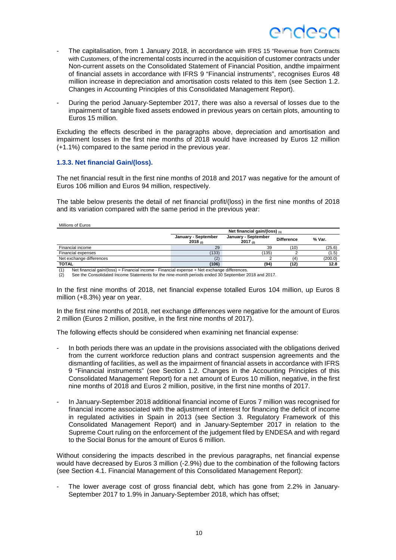- The capitalisation, from 1 January 2018, in accordance with IFRS 15 "Revenue from Contracts with Customers, of the incremental costs incurred in the acquisition of customer contracts under Non-current assets on the Consolidated Statement of Financial Position, andthe impairment of financial assets in accordance with IFRS 9 "Financial instruments", recognises Euros 48 million increase in depreciation and amortisation costs related to this item (see Section 1.2. Changes in Accounting Principles of this Consolidated Management Report).
- During the period January-September 2017, there was also a reversal of losses due to the impairment of tangible fixed assets endowed in previous years on certain plots, amounting to Euros 15 million.

Excluding the effects described in the paragraphs above, depreciation and amortisation and impairment losses in the first nine months of 2018 would have increased by Euros 12 million (+1.1%) compared to the same period in the previous year.

#### **1.3.3. Net financial Gain/(loss).**

The net financial result in the first nine months of 2018 and 2017 was negative for the amount of Euros 106 million and Euros 94 million, respectively.

The table below presents the detail of net financial profit/(loss) in the first nine months of 2018 and its variation compared with the same period in the previous year:

|--|

|                          | Net financial gain/(loss) $_{(1)}$ |                                |                   |         |  |  |  |
|--------------------------|------------------------------------|--------------------------------|-------------------|---------|--|--|--|
|                          | January - September<br>2018(2)     | January - September<br>2017(2) | <b>Difference</b> | % Var.  |  |  |  |
| Financial income         | 29                                 | 39                             | (10)              | (25.6)  |  |  |  |
| Financial expenses       | (133)                              | (135)                          |                   | (1.5)   |  |  |  |
| Net exchange differences | (2)                                |                                | (4                | (200.0) |  |  |  |
| <b>TOTAL</b>             | (106)                              | (94)                           | (12)              | 12.8    |  |  |  |

(1) Net financial gain/(loss) = Financial income - Financial expense + Net exchange differences.

(2) See the Consolidated Income Statements for the nine-month periods ended 30 September 2018 and 2017.

In the first nine months of 2018, net financial expense totalled Euros 104 million, up Euros 8 million (+8.3%) year on year.

In the first nine months of 2018, net exchange differences were negative for the amount of Euros 2 million (Euros 2 million, positive, in the first nine months of 2017).

The following effects should be considered when examining net financial expense:

- In both periods there was an update in the provisions associated with the obligations derived from the current workforce reduction plans and contract suspension agreements and the dismantling of facilities, as well as the impairment of financial assets in accordance with IFRS 9 "Financial instruments" (see Section 1.2. Changes in the Accounting Principles of this Consolidated Management Report) for a net amount of Euros 10 million, negative, in the first nine months of 2018 and Euros 2 million, positive, in the first nine months of 2017.
- In January-September 2018 additional financial income of Euros 7 million was recognised for financial income associated with the adjustment of interest for financing the deficit of income in regulated activities in Spain in 2013 (see Section 3. Regulatory Framework of this Consolidated Management Report) and in January-September 2017 in relation to the Supreme Court ruling on the enforcement of the judgement filed by ENDESA and with regard to the Social Bonus for the amount of Euros 6 million.

Without considering the impacts described in the previous paragraphs, net financial expense would have decreased by Euros 3 million (-2.9%) due to the combination of the following factors (see Section 4.1. Financial Management of this Consolidated Management Report):

The lower average cost of gross financial debt, which has gone from 2.2% in January-September 2017 to 1.9% in January-September 2018, which has offset;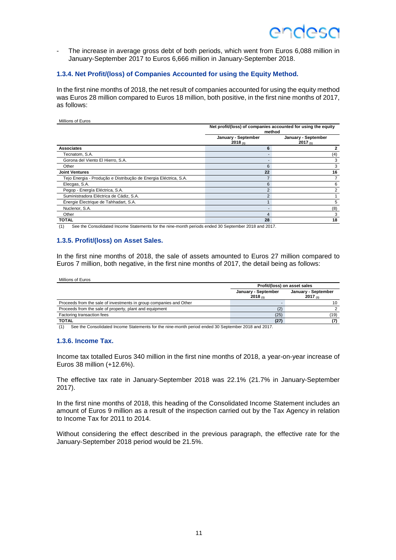### ANNASO

The increase in average gross debt of both periods, which went from Euros 6,088 million in January-September 2017 to Euros 6,666 million in January-September 2018.

#### **1.3.4. Net Profit/(loss) of Companies Accounted for using the Equity Method.**

In the first nine months of 2018, the net result of companies accounted for using the equity method was Euros 28 million compared to Euros 18 million, both positive, in the first nine months of 2017, as follows:

#### Millions of Euros

|                                                                  | Net profit/(loss) of companies accounted for using the equity<br>method |                                     |  |  |
|------------------------------------------------------------------|-------------------------------------------------------------------------|-------------------------------------|--|--|
|                                                                  | January - September<br>2018(1)                                          | January - September<br>$2017_{(1)}$ |  |  |
| <b>Associates</b>                                                | 6                                                                       |                                     |  |  |
| Tecnatom, S.A.                                                   |                                                                         | (4)                                 |  |  |
| Gorona del Viento El Hierro, S.A.                                |                                                                         | 3                                   |  |  |
| Other                                                            | 6                                                                       | 3                                   |  |  |
| <b>Joint Ventures</b>                                            | 22                                                                      | 16                                  |  |  |
| Tejo Energia - Produção e Distribução de Energia Eléctrica, S.A. |                                                                         |                                     |  |  |
| Elecgas, S.A.                                                    | 6                                                                       | 6                                   |  |  |
| Pegop - Energía Eléctrica, S.A.                                  | $\overline{2}$                                                          |                                     |  |  |
| Suministradora Eléctrica de Cádiz, S.A.                          | $\overline{2}$                                                          |                                     |  |  |
| Énergie Électrique de Tahhadart, S.A.                            |                                                                         | 5                                   |  |  |
| Nuclenor, S.A.                                                   |                                                                         | (8)                                 |  |  |
| Other                                                            | 4                                                                       | 3                                   |  |  |
| <b>TOTAL</b>                                                     | 28                                                                      | 18                                  |  |  |

(1) See the Consolidated Income Statements for the nine-month periods ended 30 September 2018 and 2017.

#### **1.3.5. Profit/(loss) on Asset Sales.**

In the first nine months of 2018, the sale of assets amounted to Euros 27 million compared to Euros 7 million, both negative, in the first nine months of 2017, the detail being as follows:

#### Millions of Euros

|                                                                    | Profit/(loss) on asset sales   |                                |  |  |
|--------------------------------------------------------------------|--------------------------------|--------------------------------|--|--|
|                                                                    | January - September<br>2018(n) | January - September<br>2017(n) |  |  |
| Proceeds from the sale of investments in group companies and Other |                                |                                |  |  |
| Proceeds from the sale of property, plant and equipment            |                                |                                |  |  |
| Factoring transaction fees                                         | (25)                           | (19)                           |  |  |
| <b>TOTAL</b>                                                       | (27                            |                                |  |  |

(1) See the Consolidated Income Statements for the nine-month period ended 30 September 2018 and 2017.

#### **1.3.6. Income Tax.**

Income tax totalled Euros 340 million in the first nine months of 2018, a year-on-year increase of Euros 38 million (+12.6%).

The effective tax rate in January-September 2018 was 22.1% (21.7% in January-September 2017).

In the first nine months of 2018, this heading of the Consolidated Income Statement includes an amount of Euros 9 million as a result of the inspection carried out by the Tax Agency in relation to Income Tax for 2011 to 2014.

Without considering the effect described in the previous paragraph, the effective rate for the January-September 2018 period would be 21.5%.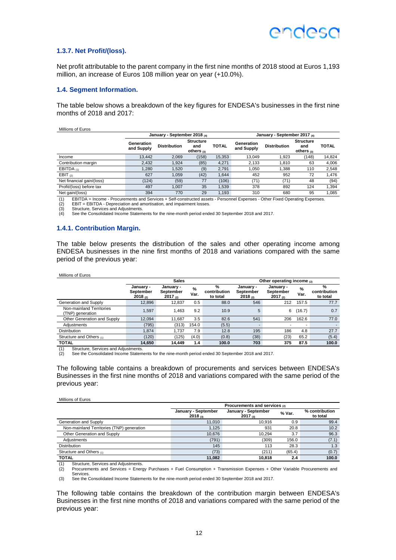### ANNASO

#### **1.3.7. Net Profit/(loss).**

Net profit attributable to the parent company in the first nine months of 2018 stood at Euros 1,193 million, an increase of Euros 108 million year on year (+10.0%).

#### **1.4. Segment Information.**

The table below shows a breakdown of the key figures for ENDESA's businesses in the first nine months of 2018 and 2017:

Millions of Euros

|                                                | January - September 2018 (4)<br>January - September 2017 (4) |                     |                                         |              |                          |                     |                                         |              |
|------------------------------------------------|--------------------------------------------------------------|---------------------|-----------------------------------------|--------------|--------------------------|---------------------|-----------------------------------------|--------------|
|                                                | Generation<br>and Supply                                     | <b>Distribution</b> | <b>Structure</b><br>and<br>others $(3)$ | <b>TOTAL</b> | Generation<br>and Supply | <b>Distribution</b> | <b>Structure</b><br>and<br>others $(3)$ | <b>TOTAL</b> |
| Income                                         | 13.442                                                       | 2.069               | (158)                                   | 15,353       | 13.049                   | 1.923               | (148)                                   | 14,824       |
| Contribution margin                            | 2.432                                                        | 1.924               | (85)                                    | 4.271        | 2.133                    | 1.810               | 63                                      | 4,006        |
| EBITDA $(1)$                                   | 1.280                                                        | 1.520               | (9)                                     | 2.791        | 1.050                    | 1.388               | 110                                     | 2.548        |
| EBIT $(2)$                                     | 627                                                          | 1.059               | (42)                                    | 1.644        | 452                      | 952                 | 72                                      | 1.476        |
| Net financial gain/(loss)                      | (124)                                                        | (59)                | 77                                      | (106)        | (71)                     | (71)                | 48                                      | (94)         |
| Profit/(loss) before tax                       | 497                                                          | 1.007               | 35                                      | 1.539        | 378                      | 892                 | 124                                     | 1,394        |
| Net gain/(loss)<br><b>FRITRA</b><br>$\sqrt{2}$ | 394                                                          | 770                 | 29                                      | 1.193        | 310                      | 680                 | 95                                      | 1.085        |

(1) EBITDA = Income - Procurements and Services + Self-constructed assets - Personnel Expenses - Other Fixed Operating Expenses.

(2) EBIT = EBITDA - Depreciation and amortisation, and impairment losses.<br>(3) Structure, Services and Adjustments.

(3) Structure, Services and Adjustments.<br>
(4) See the Consolidated Income Statem See the Consolidated Income Statements for the nine-month period ended 30 September 2018 and 2017.

#### **1.4.1. Contribution Margin.**

The table below presents the distribution of the sales and other operating income among ENDESA businesses in the nine first months of 2018 and variations compared with the same period of the previous year:

#### Millions of Euros

|                                             | <b>Sales</b>                           |                                        |              |                                           | Other operating income $_{(2)}$               |                                   |                          |                                           |
|---------------------------------------------|----------------------------------------|----------------------------------------|--------------|-------------------------------------------|-----------------------------------------------|-----------------------------------|--------------------------|-------------------------------------------|
|                                             | January -<br>September<br>$2018_{(2)}$ | January -<br>September<br>$2017_{(2)}$ | $\%$<br>Var. | $\frac{9}{6}$<br>contribution<br>to total | January -<br><b>September</b><br>$2018_{(2)}$ | January -<br>September<br>2017(2) | %<br>Var.                | $\frac{9}{6}$<br>contribution<br>to total |
| Generation and Supply                       | 12.896                                 | 12.837                                 | 0.5          | 88.0                                      | 546                                           | 212                               | 157.5                    | 77.7                                      |
| Non-mainland Territories<br>TNP) generation | 1.597                                  | 1.463                                  | 9.2          | 10.9                                      | 5                                             | 6                                 | (16.7)                   | 0.7                                       |
| Other Generation and Supply                 | 12.094                                 | 11.687                                 | 3.5          | 82.6                                      | 541                                           | 206                               | 162.6                    | 77.0                                      |
| Adiustments                                 | (795)                                  | (313)                                  | 154.0        | (5.5)                                     |                                               |                                   | $\overline{\phantom{a}}$ |                                           |
| Distribution                                | 1.874                                  | 1.737                                  | 7.9          | 12.8                                      | 195                                           | 186                               | 4.8                      | 27.7                                      |
| Structure and Others (1)                    | (120)                                  | 125)                                   | (4.0)        | (0.8)                                     | (38)                                          | (23)                              | 65.2                     | (5.4)                                     |
| <b>TOTAL</b>                                | 14.650                                 | 14.449                                 | 1.4          | 100.0                                     | 703                                           | 375                               | 87.5                     | 100.0                                     |

(1) Structure, Services and Adjustments.<br>(2) See the Consolidated Income Statem See the Consolidated Income Statements for the nine-month period ended 30 September 2018 and 2017.

The following table contains a breakdown of procurements and services between ENDESA's Businesses in the first nine months of 2018 and variations compared with the same period of the previous year:

#### Millions of Euros

|                                           | Procurements and services (2)       |                                     |        |                            |  |  |  |
|-------------------------------------------|-------------------------------------|-------------------------------------|--------|----------------------------|--|--|--|
|                                           | January - September<br>$2018_{(3)}$ | January - September<br>$2017_{(3)}$ | % Var. | % contribution<br>to total |  |  |  |
| Generation and Supply                     | 11.010                              | 10.916                              | 0.9    | 99.4                       |  |  |  |
| Non-mainland Territories (TNP) generation | 1.125                               | 931                                 | 20.8   | 10.2                       |  |  |  |
| Other Generation and Supply               | 10.676                              | 10.294                              | 3.7    | 96.3                       |  |  |  |
| Adiustments                               | (791)                               | (309)                               | 156.0  | (7.1)                      |  |  |  |
| <b>Distribution</b>                       | 145                                 | 113                                 | 28.3   | 1.3                        |  |  |  |
| Structure and Others (1)                  | (73)                                | (211)                               | (65.4) | (0.7)                      |  |  |  |
| <b>TOTAL</b>                              | 11.082                              | 10.818                              | 2.4    | 100.0                      |  |  |  |

(1) Structure, Services and Adjustments<br>(2) Procurements and Services = Ener (2) Procurements and Services = Energy Purchases + Fuel Consumption + Transmission Expenses + Other Variable Procurements and **Services** 

(3) See the Consolidated Income Statements for the nine-month period ended 30 September 2018 and 2017.

The following table contains the breakdown of the contribution margin between ENDESA's Businesses in the first nine months of 2018 and variations compared with the same period of the previous year: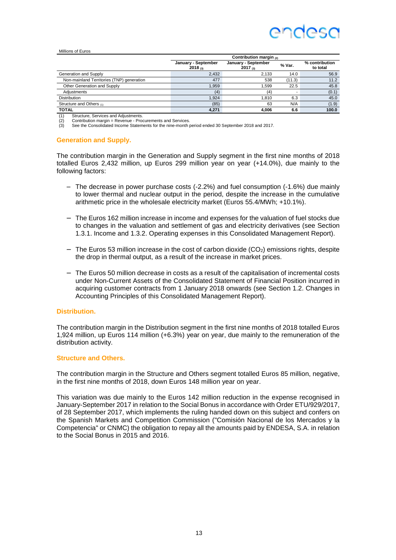#### Millions of Euros

|                                           | Contribution margin $(2)$           |                                     |        |                            |  |  |  |
|-------------------------------------------|-------------------------------------|-------------------------------------|--------|----------------------------|--|--|--|
|                                           | January - September<br>$2018_{(3)}$ | January - September<br>$2017_{(3)}$ | % Var. | % contribution<br>to total |  |  |  |
| Generation and Supply                     | 2.432                               | 2.133                               | 14.0   | 56.9                       |  |  |  |
| Non-mainland Territories (TNP) generation | 477                                 | 538                                 | (11.3) | 11.2                       |  |  |  |
| Other Generation and Supply               | 1.959                               | 1.599                               | 22.5   | 45.8                       |  |  |  |
| Adiustments                               | (4)                                 | (4)                                 |        | (0.1)                      |  |  |  |
| <b>Distribution</b>                       | 1.924                               | 1.810                               | 6.3    | 45.0                       |  |  |  |
| Structure and Others (1)                  | (85)                                | 63                                  | N/A    | (1.9)                      |  |  |  |
| <b>TOTAL</b>                              | 4.271                               | 4.006                               | 6.6    | 100.0                      |  |  |  |

(1) Structure, Services and Adjustments.<br>(2) Contribution margin = Revenue - Pro

(2) Contribution margin = Revenue - Procurements and Services.<br>  $(3)$  See the Consolidated Income Statements for the nine-month

See the Consolidated Income Statements for the nine-month period ended 30 September 2018 and 2017.

#### **Generation and Supply.**

The contribution margin in the Generation and Supply segment in the first nine months of 2018 totalled Euros 2,432 million, up Euros 299 million year on year (+14.0%), due mainly to the following factors:

- − The decrease in power purchase costs (-2.2%) and fuel consumption (-1.6%) due mainly to lower thermal and nuclear output in the period, despite the increase in the cumulative arithmetic price in the wholesale electricity market (Euros 55.4/MWh; +10.1%).
- − The Euros 162 million increase in income and expenses for the valuation of fuel stocks due to changes in the valuation and settlement of gas and electricity derivatives (see Section 1.3.1. Income and 1.3.2. Operating expenses in this Consolidated Management Report).
- − The Euros 53 million increase in the cost of carbon dioxide (CO2) emissions rights, despite the drop in thermal output, as a result of the increase in market prices.
- − The Euros 50 million decrease in costs as a result of the capitalisation of incremental costs under Non-Current Assets of the Consolidated Statement of Financial Position incurred in acquiring customer contracts from 1 January 2018 onwards (see Section 1.2. Changes in Accounting Principles of this Consolidated Management Report).

#### **Distribution.**

The contribution margin in the Distribution segment in the first nine months of 2018 totalled Euros 1,924 million, up Euros 114 million (+6.3%) year on year, due mainly to the remuneration of the distribution activity.

#### **Structure and Others.**

The contribution margin in the Structure and Others segment totalled Euros 85 million, negative, in the first nine months of 2018, down Euros 148 million year on year.

This variation was due mainly to the Euros 142 million reduction in the expense recognised in January-September 2017 in relation to the Social Bonus in accordance with Order ETU/929/2017, of 28 September 2017, which implements the ruling handed down on this subject and confers on the Spanish Markets and Competition Commission ("Comisión Nacional de los Mercados y la Competencia" or CNMC) the obligation to repay all the amounts paid by ENDESA, S.A. in relation to the Social Bonus in 2015 and 2016.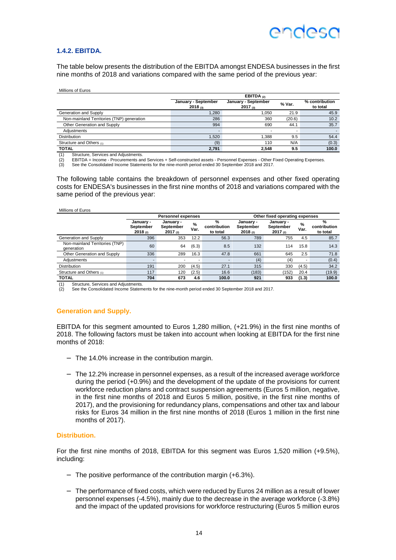#### **1.4.2. EBITDA.**

The table below presents the distribution of the EBITDA amongst ENDESA businesses in the first nine months of 2018 and variations compared with the same period of the previous year:

| Millions of Euros |  |
|-------------------|--|
|-------------------|--|

|                                           | EBITDA $(2)$                   |                                     |        |                            |  |  |  |
|-------------------------------------------|--------------------------------|-------------------------------------|--------|----------------------------|--|--|--|
|                                           | January - September<br>2018(3) | January - September<br>$2017_{(3)}$ | % Var. | % contribution<br>to total |  |  |  |
| Generation and Supply                     | .280                           | 1.050                               | 21.9   | 45.9                       |  |  |  |
| Non-mainland Territories (TNP) generation | 286                            | 360                                 | (20.6) | 10.2                       |  |  |  |
| Other Generation and Supply               | 994                            | 690                                 | 44.1   | 35.7                       |  |  |  |
| Adjustments                               |                                |                                     | ۰      |                            |  |  |  |
| <b>Distribution</b>                       | .520                           | 1.388                               | 9.5    | 54.4                       |  |  |  |
| Structure and Others (1)                  | (9)                            | 110                                 | N/A    | (0.3)                      |  |  |  |
| <b>TOTAL</b>                              | 2.791                          | 2.548                               | 9.5    | 100.0                      |  |  |  |

(1) Structure, Services and Adjustments.<br> $(2)$  EBITDA – Income - Procurements and

(2) EBITDA = Income - Procurements and Services + Self-constructed assets - Personnel Expenses - Other Fixed Operating Expenses.<br>(3) See the Consolidated Income Statements for the nine-month period ended 30 September 2018

See the Consolidated Income Statements for the nine-month period ended 30 September 2018 and 2017.

The following table contains the breakdown of personnel expenses and other fixed operating costs for ENDESA's businesses in the first nine months of 2018 and variations compared with the same period of the previous year:

| Millions of Euros |  |
|-------------------|--|
|                   |  |

|                                              | <b>Personnel expenses</b>         |                                    |           | Other fixed operating expenses |                                   |                                        |           |                               |
|----------------------------------------------|-----------------------------------|------------------------------------|-----------|--------------------------------|-----------------------------------|----------------------------------------|-----------|-------------------------------|
|                                              | January -<br>September<br>2018(2) | January -<br>September<br>2017 (2) | %<br>Var. | %<br>contribution<br>to total  | January -<br>September<br>2018(2) | January -<br>September<br>$2017_{(2)}$ | %<br>Var. | %<br>contribution<br>to total |
| Generation and Supply                        | 396                               | 353                                | 12.2      | 56.3                           | 789                               | 755                                    | 4.5       | 85.7                          |
| Non-mainland Territories (TNP)<br>generation | 60                                | 64                                 | (6.3)     | 8.5                            | 132                               | 114                                    | 15.8      | 14.3                          |
| Other Generation and Supply                  | 336                               | 289                                | 16.3      | 47.8                           | 661                               | 645                                    | 2.5       | 71.8                          |
| Adiustments                                  |                                   |                                    | -         |                                | (4)                               | (4)                                    |           | (0.4)                         |
| <b>Distribution</b>                          | 191                               | 200                                | (4.5)     | 27.1                           | 315                               | 330                                    | (4.5)     | 34.2                          |
| Structure and Others (1)                     | 117                               | 120                                | (2.5)     | 16.6                           | (183)                             | (152)                                  | 20.4      | (19.9)                        |
| <b>TOTAL</b>                                 | 704                               | 673                                | 4.6       | 100.0                          | 921                               | 933                                    | (1.3)     | 100.0                         |

(1) Structure, Services and Adjustments.

See the Consolidated Income Statements for the nine-month period ended 30 September 2018 and 2017.

#### **Generation and Supply.**

EBITDA for this segment amounted to Euros 1,280 million, (+21.9%) in the first nine months of 2018. The following factors must be taken into account when looking at EBITDA for the first nine months of 2018:

- − The 14.0% increase in the contribution margin.
- − The 12.2% increase in personnel expenses, as a result of the increased average workforce during the period (+0.9%) and the development of the update of the provisions for current workforce reduction plans and contract suspension agreements (Euros 5 million, negative, in the first nine months of 2018 and Euros 5 million, positive, in the first nine months of 2017), and the provisioning for redundancy plans, compensations and other tax and labour risks for Euros 34 million in the first nine months of 2018 (Euros 1 million in the first nine months of 2017).

#### **Distribution.**

For the first nine months of 2018, EBITDA for this segment was Euros 1,520 million (+9.5%), including:

- − The positive performance of the contribution margin (+6.3%).
- − The performance of fixed costs, which were reduced by Euros 24 million as a result of lower personnel expenses (-4.5%), mainly due to the decrease in the average workforce (-3.8%) and the impact of the updated provisions for workforce restructuring (Euros 5 million euros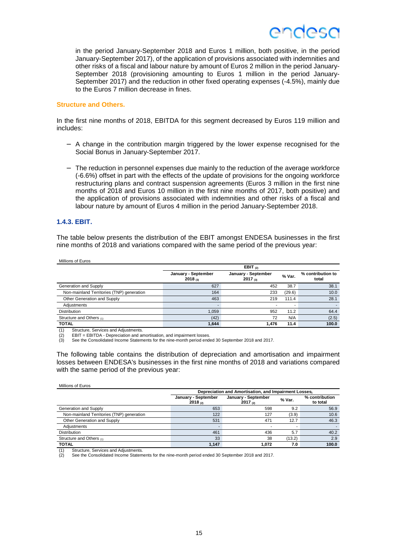

in the period January-September 2018 and Euros 1 million, both positive, in the period January-September 2017), of the application of provisions associated with indemnities and other risks of a fiscal and labour nature by amount of Euros 2 million in the period January-September 2018 (provisioning amounting to Euros 1 million in the period January-September 2017) and the reduction in other fixed operating expenses (-4.5%), mainly due to the Euros 7 million decrease in fines.

#### **Structure and Others.**

In the first nine months of 2018, EBITDA for this segment decreased by Euros 119 million and includes:

- − A change in the contribution margin triggered by the lower expense recognised for the Social Bonus in January-September 2017.
- − The reduction in personnel expenses due mainly to the reduction of the average workforce (-6.6%) offset in part with the effects of the update of provisions for the ongoing workforce restructuring plans and contract suspension agreements (Euros 3 million in the first nine months of 2018 and Euros 10 million in the first nine months of 2017, both positive) and the application of provisions associated with indemnities and other risks of a fiscal and labour nature by amount of Euros 4 million in the period January-September 2018.

#### **1.4.3. EBIT.**

The table below presents the distribution of the EBIT amongst ENDESA businesses in the first nine months of 2018 and variations compared with the same period of the previous year:

| Millions of Euros                         |                                |                                     |        |                            |
|-------------------------------------------|--------------------------------|-------------------------------------|--------|----------------------------|
|                                           |                                | EBIT $(2)$                          |        |                            |
|                                           | January - September<br>2018(3) | January - September<br>$2017_{(3)}$ | % Var. | % contribution to<br>total |
| Generation and Supply                     | 627                            | 452                                 | 38.7   | 38.1                       |
| Non-mainland Territories (TNP) generation | 164                            | 233                                 | (29.6) | 10.0                       |
| Other Generation and Supply               | 463                            | 219                                 | 111.4  | 28.1                       |
| Adjustments                               |                                |                                     |        |                            |
| Distribution                              | 1,059                          | 952                                 | 11.2   | 64.4                       |
| Structure and Others (1)                  | (42)                           | 72                                  | N/A    | (2.5)                      |
| <b>TOTAL</b>                              | 1.644                          | 1.476                               | 11.4   | 100.0                      |

(1) Structure, Services and Adjustments.

(2) EBIT = EBITDA - Depreciation and amortisation, and impairment losses. (3) See the Consolidated Income Statements for the nine-month period ended 30 September 2018 and 2017.

The following table contains the distribution of depreciation and amortisation and impairment losses between ENDESA's businesses in the first nine months of 2018 and variations compared with the same period of the previous year:

| Millions of Euros                         |                                                      |                                     |        |                            |  |  |  |
|-------------------------------------------|------------------------------------------------------|-------------------------------------|--------|----------------------------|--|--|--|
|                                           | Depreciation and Amortisation, and Impairment Losses |                                     |        |                            |  |  |  |
|                                           | January - September<br>2018(2)                       | January - September<br>$2017_{(2)}$ | % Var. | % contribution<br>to total |  |  |  |
| Generation and Supply                     | 653                                                  | 598                                 | 9.2    | 56.9                       |  |  |  |
| Non-mainland Territories (TNP) generation | 122                                                  | 127                                 | (3.9)  | 10.6                       |  |  |  |
| Other Generation and Supply               | 531                                                  | 471                                 | 12.7   | 46.3                       |  |  |  |
| Adiustments                               |                                                      |                                     |        |                            |  |  |  |
| <b>Distribution</b>                       | 461                                                  | 436                                 | 5.7    | 40.2                       |  |  |  |
| Structure and Others (1)                  | 33                                                   | 38                                  | (13.2) | 2.9                        |  |  |  |
| <b>TOTAL</b>                              | 1.147                                                | 1.072                               | 7.0    | 100.0                      |  |  |  |

(1) Structure, Services and Adjustments.<br>(2) See the Consolidated Income Staten See the Consolidated Income Statements for the nine-month period ended 30 September 2018 and 2017.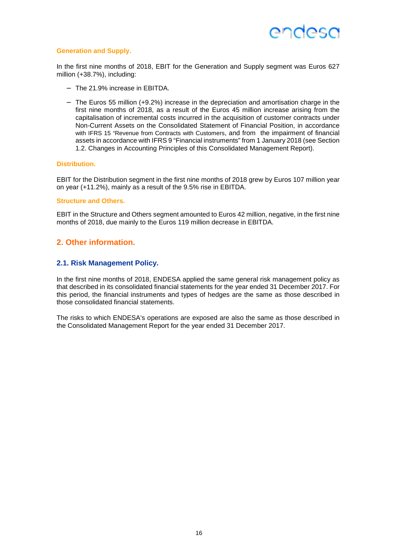

#### **Generation and Supply.**

In the first nine months of 2018, EBIT for the Generation and Supply segment was Euros 627 million (+38.7%), including:

- − The 21.9% increase in EBITDA.
- − The Euros 55 million (+9.2%) increase in the depreciation and amortisation charge in the first nine months of 2018, as a result of the Euros 45 million increase arising from the capitalisation of incremental costs incurred in the acquisition of customer contracts under Non-Current Assets on the Consolidated Statement of Financial Position, in accordance with IFRS 15 "Revenue from Contracts with Customers, and from the impairment of financial assets in accordance with IFRS 9 "Financial instruments" from 1 January 2018 (see Section 1.2. Changes in Accounting Principles of this Consolidated Management Report).

#### **Distribution.**

EBIT for the Distribution segment in the first nine months of 2018 grew by Euros 107 million year on year (+11.2%), mainly as a result of the 9.5% rise in EBITDA.

#### **Structure and Others.**

EBIT in the Structure and Others segment amounted to Euros 42 million, negative, in the first nine months of 2018, due mainly to the Euros 119 million decrease in EBITDA.

### **2. Other information.**

#### **2.1. Risk Management Policy.**

In the first nine months of 2018, ENDESA applied the same general risk management policy as that described in its consolidated financial statements for the year ended 31 December 2017. For this period, the financial instruments and types of hedges are the same as those described in those consolidated financial statements.

The risks to which ENDESA's operations are exposed are also the same as those described in the Consolidated Management Report for the year ended 31 December 2017.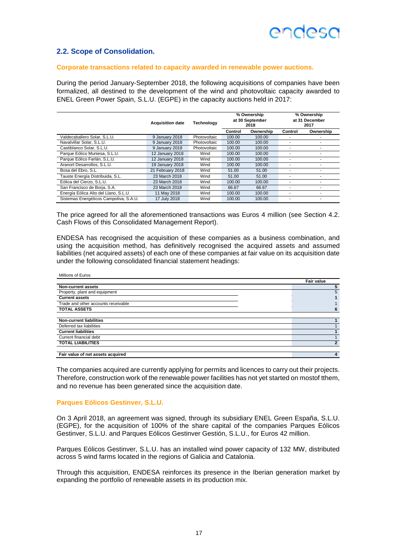### **2.2. Scope of Consolidation.**

#### **Corporate transactions related to capacity awarded in renewable power auctions.**

During the period January-September 2018, the following acquisitions of companies have been formalized, all destined to the development of the wind and photovoltaic capacity awarded to ENEL Green Power Spain, S.L.U. (EGPE) in the capacity auctions held in 2017:

|                                        | <b>Acquisition date</b> | <b>Technology</b> |         | % Ownership<br>at 30 September<br>2018 |         | % Ownership<br>at 31 December<br>2017 |
|----------------------------------------|-------------------------|-------------------|---------|----------------------------------------|---------|---------------------------------------|
|                                        |                         |                   | Control | Ownership                              | Control | Ownership                             |
| Valdecaballero Solar, S.L.U.           | 9 January 2018          | Photovoltaic      | 100.00  | 100.00                                 |         |                                       |
| Navalvillar Solar, S.L.U.              | 9 January 2018          | Photovoltaic      | 100.00  | 100.00                                 |         |                                       |
| Castiblanco Solar, S.L.U.              | 9 January 2018          | Photovoltaic      | 100.00  | 100.00                                 | ۰       |                                       |
| Parque Eólico Muniesa, S.L.U.          | 12 January 2018         | Wind              | 100.00  | 100.00                                 |         |                                       |
| Parque Eólico Farlán, S.L.U.           | 12 January 2018         | Wind              | 100.00  | 100.00                                 |         |                                       |
| Aranort Desarrollos, S.L.U.            | 19 January 2018         | Wind              | 100.00  | 100.00                                 | ۰       | ۰                                     |
| Bosa del Ebro, S.L.                    | 21 February 2018        | Wind              | 51.00   | 51.00                                  |         |                                       |
| Tauste Energía Distribuida, S.L.       | 23 March 2018           | Wind              | 51.00   | 51.00                                  |         |                                       |
| Eólica del Cierzo, S.L.U.              | 23 March 2018           | Wind              | 100.00  | 100.00                                 | ۰       |                                       |
| San Francisco de Borja, S.A.           | 23 March 2018           | Wind              | 66.67   | 66.67                                  |         |                                       |
| Energía Eólica Alto del Llano, S.L.U.  | 11 May 2018             | Wind              | 100.00  | 100.00                                 |         |                                       |
| Sistemas Energéticos Campoliva, S.A.U. | 17 July 2018            | Wind              | 100.00  | 100.00                                 | ۰       |                                       |

The price agreed for all the aforementioned transactions was Euros 4 million (see Section 4.2. Cash Flows of this Consolidated Management Report).

ENDESA has recognised the acquisition of these companies as a business combination, and using the acquisition method, has definitively recognised the acquired assets and assumed liabilities (net acquired assets) of each one of these companies at fair value on its acquisition date under the following consolidated financial statement headings:

| Millions of Euros                   |                   |
|-------------------------------------|-------------------|
|                                     | <b>Fair value</b> |
| <b>Non-current assets</b>           |                   |
| Property, plant and equipment       | 5                 |
| <b>Current assets</b>               |                   |
| Trade and other accounts receivable |                   |
| <b>TOTAL ASSETS</b>                 | 6                 |
|                                     |                   |
| <b>Non-current liabilities</b>      |                   |
| Deferred tax liabilities            |                   |
| <b>Current liabilities</b>          |                   |
| Current financial debt              |                   |
| <b>TOTAL LIABILITIES</b>            | $\overline{2}$    |
|                                     |                   |
| Fair value of net assets acquired   | 4                 |

The companies acquired are currently applying for permits and licences to carry out their projects. Therefore, construction work of the renewable power facilities has not yet started on mostof tthem, and no revenue has been generated since the acquisition date.

#### **Parques Eólicos Gestinver, S.L.U.**

On 3 April 2018, an agreement was signed, through its subsidiary ENEL Green España, S.L.U. (EGPE), for the acquisition of 100% of the share capital of the companies Parques Eólicos Gestinver, S.L.U. and Parques Eólicos Gestinver Gestión, S.L.U., for Euros 42 million.

Parques Eólicos Gestinver, S.L.U. has an installed wind power capacity of 132 MW, distributed across 5 wind farms located in the regions of Galicia and Catalonia.

Through this acquisition, ENDESA reinforces its presence in the Iberian generation market by expanding the portfolio of renewable assets in its production mix.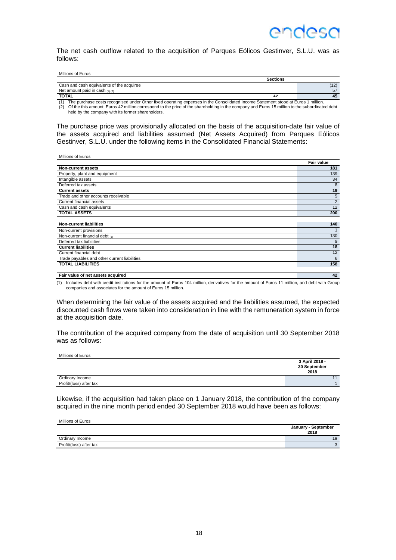The net cash outflow related to the acquisition of Parques Eólicos Gestinver, S.L.U. was as follows:

| Millions of Euros |  |
|-------------------|--|
|-------------------|--|

Millions of Euros

Millions of Euros

| Cash and cash equivalents of the acquiree<br>Net amount paid in cash $(1)(2)$<br><b>TOTAL</b><br>4.2 |                |
|------------------------------------------------------------------------------------------------------|----------------|
|                                                                                                      | (40)           |
|                                                                                                      | 57             |
|                                                                                                      | $\overline{ }$ |

(1) The purchase costs recognised under Other fixed operating expenses in the Consolidated Income Statement stood at Euros 1 million. (2) Of the this amount, Euros 42 million correspond to the price of the shareholding in the company and Euros 15 million to the subordinated debt held by the company with its former shareholders.

The purchase price was provisionally allocated on the basis of the acquisition-date fair value of the assets acquired and liabilities assumed (Net Assets Acquired) from Parques Eólicos Gestinver, S.L.U. under the following items in the Consolidated Financial Statements:

|                                              | <b>Fair value</b> |
|----------------------------------------------|-------------------|
| Non-current assets                           | 181               |
| Property, plant and equipment                | 139               |
| Intangible assets                            | 34                |
| Deferred tax assets                          | 8                 |
| <b>Current assets</b>                        | 19                |
| Trade and other accounts receivable          | 5                 |
| Current financial assets                     | 2                 |
| Cash and cash equivalents                    | 12                |
| <b>TOTAL ASSETS</b>                          | 200               |
|                                              |                   |
| <b>Non-current liabilities</b>               | 140               |
| Non-current provisions                       |                   |
| Non-current financial debt (1)               | 130               |
| Deferred tax liabilities                     | 9                 |
| <b>Current liabilities</b>                   | 18                |
| Current financial debt                       | 12                |
| Trade payables and other current liabilities | 6                 |
| <b>TOTAL LIABILITIES</b>                     | 158               |
|                                              |                   |
| Fair value of net assets acquired            | 42                |

(1) Includes debt with credit institutions for the amount of Euros 104 million, derivatives for the amount of Euros 11 million, and debt with Group companies and associates for the amount of Euros 15 million.

When determining the fair value of the assets acquired and the liabilities assumed, the expected discounted cash flows were taken into consideration in line with the remuneration system in force at the acquisition date.

The contribution of the acquired company from the date of acquisition until 30 September 2018 was as follows:

**3 April 2018 - 30 September 2018**  Ordinary Income **11 Ordinary Income 11 Contract Contract Contract Contract Contract Contract Contract Contract Contract Contract Contract Contract Contract Contract Contract Contract Contract Contract Contract Contract** Profit/(loss) after tax 1

Likewise, if the acquisition had taken place on 1 January 2018, the contribution of the company acquired in the nine month period ended 30 September 2018 would have been as follows:

| Millions of Euros       |                             |
|-------------------------|-----------------------------|
|                         | January - September<br>2018 |
| Ordinary Income         | 19                          |
| Profit/(loss) after tax |                             |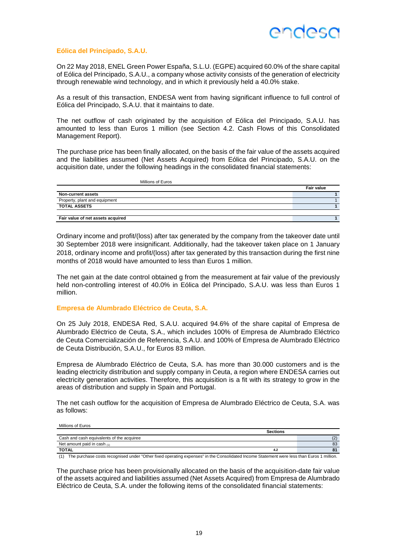

#### **Eólica del Principado, S.A.U.**

On 22 May 2018, ENEL Green Power España, S.L.U. (EGPE) acquired 60.0% of the share capital of Eólica del Principado, S.A.U., a company whose activity consists of the generation of electricity through renewable wind technology, and in which it previously held a 40.0% stake.

As a result of this transaction, ENDESA went from having significant influence to full control of Eólica del Principado, S.A.U. that it maintains to date.

The net outflow of cash originated by the acquisition of Eólica del Principado, S.A.U. has amounted to less than Euros 1 million (see Section 4.2. Cash Flows of this Consolidated Management Report).

The purchase price has been finally allocated, on the basis of the fair value of the assets acquired and the liabilities assumed (Net Assets Acquired) from Eólica del Principado, S.A.U. on the acquisition date, under the following headings in the consolidated financial statements:

| Millions of Euros                 |                   |
|-----------------------------------|-------------------|
|                                   | <b>Fair value</b> |
| Non-current assets                |                   |
| Property, plant and equipment     |                   |
| <b>TOTAL ASSETS</b>               |                   |
|                                   |                   |
| Fair value of net assets acquired |                   |

Ordinary income and profit/(loss) after tax generated by the company from the takeover date until 30 September 2018 were insignificant. Additionally, had the takeover taken place on 1 January 2018, ordinary income and profit/(loss) after tax generated by this transaction during the first nine months of 2018 would have amounted to less than Euros 1 million.

The net gain at the date control obtained g from the measurement at fair value of the previously held non-controlling interest of 40.0% in Eólica del Principado, S.A.U. was less than Euros 1 million.

#### **Empresa de Alumbrado Eléctrico de Ceuta, S.A.**

On 25 July 2018, ENDESA Red, S.A.U. acquired 94.6% of the share capital of Empresa de Alumbrado Eléctrico de Ceuta, S.A., which includes 100% of Empresa de Alumbrado Eléctrico de Ceuta Comercialización de Referencia, S.A.U. and 100% of Empresa de Alumbrado Eléctrico de Ceuta Distribución, S.A.U., for Euros 83 million.

Empresa de Alumbrado Eléctrico de Ceuta, S.A. has more than 30.000 customers and is the leading electricity distribution and supply company in Ceuta, a region where ENDESA carries out electricity generation activities. Therefore, this acquisition is a fit with its strategy to grow in the areas of distribution and supply in Spain and Portugal.

The net cash outflow for the acquisition of Empresa de Alumbrado Eléctrico de Ceuta, S.A. was as follows:

#### Millions of Euros

|                                           | <b>Sections</b> |     |
|-------------------------------------------|-----------------|-----|
| Cash and cash equivalents of the acquiree |                 | (2) |
| Net amount paid in cash $(1)$             |                 | 83  |
| <b>TOTAL</b>                              | 4.2             |     |

(1) The purchase costs recognised under "Other fixed operating expenses" in the Consolidated Income Statement were less than Euros 1 million.

The purchase price has been provisionally allocated on the basis of the acquisition-date fair value of the assets acquired and liabilities assumed (Net Assets Acquired) from Empresa de Alumbrado Eléctrico de Ceuta, S.A. under the following items of the consolidated financial statements: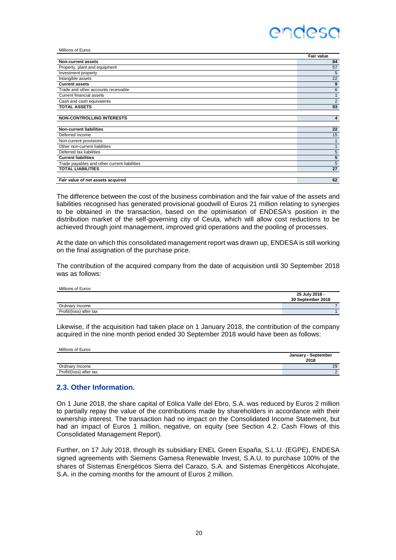| Millions of Euros                            |                |
|----------------------------------------------|----------------|
|                                              | Fair value     |
| <b>Non-current assets</b>                    | 84             |
| Property, plant and equipment                | 57             |
| Investment property                          | 5              |
| Intangible assets                            | 22             |
| <b>Current assets</b>                        | 9              |
| Trade and other accounts receivable          | 6              |
| <b>Current financial assets</b>              | $\mathbf{1}$   |
| Cash and cash equivalents                    | $\overline{2}$ |
| <b>TOTAL ASSETS</b>                          | 93             |
|                                              |                |
| <b>NON-CONTROLLING INTERESTS</b>             | 4              |
|                                              |                |
| <b>Non-current liabilities</b>               | 22             |
| Deferred income                              | 15             |
| Non-current provisions                       |                |
| Other non-current liabilities                |                |
| Deferred tax liabilities                     | 5              |
| <b>Current liabilities</b>                   | 5              |
| Trade payables and other current liabilities | 5              |
| <b>TOTAL LIABILITIES</b>                     | 27             |
|                                              |                |
| Fair value of net assets acquired            | 62             |

The difference between the cost of the business combination and the fair value of the assets and liabilities recognised has generated provisional goodwill of Euros 21 million relating to synergies to be obtained in the transaction, based on the optimisation of ENDESA's position in the distribution market of the self-governing city of Ceuta, which will allow cost reductions to be achieved through joint management, improved grid operations and the pooling of processes.

At the date on which this consolidated management report was drawn up, ENDESA is still working on the final assignation of the purchase price.

The contribution of the acquired company from the date of acquisition until 30 September 2018 was as follows:

| IVIIIIONS OF EUROS      |                   |
|-------------------------|-------------------|
|                         | 25 July 2018 -    |
|                         | 30 September 2018 |
| Ordinary Income         |                   |
| Profit/(loss) after tax |                   |

Likewise, if the acquisition had taken place on 1 January 2018, the contribution of the company acquired in the nine month period ended 30 September 2018 would have been as follows:

| Millions of Euros       |                     |
|-------------------------|---------------------|
|                         | January - September |
|                         | 2018                |
| Ordinary Income         | 29                  |
| Profit/(loss) after tax |                     |

### **2.3. Other Information.**

 $\ldots$   $\ldots$ 

On 1 June 2018, the share capital of Eólica Valle del Ebro, S.A. was reduced by Euros 2 million to partially repay the value of the contributions made by shareholders in accordance with their ownership interest. The transaction had no impact on the Consolidated Income Statement, but had an impact of Euros 1 million, negative, on equity (see Section 4.2. Cash Flows of this Consolidated Management Report).

Further, on 17 July 2018, through its subsidiary ENEL Green España, S.L.U. (EGPE), ENDESA signed agreements with Siemens Gamesa Renewable Invest, S.A.U. to purchase 100% of the shares of Sistemas Energéticos Sierra del Carazo, S.A. and Sistemas Energéticos Alcohujate, S.A. in the coming months for the amount of Euros 2 million.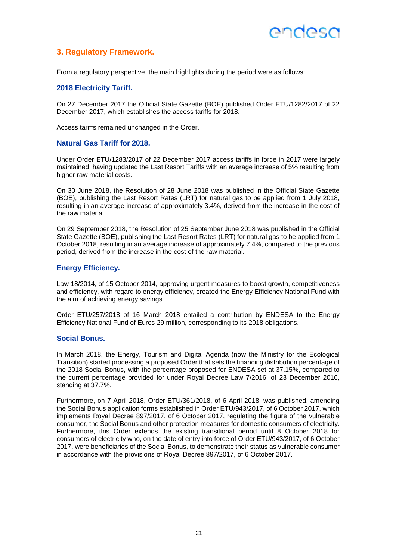### ANNASO

### **3. Regulatory Framework.**

From a regulatory perspective, the main highlights during the period were as follows:

#### **2018 Electricity Tariff.**

On 27 December 2017 the Official State Gazette (BOE) published Order ETU/1282/2017 of 22 December 2017, which establishes the access tariffs for 2018.

Access tariffs remained unchanged in the Order.

#### **Natural Gas Tariff for 2018.**

Under Order ETU/1283/2017 of 22 December 2017 access tariffs in force in 2017 were largely maintained, having updated the Last Resort Tariffs with an average increase of 5% resulting from higher raw material costs.

On 30 June 2018, the Resolution of 28 June 2018 was published in the Official State Gazette (BOE), publishing the Last Resort Rates (LRT) for natural gas to be applied from 1 July 2018, resulting in an average increase of approximately 3.4%, derived from the increase in the cost of the raw material.

On 29 September 2018, the Resolution of 25 September June 2018 was published in the Official State Gazette (BOE), publishing the Last Resort Rates (LRT) for natural gas to be applied from 1 October 2018, resulting in an average increase of approximately 7.4%, compared to the previous period, derived from the increase in the cost of the raw material.

#### **Energy Efficiency.**

Law 18/2014, of 15 October 2014, approving urgent measures to boost growth, competitiveness and efficiency, with regard to energy efficiency, created the Energy Efficiency National Fund with the aim of achieving energy savings.

Order ETU/257/2018 of 16 March 2018 entailed a contribution by ENDESA to the Energy Efficiency National Fund of Euros 29 million, corresponding to its 2018 obligations.

#### **Social Bonus.**

In March 2018, the Energy, Tourism and Digital Agenda (now the Ministry for the Ecological Transition) started processing a proposed Order that sets the financing distribution percentage of the 2018 Social Bonus, with the percentage proposed for ENDESA set at 37.15%, compared to the current percentage provided for under Royal Decree Law 7/2016, of 23 December 2016, standing at 37.7%.

Furthermore, on 7 April 2018, Order ETU/361/2018, of 6 April 2018, was published, amending the Social Bonus application forms established in Order ETU/943/2017, of 6 October 2017, which implements Royal Decree 897/2017, of 6 October 2017, regulating the figure of the vulnerable consumer, the Social Bonus and other protection measures for domestic consumers of electricity. Furthermore, this Order extends the existing transitional period until 8 October 2018 for consumers of electricity who, on the date of entry into force of Order ETU/943/2017, of 6 October 2017, were beneficiaries of the Social Bonus, to demonstrate their status as vulnerable consumer in accordance with the provisions of Royal Decree 897/2017, of 6 October 2017.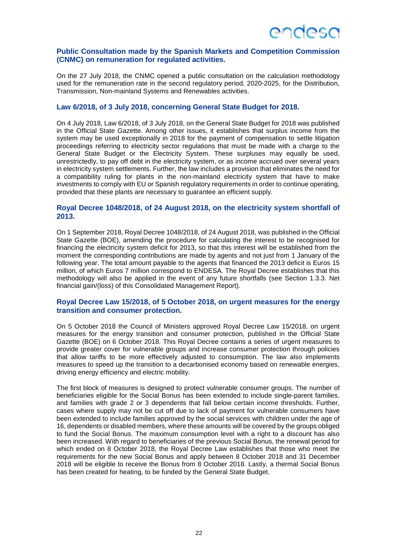

#### **Public Consultation made by the Spanish Markets and Competition Commission (CNMC) on remuneration for regulated activities.**

On the 27 July 2018, the CNMC opened a public consultation on the calculation methodology used for the remuneration rate in the second regulatory period, 2020-2025, for the Distribution, Transmission, Non-mainland Systems and Renewables activities.

#### **Law 6/2018, of 3 July 2018, concerning General State Budget for 2018.**

On 4 July 2018, Law 6/2018, of 3 July 2018, on the General State Budget for 2018 was published in the Official State Gazette. Among other issues, it establishes that surplus income from the system may be used exceptionally in 2018 for the payment of compensation to settle litigation proceedings referring to electricity sector regulations that must be made with a charge to the General State Budget or the Electricity System. These surpluses may equally be used, unrestrictedly, to pay off debt in the electricity system, or as income accrued over several years in electricity system settlements. Further, the law includes a provision that eliminates the need for a compatibility ruling for plants in the non-mainland electricity system that have to make investments to comply with EU or Spanish regulatory requirements in order to continue operating, provided that these plants are necessary to guarantee an efficient supply.

#### **Royal Decree 1048/2018, of 24 August 2018, on the electricity system shortfall of 2013.**

On 1 September 2018, Royal Decree 1048/2018, of 24 August 2018, was published in the Official State Gazette (BOE), amending the procedure for calculating the interest to be recognised for financing the electricity system deficit for 2013, so that this interest will be established from the moment the corresponding contributions are made by agents and not just from 1 January of the following year. The total amount payable to the agents that financed the 2013 deficit is Euros 15 million, of which Euros 7 million correspond to ENDESA. The Royal Decree establishes that this methodology will also be applied in the event of any future shortfalls (see Section 1.3.3. Net financial gain/(loss) of this Consolidated Management Report).

#### **Royal Decree Law 15/2018, of 5 October 2018, on urgent measures for the energy transition and consumer protection.**

On 5 October 2018 the Council of Ministers approved Royal Decree Law 15/2018, on urgent measures for the energy transition and consumer protection, published in the Official State Gazette (BOE) on 6 October 2018. This Royal Decree contains a series of urgent measures to provide greater cover for vulnerable groups and increase consumer protection through policies that allow tariffs to be more effectively adjusted to consumption. The law also implements measures to speed up the transition to a decarbonised economy based on renewable energies, driving energy efficiency and electric mobility.

The first block of measures is designed to protect vulnerable consumer groups. The number of beneficiaries eligible for the Social Bonus has been extended to include single-parent families, and families with grade 2 or 3 dependents that fall below certain income thresholds. Further, cases where supply may not be cut off due to lack of payment for vulnerable consumers have been extended to include families approved by the social services with children under the age of 16, dependents or disabled members, where these amounts will be covered by the groups obliged to fund the Social Bonus. The maximum consumption level with a right to a discount has also been increased. With regard to beneficiaries of the previous Social Bonus, the renewal period for which ended on 8 October 2018, the Royal Decree Law establishes that those who meet the requirements for the new Social Bonus and apply between 8 October 2018 and 31 December 2018 will be eligible to receive the Bonus from 8 October 2018. Lastly, a thermal Social Bonus has been created for heating, to be funded by the General State Budget.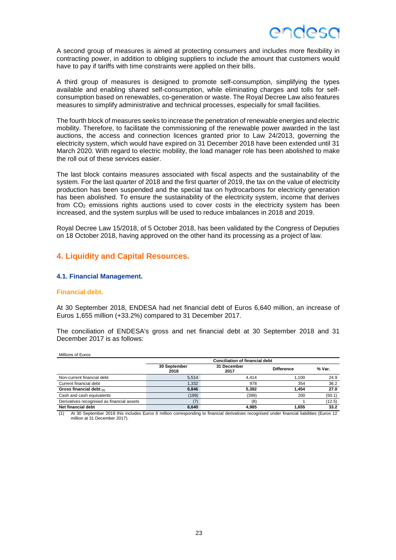

A second group of measures is aimed at protecting consumers and includes more flexibility in contracting power, in addition to obliging suppliers to include the amount that customers would have to pay if tariffs with time constraints were applied on their bills.

A third group of measures is designed to promote self-consumption, simplifying the types available and enabling shared self-consumption, while eliminating charges and tolls for selfconsumption based on renewables, co-generation or waste. The Royal Decree Law also features measures to simplify administrative and technical processes, especially for small facilities.

The fourth block of measures seeks to increase the penetration of renewable energies and electric mobility. Therefore, to facilitate the commissioning of the renewable power awarded in the last auctions, the access and connection licences granted prior to Law 24/2013, governing the electricity system, which would have expired on 31 December 2018 have been extended until 31 March 2020. With regard to electric mobility, the load manager role has been abolished to make the roll out of these services easier.

The last block contains measures associated with fiscal aspects and the sustainability of the system. For the last quarter of 2018 and the first quarter of 2019, the tax on the value of electricity production has been suspended and the special tax on hydrocarbons for electricity generation has been abolished. To ensure the sustainability of the electricity system, income that derives from  $CO<sub>2</sub>$  emissions rights auctions used to cover costs in the electricity system has been increased, and the system surplus will be used to reduce imbalances in 2018 and 2019.

Royal Decree Law 15/2018, of 5 October 2018, has been validated by the Congress of Deputies on 18 October 2018, having approved on the other hand its processing as a project of law.

#### **4. Liquidity and Capital Resources.**

#### **4.1. Financial Management.**

#### **Financial debt.**

At 30 September 2018, ENDESA had net financial debt of Euros 6,640 million, an increase of Euros 1,655 million (+33.2%) compared to 31 December 2017.

The conciliation of ENDESA's gross and net financial debt at 30 September 2018 and 31 December 2017 is as follows:

Millions of Euros **Conciliation of financial debt 30 September 2018 31 December <sup>2017</sup>Difference % Var.**  Non-current financial debt 6,514 4,414 1,100 24.9 Current financial debt 1,332 978 354 36.2 **Gross financial debt (1) 6,846 5,392 1,454 27.0**  Cash and cash equivalents (199) (399) 200 (50.1) Derivatives recognised as financial assets (7) (8) 1 (12.5) **Net financial debt 6,640 4,985 1,655 33.2** 

(1) At 30 September 2018 this includes Euros 6 million corresponding to financial derivatives recognised under financial liabilities (Euros 12 million at 31 December 2017).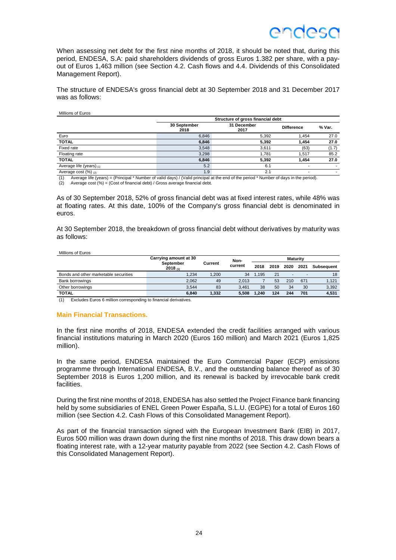When assessing net debt for the first nine months of 2018, it should be noted that, during this period, ENDESA, S.A: paid shareholders dividends of gross Euros 1.382 per share, with a payout of Euros 1,463 million (see Section 4.2. Cash flows and 4.4. Dividends of this Consolidated Management Report).

The structure of ENDESA's gross financial debt at 30 September 2018 and 31 December 2017 was as follows:

Millions of Euros

|                            | Structure of gross financial debt |                     |                   |        |  |
|----------------------------|-----------------------------------|---------------------|-------------------|--------|--|
|                            | 30 September<br>2018              | 31 December<br>2017 | <b>Difference</b> | % Var. |  |
| Euro                       | 6.846                             | 5,392               | 1.454             | 27.0   |  |
| <b>TOTAL</b>               | 6,846                             | 5,392               | 1.454             | 27.0   |  |
| Fixed rate                 | 3,548                             | 3,611               | (63)              | (1.7)  |  |
| Floating rate              | 3,298                             | 1.781               | 1,517             | 85.2   |  |
| <b>TOTAL</b>               | 6,846                             | 5,392               | 1.454             | 27.0   |  |
| Average life (years) $(1)$ | 5.2                               | 6.1                 |                   |        |  |
| Average cost $(\%)_{(2)}$  | 1.9                               | 2.1                 |                   |        |  |

(1) Average life (years) = (Principal \* Number of valid days) / (Valid principal at the end of the period \* Number of days in the period). (2) Average cost (%) = (Cost of financial debt) / Gross average financial debt.

As of 30 September 2018, 52% of gross financial debt was at fixed interest rates, while 48% was at floating rates. At this date, 100% of the Company's gross financial debt is denominated in euros.

At 30 September 2018, the breakdown of gross financial debt without derivatives by maturity was as follows:

Millions of Euros

|                                       | Carrying amount at 30 | Non-    |         |       |      |      | <b>Maturity</b> |                   |
|---------------------------------------|-----------------------|---------|---------|-------|------|------|-----------------|-------------------|
|                                       | September<br>2018(1)  | Current | current | 2018  | 2019 | 2020 | 2021            | <b>Subsequent</b> |
| Bonds and other marketable securities | 1.234                 | 1.200   | 34      | 1.195 | 21   | -    |                 | 18                |
| Bank borrowings                       | 2.062                 | 49      | 2.013   |       | 53   | 210  | 671             | 1,121             |
| Other borrowings                      | 3.544                 | 83      | 3.461   | 38    | 50   | 34   | 30              | 3,392             |
| <b>TOTAL</b>                          | 6.840                 | 1.332   | 5.508   | 1.240 | 124  | 244  | 701             | 4,531             |

(1) Excludes Euros 6 million corresponding to financial derivatives.

#### **Main Financial Transactions.**

In the first nine months of 2018, ENDESA extended the credit facilities arranged with various financial institutions maturing in March 2020 (Euros 160 million) and March 2021 (Euros 1,825 million).

In the same period, ENDESA maintained the Euro Commercial Paper (ECP) emissions programme through International ENDESA, B.V., and the outstanding balance thereof as of 30 September 2018 is Euros 1,200 million, and its renewal is backed by irrevocable bank credit facilities.

During the first nine months of 2018, ENDESA has also settled the Project Finance bank financing held by some subsidiaries of ENEL Green Power España, S.L.U. (EGPE) for a total of Euros 160 million (see Section 4.2. Cash Flows of this Consolidated Management Report).

As part of the financial transaction signed with the European Investment Bank (EIB) in 2017, Euros 500 million was drawn down during the first nine months of 2018. This draw down bears a floating interest rate, with a 12-year maturity payable from 2022 (see Section 4.2. Cash Flows of this Consolidated Management Report).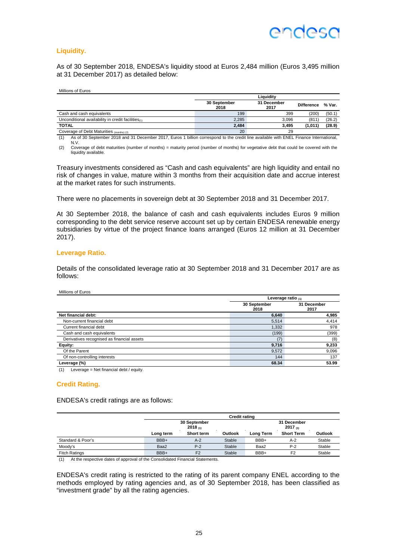## ANNASO

#### **Liquidity.**

As of 30 September 2018, ENDESA's liquidity stood at Euros 2,484 million (Euros 3,495 million at 31 December 2017) as detailed below:

| Millions of Euros |  |
|-------------------|--|
|-------------------|--|

|                                                       | Liauiditv            |                     |                   |        |  |  |
|-------------------------------------------------------|----------------------|---------------------|-------------------|--------|--|--|
|                                                       | 30 September<br>2018 | 31 December<br>2017 | <b>Difference</b> | % Var. |  |  |
| Cash and cash equivalents                             | 199                  | 399                 | (200)             | (50.1) |  |  |
| Unconditional availability in credit facilities $(1)$ | 2.285                | 3.096               | (811)             | (26.2) |  |  |
| <b>TOTAL</b>                                          | 2.484                | 3.495               | (1,011)           | (28.9) |  |  |
| Coverage of Debt Maturities (months) (2)              | 20                   | 29                  |                   |        |  |  |

(1) As of 30 September 2018 and 31 December 2017, Euros 1 billion correspond to the credit line available with ENEL Finance International, N.V.

(2) Coverage of debt maturities (number of months) = maturity period (number of months) for vegetative debt that could be covered with the liquidity available.

Treasury investments considered as "Cash and cash equivalents" are high liquidity and entail no risk of changes in value, mature within 3 months from their acquisition date and accrue interest at the market rates for such instruments.

There were no placements in sovereign debt at 30 September 2018 and 31 December 2017.

At 30 September 2018, the balance of cash and cash equivalents includes Euros 9 million corresponding to the debt service reserve account set up by certain ENDESA renewable energy subsidiaries by virtue of the project finance loans arranged (Euros 12 million at 31 December 2017).

#### **Leverage Ratio.**

Details of the consolidated leverage ratio at 30 September 2018 and 31 December 2017 are as follows:

| Millions of Euros |  |
|-------------------|--|
|                   |  |

|                      | Leverage ratio $(1)$ |  |  |
|----------------------|----------------------|--|--|
| 30 September<br>2018 | 31 December<br>2017  |  |  |
| 6,640                | 4,985                |  |  |
| 5,514                | 4,414                |  |  |
| 1,332                | 978                  |  |  |
| (199)                | (399)                |  |  |
| (7                   | (8)                  |  |  |
| 9,716                | 9,233                |  |  |
| 9,572                | 9,096                |  |  |
| 144                  | 137                  |  |  |
| 68.34                | 53.99                |  |  |
|                      |                      |  |  |

(1) Leverage = Net financial debt / equity.

#### **Credit Rating.**

ENDESA's credit ratings are as follows:

|                      | <b>Credit rating</b> |                         |         |           |                        |         |
|----------------------|----------------------|-------------------------|---------|-----------|------------------------|---------|
|                      |                      | 30 September<br>2018(1) |         |           | 31 December<br>2017(1) |         |
|                      | Long term            | Short term              | Outlook | Long Term | <b>Short Term</b>      | Outlook |
| Standard & Poor's    | BBB+                 | $A-2$                   | Stable  | BBB+      | $A-2$                  | Stable  |
| Moody's              | Baa2                 | $P-2$                   | Stable  | Baa2      | $P-2$                  | Stable  |
| <b>Fitch Ratings</b> | BBB+                 | F <sub>2</sub>          | Stable  | BBB+      | F <sub>2</sub>         | Stable  |

(1) At the respective dates of approval of the Consolidated Financial Statements.

ENDESA's credit rating is restricted to the rating of its parent company ENEL according to the methods employed by rating agencies and, as of 30 September 2018, has been classified as "investment grade" by all the rating agencies.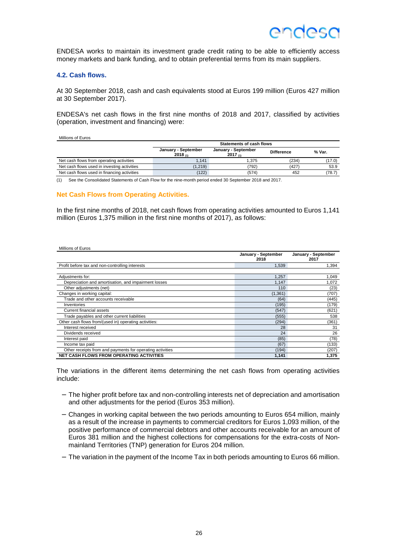ENDESA works to maintain its investment grade credit rating to be able to efficiently access money markets and bank funding, and to obtain preferential terms from its main suppliers.

#### **4.2. Cash flows.**

At 30 September 2018, cash and cash equivalents stood at Euros 199 million (Euros 427 million at 30 September 2017).

ENDESA's net cash flows in the first nine months of 2018 and 2017, classified by activities (operation, investment and financing) were:

Millions of Euros

|                                             | <b>Statements of cash flows</b> |                              |                   |        |  |
|---------------------------------------------|---------------------------------|------------------------------|-------------------|--------|--|
|                                             | January - September<br>2018(1)  | January - September<br>2017m | <b>Difference</b> | % Var. |  |
| Net cash flows from operating activities    | 1.141                           | 1.375                        | (234)             | (17.0) |  |
| Net cash flows used in investing activities | (1, 219)                        | 792)                         | (427)             | 53.9   |  |
| Net cash flows used in financing activities | (122)                           | (574)                        | 452               | (78.7) |  |

(1) See the Consolidated Statements of Cash Flow for the nine-month period ended 30 September 2018 and 2017.

#### **Net Cash Flows from Operating Activities.**

In the first nine months of 2018, net cash flows from operating activities amounted to Euros 1,141 million (Euros 1,375 million in the first nine months of 2017), as follows:

| Millions of Euros                                         |                             |                             |
|-----------------------------------------------------------|-----------------------------|-----------------------------|
|                                                           | January - September<br>2018 | January - September<br>2017 |
| Profit before tax and non-controlling interests           | 1,539                       | 1,394                       |
| Adjustments for:                                          | 1,257                       | 1,049                       |
| Depreciation and amortisation, and impairment losses      | 1,147                       | 1,072                       |
| Other adjustments (net)                                   | 110                         | (23)                        |
| Changes in working capital:                               | (1, 361)                    | (707)                       |
| Trade and other accounts receivable                       | (64)                        | (445)                       |
| Inventories                                               | (195)                       | (179)                       |
| <b>Current financial assets</b>                           | (547)                       | (621)                       |
| Trade payables and other current liabilities              | (555)                       | 538                         |
| Other cash flows from/(used in) operating activities:     | (294)                       | (361)                       |
| Interest received                                         | 28                          | 31                          |
| Dividends received                                        | 24                          | 26                          |
| Interest paid                                             | (85)                        | (78)                        |
| Income tax paid                                           | (67)                        | (133)                       |
| Other receipts from and payments for operating activities | (194)                       | (207)                       |
| <b>NET CASH FLOWS FROM OPERATING ACTIVITIES</b>           | 1,141                       | 1,375                       |

The variations in the different items determining the net cash flows from operating activities include:

- − The higher profit before tax and non-controlling interests net of depreciation and amortisation and other adjustments for the period (Euros 353 million).
- − Changes in working capital between the two periods amounting to Euros 654 million, mainly as a result of the increase in payments to commercial creditors for Euros 1,093 million, of the positive performance of commercial debtors and other accounts receivable for an amount of Euros 381 million and the highest collections for compensations for the extra-costs of Nonmainland Territories (TNP) generation for Euros 204 million.
- − The variation in the payment of the Income Tax in both periods amounting to Euros 66 million.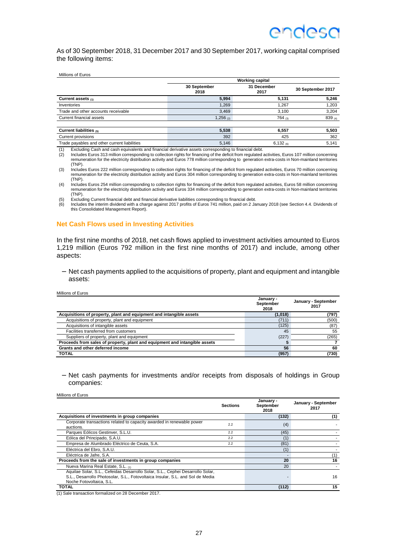As of 30 September 2018, 31 December 2017 and 30 September 2017, working capital comprised the following items:

|  | Millions of Euros |
|--|-------------------|
|--|-------------------|

|                                              | <b>Working capital</b> |                     |                   |
|----------------------------------------------|------------------------|---------------------|-------------------|
|                                              | 30 September<br>2018   | 31 December<br>2017 | 30 September 2017 |
| Current assets $(1)$                         | 5.994                  | 5.131               | 5,246             |
| Inventories                                  | 1.269                  | 1.267               | 1,203             |
| Trade and other accounts receivable          | 3.469                  | 3,100               | 3,204             |
| Current financial assets                     | 1,256 (2)              | 764 $(3)$           | 839 (4)           |
| Current liabilities (5)                      | 5,538                  | 6.557               | 5,503             |
| Current provisions                           | 392                    | 425                 | 362               |
| Trade payables and other current liabilities | 5,146                  | $6,132$ (6)         | 5,141             |

(1) Excluding Cash and cash equivalents and financial derivative assets corresponding to financial debt.

(2) Includes Euros 313 million corresponding to collection rights for financing of the deficit from regulated activities, Euros 107 million concerning remuneration for the electricity distribution activity and Euros 778 million corresponding to generation extra-costs in Non-mainland territories (TNP).

(3) Includes Euros 222 million corresponding to collection rights for financing of the deficit from regulated activities, Euros 70 million concerning remuneration for the electricity distribution activity and Euros 304 million corresponding to generation extra-costs in Non-mainland territories (TNP).

(4) Includes Euros 254 million corresponding to collection rights for financing of the deficit from regulated activities, Euros 58 million concerning remuneration for the electricity distribution activity and Euros 334 million corresponding to generation extra-costs in Non-mainland territories (TNP).

(5) Excluding Current financial debt and financial derivative liabilities corresponding to financial debt.

(6) Includes the interim dividend with a charge against 2017 profits of Euros 741 million, paid on 2 January 2018 (see Section 4.4. Dividends of this Consolidated Management Report).

#### **Net Cash Flows used in Investing Activities**

In the first nine months of 2018, net cash flows applied to investment activities amounted to Euros 1,219 million (Euros 792 million in the first nine months of 2017) and include, among other aspects:

− Net cash payments applied to the acquisitions of property, plant and equipment and intangible assets:

| Millions of Euros                                                          |                                |                             |
|----------------------------------------------------------------------------|--------------------------------|-----------------------------|
|                                                                            | January -<br>September<br>2018 | January - September<br>2017 |
| Acquisitions of property, plant and equipment and intangible assets        | (1,018)                        | (797)                       |
| Acquisitions of property, plant and equipment                              | (711)                          | (500)                       |
| Acquisitions of intangible assets                                          | (125)                          | (87)                        |
| Facilities transferred from customers                                      | 45                             | 55                          |
| Suppliers of property, plant and equipment                                 | (227)                          | (265)                       |
| Proceeds from sales of property, plant and equipment and intangible assets |                                |                             |
| Grants and other deferred income                                           | 56                             | 60                          |
| <b>TOTAL</b>                                                               | (957)                          | (730)                       |

− Net cash payments for investments and/or receipts from disposals of holdings in Group companies:

|                                                                                                                                                                                              | <b>Sections</b> | January -<br>September<br>2018 | January - September<br>2017 |
|----------------------------------------------------------------------------------------------------------------------------------------------------------------------------------------------|-----------------|--------------------------------|-----------------------------|
| Acquisitions of investments in group companies                                                                                                                                               |                 | (132)                          | (1)                         |
| Corporate transactions related to capacity awarded in renewable power<br>auctions.                                                                                                           | 2.2             | (4)                            |                             |
| Parques Eólicos Gestinver, S.L.U.                                                                                                                                                            | 2.2             | (45)                           |                             |
| Eólica del Principado, S.A.U.                                                                                                                                                                | 2.2             | (1)                            |                             |
| Empresa de Alumbrado Eléctrico de Ceuta, S.A.                                                                                                                                                | 2.2             | (81)                           |                             |
| Eléctrica del Ebro, S.A.U.                                                                                                                                                                   |                 | (1)                            |                             |
| Eléctrica de Jafre, S.A.                                                                                                                                                                     |                 |                                | (1)                         |
| Proceeds from the sale of investments in group companies                                                                                                                                     |                 | 20                             | 16                          |
| Nueva Marina Real Estate, S.L. (1)                                                                                                                                                           |                 | 20                             |                             |
| Aquilae Solar, S.L., Cefeidas Desarrollo Solar, S.L., Cephei Desarrollo Solar,<br>S.L., Desarrollo Photosolar, S.L., Fotovoltaica Insular, S.L. and Sol de Media<br>Noche Fotovoltaica, S.L. |                 |                                | 16                          |
| <b>TOTAL</b>                                                                                                                                                                                 |                 | (112)                          | 15                          |

(1) Sale transaction formalized on 28 December 2017.

Millions of Euros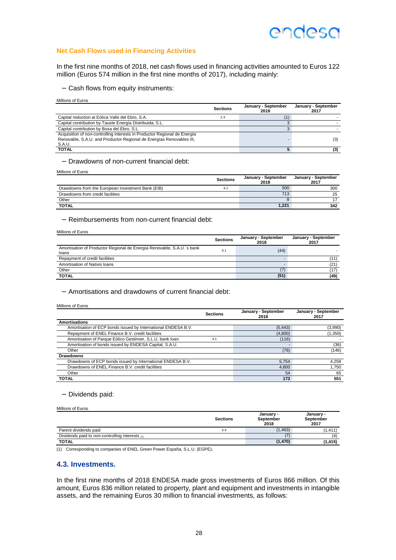#### **Net Cash Flows used in Financing Activities**

In the first nine months of 2018, net cash flows used in financing activities amounted to Euros 122 million (Euros 574 million in the first nine months of 2017), including mainly:

− Cash flows from equity instruments:

Millions of Euros

|                                                                                                                                                             | <b>Sections</b> | January - September<br>2018 | January - September<br>2017 |
|-------------------------------------------------------------------------------------------------------------------------------------------------------------|-----------------|-----------------------------|-----------------------------|
| Capital reduction at Eólica Valle del Ebro, S.A.                                                                                                            | 2.3             |                             |                             |
| Capital contribution by Tauste Energía Distribuida, S.L.                                                                                                    |                 |                             |                             |
| Capital contribution by Bosa del Ebro, S.L.                                                                                                                 |                 |                             |                             |
| Acquisition of non-controlling interests in Productor Regional de Energía<br>Renovable, S.A.U. and Productor Regional de Energías Renovables III,<br>S.A.U. |                 |                             | (3)                         |
| <b>TOTAL</b>                                                                                                                                                |                 |                             | (3)                         |

− Drawdowns of non-current financial debt:

Millions of Euros

|                                                   | <b>Sections</b> | January - September<br>2018 | January - September<br>2017 |
|---------------------------------------------------|-----------------|-----------------------------|-----------------------------|
| Drawdowns from the European Investment Bank (EIB) | 4.1             | 500                         | 300                         |
| Drawdowns from credit facilities                  |                 | 713                         | 25                          |
| Other                                             |                 |                             |                             |
| <b>TOTAL</b>                                      |                 | 1.221                       | 342                         |

− Reimbursements from non-current financial debt:

Millions of Euros

|                                                                                 | <b>Sections</b> | January - September<br>2018 | January - September<br>2017 |
|---------------------------------------------------------------------------------|-----------------|-----------------------------|-----------------------------|
| Amortisation of Productor Regional de Energía Renovable, S.A.U. s bank<br>loans | 4.1             | (44)                        |                             |
| Repayment of credit facilities                                                  |                 |                             | (11)                        |
| Amortisation of Natixis Ioans                                                   |                 |                             | (21)                        |
| Other                                                                           |                 | (7)                         | (17)                        |
| <b>TOTAL</b>                                                                    |                 | (51)                        | (49)                        |

− Amortisations and drawdowns of current financial debt:

Millions of Euros

|                                                               | <b>Sections</b> | January - September<br>2018 | January - September<br>2017 |
|---------------------------------------------------------------|-----------------|-----------------------------|-----------------------------|
| <b>Amortisations</b>                                          |                 |                             |                             |
| Amortisation of ECP bonds issued by International ENDESA B.V. |                 | (5, 443)                    | (3,990)                     |
| Repayment of ENEL Finance B.V. credit facilities              |                 | (4,800)                     | (1,350)                     |
| Amortisation of Parque Eólico Gestinver, S.L.U. bank loan     | 4.1             | (116)                       |                             |
| Amortisation of bonds issued by ENDESA Capital, S.A.U.        |                 |                             | (36)                        |
| Other                                                         |                 | (76)                        | (146)                       |
| <b>Drawdowns</b>                                              |                 |                             |                             |
| Drawdowns of ECP bonds issued by International ENDESA B.V.    |                 | 5.754                       | 4,258                       |
| Drawdowns of ENEL Finance B.V. credit facilities              |                 | 4.800                       | 1.750                       |
| Other                                                         |                 | 54                          | 65                          |
| <b>TOTAL</b>                                                  |                 | 173                         | 551                         |

#### − Dividends paid:

Millions of Euros

|                                                 | <b>Sections</b> | January -<br>September<br>2018 | January -<br>September<br>2017 |
|-------------------------------------------------|-----------------|--------------------------------|--------------------------------|
| Parent dividends paid                           | 4.4             | (1.463)                        | (1.411)                        |
| Dividends paid to non-controlling interests (1) |                 |                                | (4                             |
| <b>TOTAL</b>                                    |                 | (1, 470)                       | (1, 415)                       |

(1) Corresponding to companies of ENEL Green Power España, S.L.U. (EGPE).

#### **4.3. Investments.**

In the first nine months of 2018 ENDESA made gross investments of Euros 866 million. Of this amount, Euros 836 million related to property, plant and equipment and investments in intangible assets, and the remaining Euros 30 million to financial investments, as follows: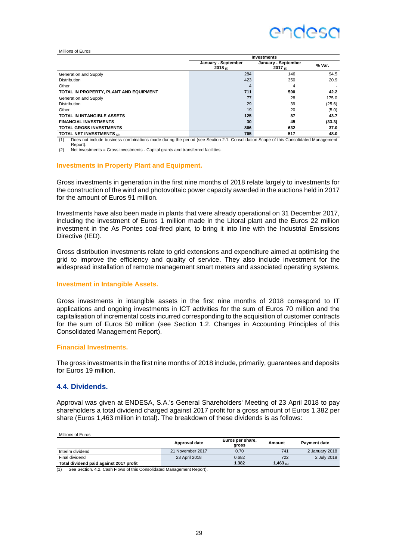## ANNASO

#### Millions of Euros

|                                             | <b>Investments</b>                   |                                      |        |  |  |
|---------------------------------------------|--------------------------------------|--------------------------------------|--------|--|--|
|                                             | January - September<br>2018 $_{(1)}$ | January - September<br>2017 $_{(1)}$ | % Var. |  |  |
| Generation and Supply                       | 284                                  | 146                                  | 94.5   |  |  |
| <b>Distribution</b>                         | 423                                  | 350                                  | 20.9   |  |  |
| Other                                       | 4                                    | 4                                    |        |  |  |
| TOTAL IN PROPERTY, PLANT AND EQUIPMENT      | 711                                  | 500                                  | 42.2   |  |  |
| Generation and Supply                       | 77                                   | 28                                   | 175.0  |  |  |
| <b>Distribution</b>                         | 29                                   | 39                                   | (25.6) |  |  |
| Other                                       | 19                                   | 20                                   | (5.0)  |  |  |
| <b>TOTAL IN INTANGIBLE ASSETS</b>           | 125                                  | 87                                   | 43.7   |  |  |
| <b>FINANCIAL INVESTMENTS</b>                | 30                                   | 45                                   | (33.3) |  |  |
| <b>TOTAL GROSS INVESTMENTS</b>              | 866                                  | 632                                  | 37.0   |  |  |
| TOTAL NET INVESTMENTS (2)                   | 765                                  | 517                                  | 48.0   |  |  |
| .<br>$\cdots$<br>$\cdots$ $\cdots$ $\cdots$ | $\cdot$ $\cdot$ $\cdot$<br>.<br>     | .<br>.<br>$\sim$                     |        |  |  |

(1) Does not include business combinations made during the period (see Section 2.1. Consolidation Scope of this Consolidated Management Report).

(2) Net investments = Gross investments - Capital grants and transferred facilities.

#### **Investments in Property Plant and Equipment.**

Gross investments in generation in the first nine months of 2018 relate largely to investments for the construction of the wind and photovoltaic power capacity awarded in the auctions held in 2017 for the amount of Euros 91 million.

Investments have also been made in plants that were already operational on 31 December 2017, including the investment of Euros 1 million made in the Litoral plant and the Euros 22 million investment in the As Pontes coal-fired plant, to bring it into line with the Industrial Emissions Directive (IED).

Gross distribution investments relate to grid extensions and expenditure aimed at optimising the grid to improve the efficiency and quality of service. They also include investment for the widespread installation of remote management smart meters and associated operating systems.

#### **Investment in Intangible Assets.**

Gross investments in intangible assets in the first nine months of 2018 correspond to IT applications and ongoing investments in ICT activities for the sum of Euros 70 million and the capitalisation of incremental costs incurred corresponding to the acquisition of customer contracts for the sum of Euros 50 million (see Section 1.2. Changes in Accounting Principles of this Consolidated Management Report).

#### **Financial Investments.**

The gross investments in the first nine months of 2018 include, primarily, guarantees and deposits for Euros 19 million.

#### **4.4. Dividends.**

Approval was given at ENDESA, S.A.'s General Shareholders' Meeting of 23 April 2018 to pay shareholders a total dividend charged against 2017 profit for a gross amount of Euros 1.382 per share (Euros 1,463 million in total). The breakdown of these dividends is as follows:

| Millions of Euros                       |                  |                           |                |                     |
|-----------------------------------------|------------------|---------------------------|----------------|---------------------|
|                                         | Approval date    | Euros per share,<br>gross | Amount         | <b>Payment date</b> |
| Interim dividend                        | 21 November 2017 | 0.70                      | 741            | 2 January 2018      |
| Final dividend                          | 23 April 2018    | 0.682                     | 722            | 2 July 2018         |
| Total dividend paid against 2017 profit |                  | 1.382                     | 1,463 $_{(1)}$ |                     |

(1) See Section. 4.2. Cash Flows of this Consolidated Management Report).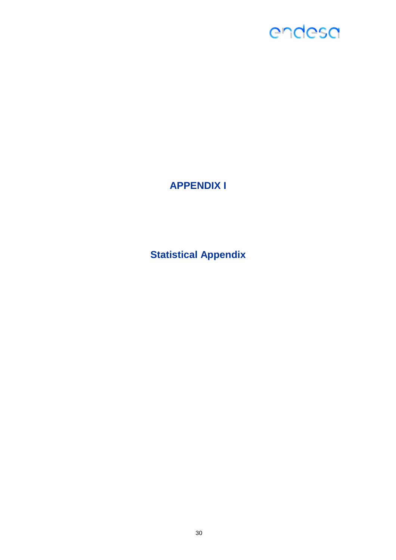### **APPENDIX I**

**Statistical Appendix**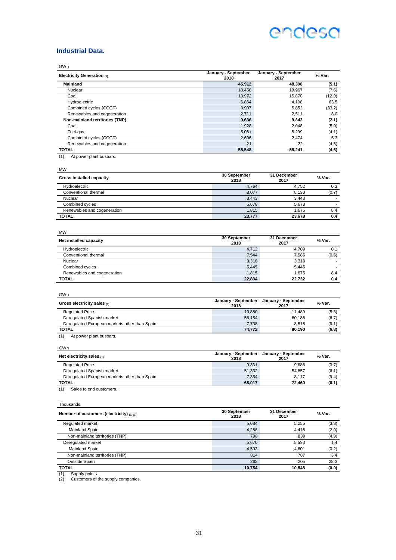#### **Industrial Data.**

| Electricity Generation (1)                    | January - September<br>2018 | January - September<br>2017 | % Var.         |
|-----------------------------------------------|-----------------------------|-----------------------------|----------------|
| Mainland                                      | 45,912                      | 48,398                      | (5.1)          |
| Nuclear                                       | 18,458                      | 19,967                      | (7.6)          |
| Coal                                          | 13,972                      | 15,870                      | (12.0)         |
| Hydroelectric                                 | 6,864                       | 4,198                       | 63.5           |
| Combined cycles (CCGT)                        | 3,907                       | 5,852                       | (33.2)         |
| Renewables and cogeneration                   | 2,711                       | 2,511                       | 8.0            |
| Non-mainland territories (TNP)                | 9,636                       | 9,843                       | (2.1)          |
| Coal                                          | 1,928                       | 2.048                       | (5.9)          |
| Fuel-gas                                      | 5,081                       | 5,299                       | (4.1)          |
| Combined cycles (CCGT)                        | 2,606                       | 2.474                       | 5.3            |
| Renewables and cogeneration                   | 21                          | 22                          | (4.5)          |
| <b>TOTAL</b>                                  | 55,548                      | 58,241                      | (4.6)          |
| <b>MW</b>                                     | 30 September                | 31 December                 | % Var.         |
| <b>Gross installed capacity</b>               | 2018                        | 2017                        |                |
| Hydroelectric                                 | 4,764                       | 4,752                       | 0.3            |
| Conventional thermal                          | 8,077                       | 8,130                       | (0.7)          |
| Nuclear                                       | 3,443                       | 3,443                       | $\sim$         |
| Combined cycles                               | 5,678                       | 5,678                       | $\sim$         |
| Renewables and cogeneration                   | 1.815                       | 1.675                       | 8.4            |
| <b>TOTAL</b>                                  | 23,777                      | 23,678                      | 0.4            |
| <b>MW</b>                                     | 30 September                | 31 December                 |                |
| Net installed capacity                        | 2018                        | 2017                        | % Var.         |
| Hydroelectric                                 | 4,712                       | 4,709                       | 0.1            |
| Conventional thermal                          | 7,544                       | 7,585                       | (0.5)          |
| Nuclear                                       | 3,318                       | 3.318                       | $\blacksquare$ |
| Combined cycles                               | 5,445                       | 5,445                       | $\blacksquare$ |
| Renewables and cogeneration                   | 1,815                       | 1,675                       | 8.4            |
| <b>TOTAL</b>                                  | 22,834                      | 22,732                      | 0.4            |
| GWh                                           |                             |                             |                |
| Gross electricity sales (1)                   | January - September<br>2018 | January - September<br>2017 | % Var.         |
| <b>Regulated Price</b>                        | 10,880                      | 11,489                      | (5.3)          |
| Deregulated Spanish market                    | 56,154                      | 60,186                      | (6.7)          |
| Deregulated European markets other than Spain | 7,738                       | 8,515                       | (9.1)          |
| <b>TOTAL</b>                                  | 74,772                      | 80,190                      | (6.8)          |

GWh

| Net electricity sales $(1)$                   | January - September<br>2018 | January - September<br>2017 | % Var. |
|-----------------------------------------------|-----------------------------|-----------------------------|--------|
| <b>Regulated Price</b>                        | 9.331                       | 9.686                       | (3.7)  |
| Deregulated Spanish market                    | 51.332                      | 54.657                      | (6.1)  |
| Deregulated European markets other than Spain | 7.354                       | 8.117                       | (9.4)  |
| <b>TOTAL</b>                                  | 68.017                      | 72.460                      | (6.1)  |

(1) Sales to end customers.

Thousands

| Number of customers (electricity) $(1)(2)$ | 30 September<br>2018 | 31 December<br>2017 | % Var. |
|--------------------------------------------|----------------------|---------------------|--------|
| Regulated market                           | 5.084                | 5.255               | (3.3)  |
| Mainland Spain                             | 4.286                | 4.416               | (2.9)  |
| Non-mainland territories (TNP)             | 798                  | 839                 | (4.9)  |
| Deregulated market                         | 5.670                | 5.593               | 1.4    |
| Mainland Spain                             | 4,593                | 4.601               | (0.2)  |
| Non-mainland territories (TNP)             | 814                  | 787                 | 3.4    |
| Outside Spain                              | 263                  | 205                 | 28.3   |
| <b>TOTAL</b>                               | 10.754               | 10.848              | (0.9)  |

(1) Supply points. (2) Customers of the supply companies.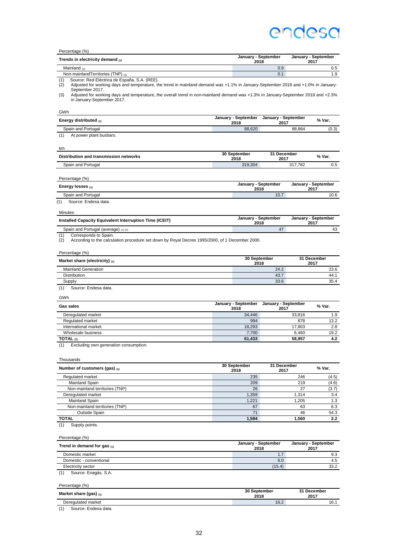| Percentage (%)                                                                                                                                                                                  |                             |                             |             |                             |
|-------------------------------------------------------------------------------------------------------------------------------------------------------------------------------------------------|-----------------------------|-----------------------------|-------------|-----------------------------|
| Trends in electricity demand (1)                                                                                                                                                                | January - September<br>2018 |                             |             | January - September<br>2017 |
| Mainland $(2)$                                                                                                                                                                                  |                             | 0.9                         |             | 0.5                         |
| Non-mainland Territories (TNP) (3)                                                                                                                                                              |                             | 0.1                         |             | 1.9                         |
| Source: Red Eléctrica de España, S.A. (REE).<br>(1)<br>(2)<br>Adjusted for working days and temperature, the trend in mainland demand was +1.1% in January-September 2018 and +1.0% in January- |                             |                             |             |                             |
| September 2017.<br>Adjusted for working days and temperature, the overall trend in non-mainland demand was +1.3% in January-September 2018 and +2.3%<br>(3)<br>in January-September 2017.       |                             |                             |             |                             |
| GWh                                                                                                                                                                                             |                             |                             |             |                             |
| Energy distributed (1)                                                                                                                                                                          | January - September<br>2018 | January - September<br>2017 |             | % Var.                      |
| Spain and Portugal                                                                                                                                                                              | 88,620                      |                             | 88,864      | (0.3)                       |
| (1)<br>At power plant busbars.                                                                                                                                                                  |                             |                             |             |                             |
| km                                                                                                                                                                                              | 30 September                | 31 December                 |             |                             |
| Distribution and transmission networks                                                                                                                                                          | 2018                        | 2017                        |             | % Var.                      |
| Spain and Portugal                                                                                                                                                                              | 319,304                     |                             | 317,782     | 0.5                         |
| Percentage (%)                                                                                                                                                                                  |                             |                             |             |                             |
| Energy losses (1)                                                                                                                                                                               | January - September<br>2018 |                             |             | January - September<br>2017 |
| Spain and Portugal                                                                                                                                                                              |                             | 10.7                        |             | 10.6                        |
| Source: Endesa data.<br>(1)                                                                                                                                                                     |                             |                             |             |                             |
| Minutes                                                                                                                                                                                         |                             |                             |             |                             |
| Installed Capacity Equivalent Interruption Time (ICEIT)                                                                                                                                         | January - September<br>2018 |                             |             | January - September<br>2017 |
| Spain and Portugal (average) (1) (2)                                                                                                                                                            |                             | 47                          |             | 43                          |
| Corresponds to Spain.<br>(1)<br>(2)<br>According to the calculation procedure set down by Royal Decree 1995/2000, of 1 December 2000.                                                           |                             |                             |             |                             |
| Percentage (%)                                                                                                                                                                                  |                             |                             |             |                             |
| Market share (electricity) $_{(1)}$                                                                                                                                                             | 30 September<br>2018        |                             |             | 31 December<br>2017         |
| <b>Mainland Generation</b>                                                                                                                                                                      |                             | 24.2                        |             | 23.6                        |
| Distribution                                                                                                                                                                                    |                             | 43.7<br>33.6                |             | 44.1<br>35.4                |
| Supply<br>Source: Endesa data.                                                                                                                                                                  |                             |                             |             |                             |
| (1)<br>GWh                                                                                                                                                                                      |                             |                             |             |                             |
| <b>Gas sales</b>                                                                                                                                                                                | January - September<br>2018 | January - September<br>2017 |             | % Var.                      |
| Deregulated market                                                                                                                                                                              | 34,446                      |                             | 33,816      | 1.9                         |
| Regulated market                                                                                                                                                                                | 994                         |                             | 878         | 13.2                        |
| International market                                                                                                                                                                            | 18,293                      |                             | 17,803      | 2.8                         |
| Wholesale business                                                                                                                                                                              | 7.700                       |                             | 6,460       | 19.2                        |
| TOTAL <sub>(1)</sub>                                                                                                                                                                            | 61,433                      |                             | 58,957      | 4.2                         |
| Excluding own generation consumption.                                                                                                                                                           |                             |                             |             |                             |
| Thousands                                                                                                                                                                                       |                             |                             |             |                             |
| Number of customers (gas) $(1)$                                                                                                                                                                 | 30 September<br>2018        | 31 December<br>2017         |             | % Var.                      |
| Regulated market                                                                                                                                                                                | 235                         |                             | 246         | (4.5)                       |
| Mainland Spain                                                                                                                                                                                  | 209                         |                             | 219         | (4.6)                       |
| Non-mainland territories (TNP)                                                                                                                                                                  | 26                          |                             | 27          | (3.7)                       |
| Deregulated market                                                                                                                                                                              | 1,359                       |                             | 1,314       | 3.4                         |
| Mainland Spain<br>Non-mainland territories (TNP)                                                                                                                                                | 1,221<br>67                 |                             | 1,205<br>63 | 1.3<br>6.3                  |
| Outside Spain                                                                                                                                                                                   | 71                          |                             | 46          | 54.3                        |
| <b>TOTAL</b>                                                                                                                                                                                    | 1,594                       |                             | 1,560       | 2.2                         |
| Supply points.<br>(1)                                                                                                                                                                           |                             |                             |             |                             |
| Percentage (%)                                                                                                                                                                                  |                             |                             |             |                             |
| Trend in demand for gas (1)                                                                                                                                                                     | January - September         |                             |             | January - September         |
| Domestic market                                                                                                                                                                                 | 2018                        | 1.7                         |             | 2017<br>9.3                 |
| Domestic - conventional                                                                                                                                                                         |                             | 6.0                         |             | 4.5                         |
| Electricity sector                                                                                                                                                                              |                             | (15.4)                      |             | 33.2                        |
| Source: Enagás, S.A.<br>(1)                                                                                                                                                                     |                             |                             |             |                             |
| Percentage (%)                                                                                                                                                                                  |                             |                             |             |                             |
| Market share (gas) (1)                                                                                                                                                                          | 30 September<br>2018        |                             |             | 31 December<br>2017         |
| Deregulated market                                                                                                                                                                              |                             | 16.2                        |             | 16.1                        |
| Source: Endesa data.<br>(1)                                                                                                                                                                     |                             |                             |             |                             |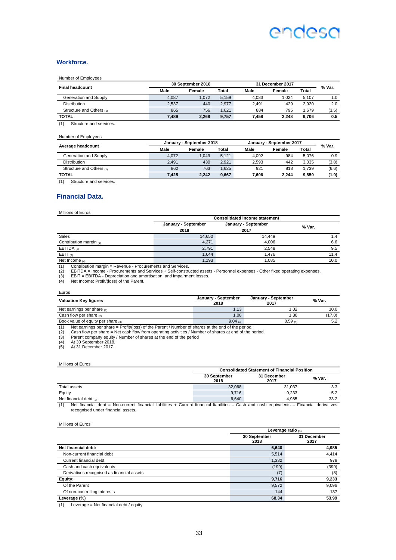#### **Workforce.**

#### Number of Employees

|                          |       | 30 September 2018 |              | 31 December 2017 |        |       |        |
|--------------------------|-------|-------------------|--------------|------------------|--------|-------|--------|
| <b>Final headcount</b>   | Male  | Female            | <b>Total</b> | Male             | Female | Total | % Var. |
| Generation and Supply    | 4.087 | 1.072             | 5.159        | 4.083            | 1.024  | 5.107 | 1.0    |
| <b>Distribution</b>      | 2.537 | 440               | 2.977        | 2.491            | 429    | 2.920 | 2.0    |
| Structure and Others (1) | 865   | 756               | 1.621        | 884              | 795    | 1.679 | (3.5)  |
| <b>TOTAL</b>             | 7.489 | 2.268             | 9.757        | 7.458            | 2.248  | 9.706 | 0.5    |
| Structure and services.  |       |                   |              |                  |        |       |        |

#### Number of Employees

|                          |       | January - September 2018 |       |       | January - September 2017 |       |        |
|--------------------------|-------|--------------------------|-------|-------|--------------------------|-------|--------|
| Average headcount        | Male  | Female                   | Total | Male  | Female                   | Total | % Var. |
| Generation and Supply    | 4.072 | 1.049                    | 5.121 | 4.092 | 984                      | 5.076 | 0.9    |
| <b>Distribution</b>      | 2.491 | 430                      | 2.921 | 2.593 | 442                      | 3.035 | (3.8)  |
| Structure and Others (1) | 862   | 763                      | 1.625 | 921   | 818                      | 1.739 | (6.6)  |
| TOTAL                    | 7.425 | 2.242                    | 9.667 | 7.606 | 2.244                    | 9.850 | (1.9)  |
|                          |       |                          |       |       |                          |       |        |

(1) Structure and services.

#### **Financial Data.**

Millions of Euros

Euros

| <b>Consolidated income statement</b> |                     |                     |        |  |  |
|--------------------------------------|---------------------|---------------------|--------|--|--|
|                                      | January - September | January - September | % Var. |  |  |
|                                      | 2018                | 2017                |        |  |  |
| Sales                                | 14.650              | 14.449              | 1.4    |  |  |
| Contribution margin $(1)$            | 4.271               | 4.006               | 6.6    |  |  |
| EBITDA $(2)$                         | 2,791               | 2.548               | 9.5    |  |  |
| EBIT $(3)$                           | 1.644               | 1.476               | 11.4   |  |  |
| Net Income $(4)$                     | 1.193               | 1.085               | 10.0   |  |  |

(1) Contribution margin = Revenue - Procurements and Services.<br>(2) EBITDA = Income - Procurements and Services + Self-constructed assets - Personnel expenses - Other fixed operating expenses.<br>(3) EBIT = EBITDA - Deprecia

| ----<br><b>Valuation Key figures</b>    | January - September<br>2018 | January - September<br>2017 | % Var. |
|-----------------------------------------|-----------------------------|-----------------------------|--------|
| Net earnings per share $(1)$            | 1.13                        | 1.02                        | 10.0   |
| Cash flow per share $_{(2)}$            | 1.08                        | 1.30                        | (17.0) |
| Book value of equity per share $_{(3)}$ | $9.04_{(4)}$                | $8.59$ (5)                  | 5.2    |
| .                                       |                             |                             |        |

(1) Net earnings per share = Profit/(loss) of the Parent / Number of shares at the end of the period.<br>
(2) Cash flow per share = Net cash flow from operating activities / Number of shares at end of the p<br>
(3) Parent compan

(2) Cash flow per share = Net cash flow from operating activities / Number of shares at end of the period.

(3) Parent company equity / Number of shares at the end of the period (4) At 30 September 2018.

At 31 December 2017.

| Millions of Euros           |                      |                                                     |        |
|-----------------------------|----------------------|-----------------------------------------------------|--------|
|                             |                      | <b>Consolidated Statement of Financial Position</b> |        |
|                             | 30 September<br>2018 | 31 December<br>2017                                 | % Var. |
| Total assets                | 32.068               | 31.037                                              | 3.3    |
| Equity                      | 9.716                | 9.233                                               | 5.2    |
| Net financial debt $_{(1)}$ | 6.640                | 4.985                                               | 33.2   |

(1) Net financial debt = Non-current financial liabilities + Current financial liabilities – Cash and cash equivalents – Financial derivatives recognised under financial assets.

Millions of Euros

|                                            | Leverage ratio $(1)$ |                     |  |
|--------------------------------------------|----------------------|---------------------|--|
|                                            | 30 September<br>2018 | 31 December<br>2017 |  |
| Net financial debt:                        | 6,640                | 4,985               |  |
| Non-current financial debt                 | 5,514                | 4,414               |  |
| Current financial debt                     | 1,332                | 978                 |  |
| Cash and cash equivalents                  | (199)                | (399)               |  |
| Derivatives recognised as financial assets | (7                   | (8)                 |  |
| Equity:                                    | 9,716                | 9,233               |  |
| Of the Parent                              | 9,572                | 9,096               |  |
| Of non-controlling interests               | 144                  | 137                 |  |
| Leverage (%)                               | 68.34                | 53.99               |  |

(1) Leverage = Net financial debt / equity.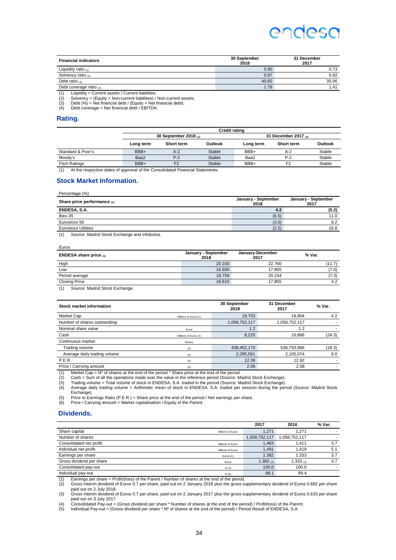| <b>Financial indicators</b>                                                                                                                                                                                                                                                                                                                                                                                               | 30 September<br>2018 | 31 December<br>2017 |
|---------------------------------------------------------------------------------------------------------------------------------------------------------------------------------------------------------------------------------------------------------------------------------------------------------------------------------------------------------------------------------------------------------------------------|----------------------|---------------------|
| Liquidity ratio $(1)$                                                                                                                                                                                                                                                                                                                                                                                                     | 0.90                 | 0.73                |
| Solvency ratio $(2)$                                                                                                                                                                                                                                                                                                                                                                                                      | 0.97                 | 0.92                |
| Debt ratio $(3)$                                                                                                                                                                                                                                                                                                                                                                                                          | 40.60                | 35.06               |
| Debt coverage ratio $(4)$                                                                                                                                                                                                                                                                                                                                                                                                 | 1.78                 | 1.41                |
| $\mathcal{L}(\mathbf{A}) = \mathbf{A} \mathbf{A} + \mathbf{A} \mathbf{A} + \mathbf{A} \mathbf{A} + \mathbf{A} \mathbf{A} + \mathbf{A} \mathbf{A} + \mathbf{A} \mathbf{A} + \mathbf{A} \mathbf{A} + \mathbf{A} \mathbf{A} + \mathbf{A} \mathbf{A} + \mathbf{A} \mathbf{A} + \mathbf{A} \mathbf{A} + \mathbf{A} \mathbf{A} + \mathbf{A} \mathbf{A} + \mathbf{A} \mathbf{A} + \mathbf{A} \mathbf{A} + \mathbf{A} \mathbf{A}$ |                      |                     |

(1) Liquidity = Current assets / Current liabilities<br>
(2) Solvency = (Equity + Non-current liabilities)<br>
(3) Debt (%) = Net financial debt / (Equity + Net (2) Solvency = (Equity + Non-current liabilities) / Non-current assets. (3) Debt (%) = Net financial debt / (Equity + Net financial debt).

(4) Debt coverage = Net financial debt / EBITDA.

#### **Rating.**

|                      |                            |                   |         | <b>Credit rating</b>      |                   |         |
|----------------------|----------------------------|-------------------|---------|---------------------------|-------------------|---------|
|                      | 30 September 2018 $_{(1)}$ |                   |         | 31 December 2017 $_{(1)}$ |                   |         |
|                      | Long term                  | <b>Short term</b> | Outlook | Long term                 | <b>Short term</b> | Outlook |
| Standard & Poor's    | BBB+                       | A-2               | Stable  | BBB+                      | $A-2$             | Stable  |
| Moody's              | Baa2                       | $P-2$             | Stable  | Baa2                      | $P-2$             | Stable  |
| <b>Fitch Ratings</b> | BBB+                       | F <sub>2</sub>    | Stable  | BBB+                      | F <sub>2</sub>    | Stable  |

(1) At the respective dates of approval of the Consolidated Financial Statements.

#### **Stock Market Information.**

| Percentage (%)                                                                                                                                                                                                                                                                                   |                             |                             |
|--------------------------------------------------------------------------------------------------------------------------------------------------------------------------------------------------------------------------------------------------------------------------------------------------|-----------------------------|-----------------------------|
| Share price performance $(1)$                                                                                                                                                                                                                                                                    | January - September<br>2018 | January - September<br>2017 |
| ENDESA, S.A.                                                                                                                                                                                                                                                                                     | 4.2                         | (5.2)                       |
| $l$ bex-35                                                                                                                                                                                                                                                                                       | (6.5)                       | 11.0                        |
| Eurostoxx 50                                                                                                                                                                                                                                                                                     | (3.0)                       | 9.2                         |
| <b>Eurostoxx Utilities</b>                                                                                                                                                                                                                                                                       | (2.5)                       | 16.8                        |
| $\mathbf{u}$ and $\mathbf{u}$ are $\mathbf{u}$ and $\mathbf{u}$ and $\mathbf{u}$ are $\mathbf{u}$ and $\mathbf{u}$ are $\mathbf{u}$ and $\mathbf{u}$ are $\mathbf{u}$ and $\mathbf{u}$ are $\mathbf{u}$ and $\mathbf{u}$ are $\mathbf{u}$ and $\mathbf{u}$ are $\mathbf{u}$ and $\mathbf{u}$ are |                             |                             |

(1) Source: Madrid Stock Exchange and Infobolsa.

Euros

| <b>ENDESA share price</b> $(1)$      | January - September<br>2018 | January-December<br>2017 | % Var. |
|--------------------------------------|-----------------------------|--------------------------|--------|
| High                                 | 20.100                      | 22.760                   | (11.7) |
| Low                                  | 16.600                      | 17.855                   | (7.0)  |
| Period average                       | 18.758                      | 20.234                   | (7.3)  |
| <b>Closing Price</b>                 | 18.610                      | 17.855                   | 4.2    |
| (1)<br>Course: Modrid Ctook Exchange |                             |                          |        |

(1) Source: Madrid Stock Exchange.

| Stock market information     |                       | 30 September<br>2018 | 31 December<br>2017 | % Var. |
|------------------------------|-----------------------|----------------------|---------------------|--------|
| Market Cap.                  | Millions of Euros (1) | 19,703               | 18.904              | 4.2    |
| Number of shares outstanding |                       | 1,058,752,117        | 1,058,752,117       |        |
| Nominal share value          | Euros                 | 1.2                  | 1.2                 |        |
| Cash                         | Millions of Euros (2) | 8,225                | 10.866              | (24.3) |
| Continuous market            | Shares                |                      |                     |        |
| Trading volume               | (3)                   | 438,452,170          | 536,793,866         | (18.3) |
| Average daily trading volume | (4)                   | 2,295,561            | 2,105,074           | 9.0    |
| <b>P.E.R.</b>                | (5)                   | 12.39                | 12.92               | ۰.     |
| Price / Carrying amount      | (6)                   | 2.06                 | 2.08                |        |
|                              |                       |                      |                     |        |

(1) Market Cap = Nº of shares at the end of the period \* Share price at the end of the period. (2) Cash = Sum of all the operations made over the value in the reference period (Source: Madrid Stock Exchange).

(3) Trading volume = Total volume of stock in ENDESA, S.A. traded in the period (Source: Madrid Stock Exchange).<br>(4) Average daily trading volume = Arithmetic mean of stock in ENDESA, S.A. traded per session during the per Exchange).

Frice to Earnings Ratio (P.E.R.) = Share price at the end of the period / Net earnings per share.<br>(6) Price / Carrying amount = Market capitalisation / Fguity of the Parent

Price / Carrying amount = Market capitalisation / Equity of the Parent.

#### **Dividends.**

|                          |                   | 2017          | 2016          | % Var. |
|--------------------------|-------------------|---------------|---------------|--------|
| Share capital            | Millions of Euros | 1.271         | 1.271         |        |
| Number of shares         |                   | 1.058.752.117 | 1.058.752.117 |        |
| Consolidated net profit  | Millions of Euros | .463          | 1.411         | 3.7    |
| Individual net profit    | Millions of Euros | 1.491         | 1.419         | 5.1    |
| Earnings per share       | Euros (1)         | 1.382         | 1.333         | 3.7    |
| Gross dividend per share | Euros             | 1.382 $(2)$   | 1.333 $(3)$   | 3.7    |
| Consolidated pay-out     | % (4)             | 100.0         | 100.0         |        |
| Individual pay-out       | % (5)             | 98.1          | 99.4          |        |

(1) Earnings per share = Profit/(loss) of the Parent / Number of shares at the end of the period.

(2) Gross interim dividend of Euros 0.7 per share, paid out on 2 January 2018 plus the gross supplementary dividend of Euros 0.682 per share paid out on 2 July 2018.

(3) Gross interim dividend of Euros 0.7 per share, paid out on 2 January 2017 plus the gross supplementary dividend of Euros 0.633 per share paid out on 3 July 2017.

(4) Consolidated Pay-out = (Gross dividend per share \* Number of shares at the end of the period) / Profit/loss) of the Parent.<br>(5) Individual Pay-out = (Gross dividend per share \* Nº of shares at the end of the period) /

Individual Pay-out = (Gross dividend per share \* Nº of shares at the end of the period) / Period Result of ENDESA, S.A.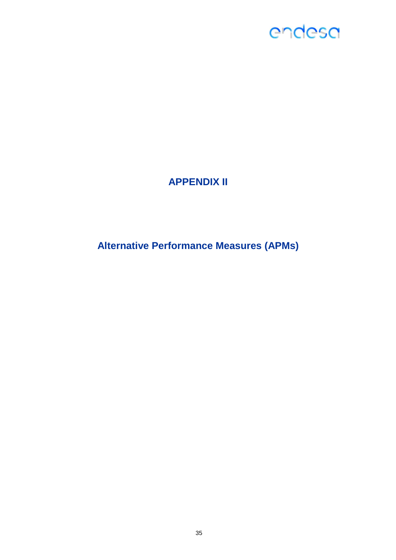### **APPENDIX II**

**Alternative Performance Measures (APMs)**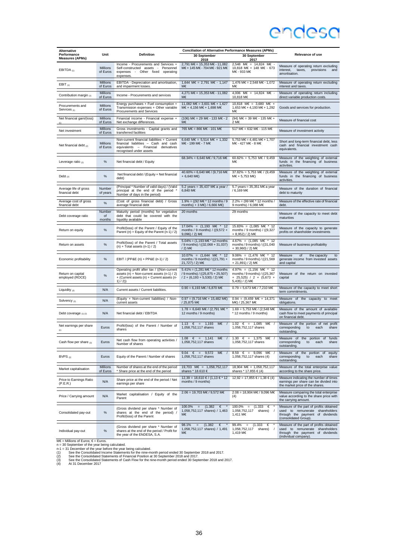| <b>Alternative</b>                          |                             |                                                                                                                                                        | <b>Conciliation of Alternative Performance Measures (APMs)</b>                                                                    |                                                                                                                             |                                                                                                                                         |
|---------------------------------------------|-----------------------------|--------------------------------------------------------------------------------------------------------------------------------------------------------|-----------------------------------------------------------------------------------------------------------------------------------|-----------------------------------------------------------------------------------------------------------------------------|-----------------------------------------------------------------------------------------------------------------------------------------|
| Performance<br><b>Measures (APMs)</b>       | Unit                        | Definition                                                                                                                                             | 30 September<br>2018                                                                                                              | 30 September<br>2017                                                                                                        | Relevance of use                                                                                                                        |
| EBITDA $(1)$                                | Millions<br>of Euros        | Income - Procurements and Services +<br>Self-constructed assets - Personnel<br>expenses - Other fixed operating<br>expenses.                           | 2,791 M€ = 15,353 M€ - 11,082 2,548 M€ = 14,824 M€ -<br>M€ + 145 M€ - 704 M€ - 921 M€                                             | 10,818 M€ + 148 M€ - 673<br>M€ - 933 M€                                                                                     | Measure of operating return excluding<br>interest,<br>taxes,<br>provisions<br>and<br>amortisation.                                      |
| EBIT $(1)$                                  | Millions<br>of Euros        | EBITDA - Depreciation and amortisation,<br>and impairment losses.                                                                                      | 1,644 M€ = 2,791 M€ - 1,147<br>М€                                                                                                 | 1,476 M€ = 2,548 M€ - 1,072<br>М€                                                                                           | Measure of operating return excluding<br>interest and taxes.                                                                            |
| Contribution margin (1)                     | <b>Millions</b><br>of Euros | Income - Procurements and services                                                                                                                     | 4,271 M€ = 15,353 M€ - 11,082<br>M€                                                                                               | 4.006 M€ = 14.824 M€ -<br>10,818 M€                                                                                         | Measure of operating return including<br>direct variable production costs.                                                              |
| Procurements and<br>Services <sub>(1)</sub> | Millions<br>of Euros        | Energy purchases + Fuel consumption +<br>Transmission expenses + Other variable<br>Procurements and Services                                           | 11,082 M€ = 3,601 M€ + 1,627<br>M€ + 4,156 M€ + 1,698 M€                                                                          | 10.818 M€ = 3.680 M€ +<br>1,653 M€ + 4,193 M€ + 1,292<br>M€                                                                 | Goods and services for production.                                                                                                      |
| Net financial gain/(loss)<br>(1)            | Millions<br>of Euros        | Financial income - Financial expense +<br>Net exchange differences.                                                                                    | $(106)$ M€ = 29 M€ - 133 M€ - 2<br>M€                                                                                             | (94) M€ = 39 M€ - 135 M€ +<br>2 M€                                                                                          | Measure of financial cost                                                                                                               |
| Net investment                              | Millions<br>of Euros        | Gross investments - Capital grants and<br>transferred facilities                                                                                       | 765 M€ = 866 M€ - 101 M€                                                                                                          | 517 M€ = 632 M€ - 115 M€                                                                                                    | Measure of investment activity                                                                                                          |
| Net financial debt $(2)$                    | <b>Millions</b><br>of Euros | Non-current financial liabilities + Current<br>financial liabilities - Cash and cash<br>equivalents - Financial derivatives<br>recognised under assets | 6,640 M $\epsilon$ = 5,514 M $\epsilon$ + 1,332<br>M€ - 199 M€ - 7 M€                                                             | 5,753 M€ = 4,481 M€ + 1,707<br>M€ - 427 M€ - 8 M€                                                                           | Short and long-term financial debt, less<br>cash and financial investment cash<br>equivalents.                                          |
| Leverage ratio $_{(2)}$                     | $\%$                        | Net financial debt / Equity                                                                                                                            | 68.34% = 6,640 M€ / 9,716 M€                                                                                                      | 60.82% = 5,753 M€ / 9,459<br>M€                                                                                             | Measure of the weighting of external<br>funds in the financing of business<br>activities.                                               |
| Debt $_{(2)}$                               | $\%$                        | Net financial debt / (Equity + Net financial<br>debt)                                                                                                  | $40.60\% = 6,640$ M€ / (9,716 M€<br>+ 6,640 M€)                                                                                   | 37.82% = 5,753 M€ / (9,459<br>$M \in +5,753 M \in$                                                                          | Measure of the weighting of external<br>funds in the financing of business<br>activities.                                               |
| Average life of gross<br>financial debt     | Number<br>of years          | (Principal * Number of valid days) / (Valid<br>principal at the end of the period<br>Number of days in the period)                                     | 5.2 years = 35,437 M $\epsilon$ a year /<br>6,840 M€                                                                              | 5.7 years = 35,351 M€ a year<br>/ 6,169 M€                                                                                  | Measure of the duration of financial<br>debt to maturity                                                                                |
| Average cost of gross<br>financial debt     | $\%$                        | (Cost of gross financial debt) / Gross<br>average financial debt                                                                                       | $1.9\% = ((92 \text{ M€} * 12 \text{ months} / 9)$<br>months) + 3 ME) / 6,666 ME)                                                 | $2.2\% = (99 \text{ M} \in \text{*} 12 \text{ months})$<br>9 months) / 6,088 M€                                             | Measure of the effective rate of financial<br>debt.                                                                                     |
| Debt coverage ratio                         | Number<br>of<br>months      | Maturity period (months) for vegetative<br>debt that could be covered with the<br>liquidity available                                                  | 20 months                                                                                                                         | 29 months                                                                                                                   | Measure of the capacity to meet debt<br>maturities                                                                                      |
| Return on equity                            | $\%$                        | Profit/(loss) of the Parent / Equity of the<br>Parent (n) + Equity of the Parent (n-1) / 2)                                                            | $17.04\% = (1,193 \text{ M}€ * 12)$<br>months / 9 months) / ((9,572 +<br>9,096) / 2) M€                                           | $15.83\% = (1,085 \text{ M}€$ * 12<br>months / 9 months) / ((9,327<br>+ 8,952) / 2) M€                                      | Measure of the capacity to generate<br>profits on shareholder investments                                                               |
| Return on assets                            | $\%$                        | Profit/(loss) of the Parent / Total assets<br>$(n) + Total assets (n-1)/2)$                                                                            | $5.04\% = (1,193 \text{ M} \in \text{*} 12 \text{ months})$<br>/ 9 months) / ((32,068 + 31,037)<br>/ 2) M€                        | $4.67\% = (1,085 \text{ M} \in \text{*} 12)$<br>months / 9 months) / ((31,040)<br>+ 30,960) / 2) M€                         | Measure of business profitability                                                                                                       |
| Economic profitability                      | %                           | EBIT / (PP&E (n) + PP&E (n-1) / 2)                                                                                                                     | $10.07\% = (1,644 \text{ M} \in \text{*} 12)$<br>months / 9 months) / ((21,791 +<br>21,727) / 2) M€                               | 9.06% = $(1,476 \text{ M} \in \text{*} 12)$<br>months / 9 months) / ((21,569)<br>+ 21,891) / 2) M€                          | Measure<br>of<br>the capacity<br>to<br>generate income from invested assets<br>and capital                                              |
| Return on capital<br>employed (ROCE)        | $\%$                        | Operating profit after tax / ((Non-current<br>assets (n) + Non-current assets (n-1) / 2)<br>+ (Current assets (n) + Current assets (n-<br>1) / 2)      | $5.41\% = (1,281 \text{ M} \in \text{*} 12 \text{ months})$<br>/ 9 months) / ((25,875 + 25,507)<br>$/2 + (6,193 + 5,530) / 2)$ ME | $4.97\% = (1,156 \text{ M} \in \text{*} 12)$<br>months / 9 months) / ((25,367<br>+ 25,525) / 2 + (5,673 +<br>5,435) / 2) M€ | Measure of the return on invested<br>capital                                                                                            |
| Liquidity $(2)$                             | N/A                         | Current assets / Current liabilities.                                                                                                                  | $0.90 = 6,193 \text{ M} \in / 6,870 \text{ M} \in$                                                                                | $0.79 = 5,673$ M€ / 7,210 M€                                                                                                | Measure of the capacity to meet short<br>term commitments.                                                                              |
| Solvency (2)                                | N/A                         | (Equity + Non-current liabilities) / Non-<br>current assets                                                                                            | $0.97 = (9,716 \text{ M} \in + 15,482 \text{ M} \in )$<br>/ 25,875 M€                                                             | $0.94 = (9,459 \text{ M} \in + 14,371)$<br>M€) / 25,367 M€                                                                  | Measure of the capacity to meet<br>obligations.                                                                                         |
| Debt coverage $(1)$ $(2)$                   | N/A                         | Net financial debt / EBITDA                                                                                                                            | $1.78 = 6,640$ M€ / (2,791 M€ '<br>12 months / 9 months)                                                                          | $1.69 = 5,753$ M€ / (2,548 M€<br>* 12 months / 9 months)                                                                    | Measure of the amount of available<br>cash flow to meet payments of principal<br>on financial debt.                                     |
| Net earnings per share<br>(1)               | Euros                       | Profit/(loss) of the Parent / Number of<br>shares                                                                                                      | $1.13 \quad \in = 1,193$<br>M€<br>$\prime$<br>1,058,752,117 shares                                                                | $1.02 \t∈ = 1,085 \tMe$<br>1,058,752,117 shares                                                                             | Measure of the portion of net profit<br>corresponding<br>to<br>each<br>share<br>outstanding.                                            |
| Cash flow per share (3)                     | Euros                       | Net cash flow from operating activities /<br>Number of shares                                                                                          | $1.08 \quad \in = 1,141$<br>$M \in \mathcal{V}$<br>1,058,752,117 shares                                                           | 1.30 € = 1,375 M€ /<br>1,058,752,117 shares                                                                                 | Measure of the portion of<br>funds<br>corresponding<br>to<br>each<br>share<br>outstanding                                               |
| BVPS $_{(2)}$                               | Euros                       | Equity of the Parent / Number of shares                                                                                                                | 9.04<br>$\epsilon$<br>$\mathbf{r} = \mathbf{r}$<br>9,572<br>M€<br>1,058,752,117 shares                                            | $8.59 \t∈ = 9,096 \tMe$<br>1,058,752,117 shares (4)                                                                         | Measure of the portion of<br>equity<br>corresponding<br>to<br>each<br>share<br>outstanding.                                             |
| Market capitalisation                       | <b>Millions</b><br>of Euros | Number of shares at the end of the period<br>* Share price at the end of the period                                                                    | 19,703 M€ = 1,058,752,117<br>shares * 18.610 €                                                                                    | 18,904 M€ = 1,058,752,117<br>shares * 17.855 € (4)                                                                          | Measure of the total enterprise value<br>according to the share price.                                                                  |
| Price to Earnings Ratio<br>(P.E.R.)         | N/A                         | Share price at the end of the period / Net<br>earnings per share                                                                                       | $12,39 = 18,610 \in / (1,13 \in * 12)$<br>months / 9 months)                                                                      | $12,92 = 17,855 \in 71,38 \in (4)$                                                                                          | Measure indicating the number of times<br>earnings per share can be divided into<br>the market price of the shares.                     |
| Price / Carrying amount                     | N/A                         | Market capitalisation / Equity of the<br>Parent                                                                                                        | $2.06 = 19,703 \text{ M} \in / 9,572 \text{ M} \in$                                                                               | $2.08 = 18,904 \text{ M} \in / 9,096 \text{ M} \in$<br>(4)                                                                  | Measure comparing the total enterprise<br>value according to the share price with<br>the carrying amount.                               |
| Consolidated pay-out                        | $\%$                        | (Gross dividend per share * Number of<br>shares at the end of the period) /<br>Profit/(loss) of the Parent                                             | (1.382)<br>$100.0\% =$<br>$\epsilon$<br>1,058,752,117 shares) / 1,463<br>M€                                                       | $(1.333 \t∈$<br>$100.0\% =$<br>1,058,752,117<br>shares)<br>1,411 M€                                                         | Measure of the part of profits obtained<br>used to remunerate shareholders<br>through the payment of dividends<br>(consolidated Group). |
| Individual pay-out                          | $\%$                        | (Gross dividend per share * Number of<br>shares at the end of the period / Profit for<br>the year of the ENDESA, S.A.                                  | (1.382)<br>98.1%<br>€<br>1,058,752,117 shares) / 1,491<br>M€                                                                      | 99.4%<br>(1.333)<br>€<br>$\equiv$<br>1,058,752,117<br>shares)<br>1,419 M€                                                   | Measure of the part of profits obtained<br>used to remunerate shareholders<br>through the payment of dividends<br>(individual company). |

36

ME = Millions of Euros;  $\epsilon =$  Euros.<br>
In = Millions of Euros: Euros.<br>
n = 30 September of the year being calculated.<br>
n-1 = 31 December of the year before the year being calculated.<br>
(1) See the Consolidated Statements of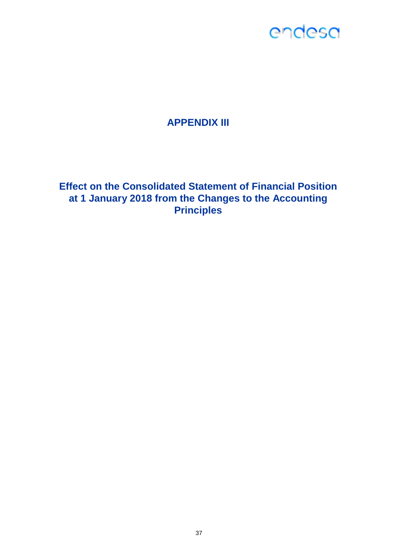### **APPENDIX III**

**Effect on the Consolidated Statement of Financial Position at 1 January 2018 from the Changes to the Accounting Principles**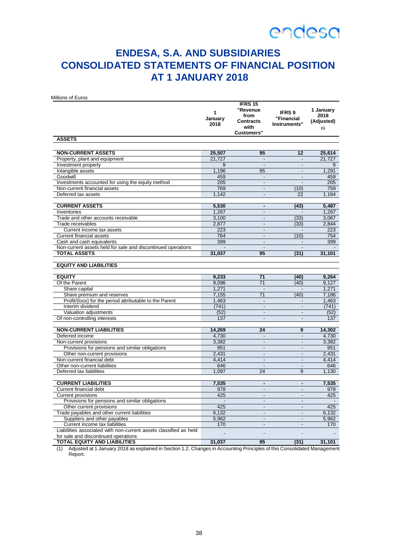### **ENDESA, S.A. AND SUBSIDIARIES CONSOLIDATED STATEMENTS OF FINANCIAL POSITION AT 1 JANUARY 2018**

Millions of Euros

| 2018<br>Instruments"<br>with<br>(1)<br><b>Customers"</b><br><b>ASSETS</b><br><b>NON-CURRENT ASSETS</b><br>25,507<br>95<br>12<br>25,614<br>Property, plant and equipment<br>21,727<br>21,727<br>Investment property<br>9<br>9<br>$\overline{a}$<br>$\overline{a}$<br>1,291<br>Intangible assets<br>1,196<br>95<br>÷,<br>Goodwill<br>459<br>459<br>$\overline{a}$<br>$\overline{a}$<br>Investments accounted for using the equity method<br>205<br>205<br>$\overline{\phantom{a}}$<br>÷,<br>769<br>Non-current financial assets<br>(10)<br>759<br>$\overline{a}$<br>Deferred tax assets<br>1,142<br>1,164<br>$\blacksquare$<br>22<br><b>CURRENT ASSETS</b><br>5,530<br>(43)<br>5,487<br>$\blacksquare$<br>1,267<br>1,267<br>Inventories<br>÷,<br>Trade and other accounts receivable<br>3,100<br>(33)<br>3,067<br>÷,<br>2,844<br>2,877<br>Trade receivables<br>(33)<br>÷,<br>Current income tax assets<br>223<br>223<br>$\overline{a}$<br>764<br>(10)<br><b>Current financial assets</b><br>754<br>$\overline{\phantom{a}}$<br>399<br>Cash and cash equivalents<br>$\overline{a}$<br>399<br>Non-current assets held for sale and discontinued operations<br>$\overline{a}$<br>31,101<br><b>TOTAL ASSETS</b><br>31,037<br>95<br>(31)<br><b>EQUITY AND LIABILITIES</b><br><b>EQUITY</b><br>9,233<br>71<br>(40)<br>9,264<br>Of the Parent<br>9,096<br>71<br>(40)<br>9,127<br>Share capital<br>1,271<br>1,271<br>$\overline{a}$<br>7,155<br>71<br>(40)<br>Share premium and reserves<br>7,186<br>Profit/(loss) for the period attributable to the Parent<br>1,463<br>1,463<br>$\overline{a}$<br>$\blacksquare$<br>Interim dividend<br>(741)<br>(741)<br>$\overline{\phantom{a}}$<br>÷,<br>(52)<br>Valuation adjustments<br>(52)<br>$\frac{1}{2}$<br>$\overline{a}$<br>Of non-controlling interests<br>137<br>$\blacksquare$<br>137<br>$\blacksquare$<br><b>NON-CURRENT LIABILITIES</b><br>14,269<br>14,302<br>24<br>9<br>Deferred income<br>4,730<br>4,730<br>$\overline{a}$<br>$\overline{a}$<br>Non-current provisions<br>3,382<br>3,382<br>$\overline{\phantom{a}}$<br>$\overline{\phantom{a}}$<br>Provisions for pensions and similar obligations<br>951<br>951<br>$\frac{1}{2}$<br>$\overline{a}$<br>2,431<br>Other non-current provisions<br>2,431<br>$\blacksquare$<br>$\overline{\phantom{a}}$<br>Non-current financial debt<br>4.414<br>4.414<br>$\blacksquare$<br>÷,<br>Other non-current liabilities<br>646<br>646<br>÷,<br>÷,<br>Deferred tax liabilities<br>1,097<br>24<br>9<br>1,130<br><b>CURRENT LIABILITIES</b><br>7,535<br>7,535<br>÷,<br>$\blacksquare$<br>Current financial debt<br>978<br>978<br>$\overline{a}$<br>L.<br><b>Current provisions</b><br>425<br>425<br>$\overline{a}$<br>÷,<br>Provisions for pensions and similar obligations<br>$\blacksquare$<br>÷,<br>Other current provisions<br>425<br>425<br>$\overline{\phantom{a}}$<br>÷,<br>Trade payables and other current liabilities<br>6,132<br>6,132<br>$\frac{1}{2}$<br>$\blacksquare$<br>Suppliers and other payables<br>5,962<br>5,962<br>$\overline{a}$<br>$\overline{a}$<br>Current income tax liabilities<br>170<br>170<br>÷,<br>$\blacksquare$<br>Liabilities associated with non-current assets classified as held<br>for sale and discontinued operations |                                     | 1<br>January | <b>IFRS 15</b><br>"Revenue<br>from | <b>IFRS 9</b><br>"Financial | 1 January<br>2018 |
|------------------------------------------------------------------------------------------------------------------------------------------------------------------------------------------------------------------------------------------------------------------------------------------------------------------------------------------------------------------------------------------------------------------------------------------------------------------------------------------------------------------------------------------------------------------------------------------------------------------------------------------------------------------------------------------------------------------------------------------------------------------------------------------------------------------------------------------------------------------------------------------------------------------------------------------------------------------------------------------------------------------------------------------------------------------------------------------------------------------------------------------------------------------------------------------------------------------------------------------------------------------------------------------------------------------------------------------------------------------------------------------------------------------------------------------------------------------------------------------------------------------------------------------------------------------------------------------------------------------------------------------------------------------------------------------------------------------------------------------------------------------------------------------------------------------------------------------------------------------------------------------------------------------------------------------------------------------------------------------------------------------------------------------------------------------------------------------------------------------------------------------------------------------------------------------------------------------------------------------------------------------------------------------------------------------------------------------------------------------------------------------------------------------------------------------------------------------------------------------------------------------------------------------------------------------------------------------------------------------------------------------------------------------------------------------------------------------------------------------------------------------------------------------------------------------------------------------------------------------------------------------------------------------------------------------------------------------------------------------------------------------------------------------------------------------------------------------------------------------------------------------------------------------------------------------------------------------------------------------------|-------------------------------------|--------------|------------------------------------|-----------------------------|-------------------|
|                                                                                                                                                                                                                                                                                                                                                                                                                                                                                                                                                                                                                                                                                                                                                                                                                                                                                                                                                                                                                                                                                                                                                                                                                                                                                                                                                                                                                                                                                                                                                                                                                                                                                                                                                                                                                                                                                                                                                                                                                                                                                                                                                                                                                                                                                                                                                                                                                                                                                                                                                                                                                                                                                                                                                                                                                                                                                                                                                                                                                                                                                                                                                                                                                                                |                                     |              | <b>Contracts</b>                   |                             | (Adjusted)        |
|                                                                                                                                                                                                                                                                                                                                                                                                                                                                                                                                                                                                                                                                                                                                                                                                                                                                                                                                                                                                                                                                                                                                                                                                                                                                                                                                                                                                                                                                                                                                                                                                                                                                                                                                                                                                                                                                                                                                                                                                                                                                                                                                                                                                                                                                                                                                                                                                                                                                                                                                                                                                                                                                                                                                                                                                                                                                                                                                                                                                                                                                                                                                                                                                                                                |                                     |              |                                    |                             |                   |
|                                                                                                                                                                                                                                                                                                                                                                                                                                                                                                                                                                                                                                                                                                                                                                                                                                                                                                                                                                                                                                                                                                                                                                                                                                                                                                                                                                                                                                                                                                                                                                                                                                                                                                                                                                                                                                                                                                                                                                                                                                                                                                                                                                                                                                                                                                                                                                                                                                                                                                                                                                                                                                                                                                                                                                                                                                                                                                                                                                                                                                                                                                                                                                                                                                                |                                     |              |                                    |                             |                   |
|                                                                                                                                                                                                                                                                                                                                                                                                                                                                                                                                                                                                                                                                                                                                                                                                                                                                                                                                                                                                                                                                                                                                                                                                                                                                                                                                                                                                                                                                                                                                                                                                                                                                                                                                                                                                                                                                                                                                                                                                                                                                                                                                                                                                                                                                                                                                                                                                                                                                                                                                                                                                                                                                                                                                                                                                                                                                                                                                                                                                                                                                                                                                                                                                                                                |                                     |              |                                    |                             |                   |
|                                                                                                                                                                                                                                                                                                                                                                                                                                                                                                                                                                                                                                                                                                                                                                                                                                                                                                                                                                                                                                                                                                                                                                                                                                                                                                                                                                                                                                                                                                                                                                                                                                                                                                                                                                                                                                                                                                                                                                                                                                                                                                                                                                                                                                                                                                                                                                                                                                                                                                                                                                                                                                                                                                                                                                                                                                                                                                                                                                                                                                                                                                                                                                                                                                                |                                     |              |                                    |                             |                   |
|                                                                                                                                                                                                                                                                                                                                                                                                                                                                                                                                                                                                                                                                                                                                                                                                                                                                                                                                                                                                                                                                                                                                                                                                                                                                                                                                                                                                                                                                                                                                                                                                                                                                                                                                                                                                                                                                                                                                                                                                                                                                                                                                                                                                                                                                                                                                                                                                                                                                                                                                                                                                                                                                                                                                                                                                                                                                                                                                                                                                                                                                                                                                                                                                                                                |                                     |              |                                    |                             |                   |
|                                                                                                                                                                                                                                                                                                                                                                                                                                                                                                                                                                                                                                                                                                                                                                                                                                                                                                                                                                                                                                                                                                                                                                                                                                                                                                                                                                                                                                                                                                                                                                                                                                                                                                                                                                                                                                                                                                                                                                                                                                                                                                                                                                                                                                                                                                                                                                                                                                                                                                                                                                                                                                                                                                                                                                                                                                                                                                                                                                                                                                                                                                                                                                                                                                                |                                     |              |                                    |                             |                   |
|                                                                                                                                                                                                                                                                                                                                                                                                                                                                                                                                                                                                                                                                                                                                                                                                                                                                                                                                                                                                                                                                                                                                                                                                                                                                                                                                                                                                                                                                                                                                                                                                                                                                                                                                                                                                                                                                                                                                                                                                                                                                                                                                                                                                                                                                                                                                                                                                                                                                                                                                                                                                                                                                                                                                                                                                                                                                                                                                                                                                                                                                                                                                                                                                                                                |                                     |              |                                    |                             |                   |
|                                                                                                                                                                                                                                                                                                                                                                                                                                                                                                                                                                                                                                                                                                                                                                                                                                                                                                                                                                                                                                                                                                                                                                                                                                                                                                                                                                                                                                                                                                                                                                                                                                                                                                                                                                                                                                                                                                                                                                                                                                                                                                                                                                                                                                                                                                                                                                                                                                                                                                                                                                                                                                                                                                                                                                                                                                                                                                                                                                                                                                                                                                                                                                                                                                                |                                     |              |                                    |                             |                   |
|                                                                                                                                                                                                                                                                                                                                                                                                                                                                                                                                                                                                                                                                                                                                                                                                                                                                                                                                                                                                                                                                                                                                                                                                                                                                                                                                                                                                                                                                                                                                                                                                                                                                                                                                                                                                                                                                                                                                                                                                                                                                                                                                                                                                                                                                                                                                                                                                                                                                                                                                                                                                                                                                                                                                                                                                                                                                                                                                                                                                                                                                                                                                                                                                                                                |                                     |              |                                    |                             |                   |
|                                                                                                                                                                                                                                                                                                                                                                                                                                                                                                                                                                                                                                                                                                                                                                                                                                                                                                                                                                                                                                                                                                                                                                                                                                                                                                                                                                                                                                                                                                                                                                                                                                                                                                                                                                                                                                                                                                                                                                                                                                                                                                                                                                                                                                                                                                                                                                                                                                                                                                                                                                                                                                                                                                                                                                                                                                                                                                                                                                                                                                                                                                                                                                                                                                                |                                     |              |                                    |                             |                   |
|                                                                                                                                                                                                                                                                                                                                                                                                                                                                                                                                                                                                                                                                                                                                                                                                                                                                                                                                                                                                                                                                                                                                                                                                                                                                                                                                                                                                                                                                                                                                                                                                                                                                                                                                                                                                                                                                                                                                                                                                                                                                                                                                                                                                                                                                                                                                                                                                                                                                                                                                                                                                                                                                                                                                                                                                                                                                                                                                                                                                                                                                                                                                                                                                                                                |                                     |              |                                    |                             |                   |
|                                                                                                                                                                                                                                                                                                                                                                                                                                                                                                                                                                                                                                                                                                                                                                                                                                                                                                                                                                                                                                                                                                                                                                                                                                                                                                                                                                                                                                                                                                                                                                                                                                                                                                                                                                                                                                                                                                                                                                                                                                                                                                                                                                                                                                                                                                                                                                                                                                                                                                                                                                                                                                                                                                                                                                                                                                                                                                                                                                                                                                                                                                                                                                                                                                                |                                     |              |                                    |                             |                   |
|                                                                                                                                                                                                                                                                                                                                                                                                                                                                                                                                                                                                                                                                                                                                                                                                                                                                                                                                                                                                                                                                                                                                                                                                                                                                                                                                                                                                                                                                                                                                                                                                                                                                                                                                                                                                                                                                                                                                                                                                                                                                                                                                                                                                                                                                                                                                                                                                                                                                                                                                                                                                                                                                                                                                                                                                                                                                                                                                                                                                                                                                                                                                                                                                                                                |                                     |              |                                    |                             |                   |
|                                                                                                                                                                                                                                                                                                                                                                                                                                                                                                                                                                                                                                                                                                                                                                                                                                                                                                                                                                                                                                                                                                                                                                                                                                                                                                                                                                                                                                                                                                                                                                                                                                                                                                                                                                                                                                                                                                                                                                                                                                                                                                                                                                                                                                                                                                                                                                                                                                                                                                                                                                                                                                                                                                                                                                                                                                                                                                                                                                                                                                                                                                                                                                                                                                                |                                     |              |                                    |                             |                   |
|                                                                                                                                                                                                                                                                                                                                                                                                                                                                                                                                                                                                                                                                                                                                                                                                                                                                                                                                                                                                                                                                                                                                                                                                                                                                                                                                                                                                                                                                                                                                                                                                                                                                                                                                                                                                                                                                                                                                                                                                                                                                                                                                                                                                                                                                                                                                                                                                                                                                                                                                                                                                                                                                                                                                                                                                                                                                                                                                                                                                                                                                                                                                                                                                                                                |                                     |              |                                    |                             |                   |
|                                                                                                                                                                                                                                                                                                                                                                                                                                                                                                                                                                                                                                                                                                                                                                                                                                                                                                                                                                                                                                                                                                                                                                                                                                                                                                                                                                                                                                                                                                                                                                                                                                                                                                                                                                                                                                                                                                                                                                                                                                                                                                                                                                                                                                                                                                                                                                                                                                                                                                                                                                                                                                                                                                                                                                                                                                                                                                                                                                                                                                                                                                                                                                                                                                                |                                     |              |                                    |                             |                   |
|                                                                                                                                                                                                                                                                                                                                                                                                                                                                                                                                                                                                                                                                                                                                                                                                                                                                                                                                                                                                                                                                                                                                                                                                                                                                                                                                                                                                                                                                                                                                                                                                                                                                                                                                                                                                                                                                                                                                                                                                                                                                                                                                                                                                                                                                                                                                                                                                                                                                                                                                                                                                                                                                                                                                                                                                                                                                                                                                                                                                                                                                                                                                                                                                                                                |                                     |              |                                    |                             |                   |
|                                                                                                                                                                                                                                                                                                                                                                                                                                                                                                                                                                                                                                                                                                                                                                                                                                                                                                                                                                                                                                                                                                                                                                                                                                                                                                                                                                                                                                                                                                                                                                                                                                                                                                                                                                                                                                                                                                                                                                                                                                                                                                                                                                                                                                                                                                                                                                                                                                                                                                                                                                                                                                                                                                                                                                                                                                                                                                                                                                                                                                                                                                                                                                                                                                                |                                     |              |                                    |                             |                   |
|                                                                                                                                                                                                                                                                                                                                                                                                                                                                                                                                                                                                                                                                                                                                                                                                                                                                                                                                                                                                                                                                                                                                                                                                                                                                                                                                                                                                                                                                                                                                                                                                                                                                                                                                                                                                                                                                                                                                                                                                                                                                                                                                                                                                                                                                                                                                                                                                                                                                                                                                                                                                                                                                                                                                                                                                                                                                                                                                                                                                                                                                                                                                                                                                                                                |                                     |              |                                    |                             |                   |
|                                                                                                                                                                                                                                                                                                                                                                                                                                                                                                                                                                                                                                                                                                                                                                                                                                                                                                                                                                                                                                                                                                                                                                                                                                                                                                                                                                                                                                                                                                                                                                                                                                                                                                                                                                                                                                                                                                                                                                                                                                                                                                                                                                                                                                                                                                                                                                                                                                                                                                                                                                                                                                                                                                                                                                                                                                                                                                                                                                                                                                                                                                                                                                                                                                                |                                     |              |                                    |                             |                   |
|                                                                                                                                                                                                                                                                                                                                                                                                                                                                                                                                                                                                                                                                                                                                                                                                                                                                                                                                                                                                                                                                                                                                                                                                                                                                                                                                                                                                                                                                                                                                                                                                                                                                                                                                                                                                                                                                                                                                                                                                                                                                                                                                                                                                                                                                                                                                                                                                                                                                                                                                                                                                                                                                                                                                                                                                                                                                                                                                                                                                                                                                                                                                                                                                                                                |                                     |              |                                    |                             |                   |
|                                                                                                                                                                                                                                                                                                                                                                                                                                                                                                                                                                                                                                                                                                                                                                                                                                                                                                                                                                                                                                                                                                                                                                                                                                                                                                                                                                                                                                                                                                                                                                                                                                                                                                                                                                                                                                                                                                                                                                                                                                                                                                                                                                                                                                                                                                                                                                                                                                                                                                                                                                                                                                                                                                                                                                                                                                                                                                                                                                                                                                                                                                                                                                                                                                                |                                     |              |                                    |                             |                   |
|                                                                                                                                                                                                                                                                                                                                                                                                                                                                                                                                                                                                                                                                                                                                                                                                                                                                                                                                                                                                                                                                                                                                                                                                                                                                                                                                                                                                                                                                                                                                                                                                                                                                                                                                                                                                                                                                                                                                                                                                                                                                                                                                                                                                                                                                                                                                                                                                                                                                                                                                                                                                                                                                                                                                                                                                                                                                                                                                                                                                                                                                                                                                                                                                                                                |                                     |              |                                    |                             |                   |
|                                                                                                                                                                                                                                                                                                                                                                                                                                                                                                                                                                                                                                                                                                                                                                                                                                                                                                                                                                                                                                                                                                                                                                                                                                                                                                                                                                                                                                                                                                                                                                                                                                                                                                                                                                                                                                                                                                                                                                                                                                                                                                                                                                                                                                                                                                                                                                                                                                                                                                                                                                                                                                                                                                                                                                                                                                                                                                                                                                                                                                                                                                                                                                                                                                                |                                     |              |                                    |                             |                   |
|                                                                                                                                                                                                                                                                                                                                                                                                                                                                                                                                                                                                                                                                                                                                                                                                                                                                                                                                                                                                                                                                                                                                                                                                                                                                                                                                                                                                                                                                                                                                                                                                                                                                                                                                                                                                                                                                                                                                                                                                                                                                                                                                                                                                                                                                                                                                                                                                                                                                                                                                                                                                                                                                                                                                                                                                                                                                                                                                                                                                                                                                                                                                                                                                                                                |                                     |              |                                    |                             |                   |
|                                                                                                                                                                                                                                                                                                                                                                                                                                                                                                                                                                                                                                                                                                                                                                                                                                                                                                                                                                                                                                                                                                                                                                                                                                                                                                                                                                                                                                                                                                                                                                                                                                                                                                                                                                                                                                                                                                                                                                                                                                                                                                                                                                                                                                                                                                                                                                                                                                                                                                                                                                                                                                                                                                                                                                                                                                                                                                                                                                                                                                                                                                                                                                                                                                                |                                     |              |                                    |                             |                   |
|                                                                                                                                                                                                                                                                                                                                                                                                                                                                                                                                                                                                                                                                                                                                                                                                                                                                                                                                                                                                                                                                                                                                                                                                                                                                                                                                                                                                                                                                                                                                                                                                                                                                                                                                                                                                                                                                                                                                                                                                                                                                                                                                                                                                                                                                                                                                                                                                                                                                                                                                                                                                                                                                                                                                                                                                                                                                                                                                                                                                                                                                                                                                                                                                                                                |                                     |              |                                    |                             |                   |
|                                                                                                                                                                                                                                                                                                                                                                                                                                                                                                                                                                                                                                                                                                                                                                                                                                                                                                                                                                                                                                                                                                                                                                                                                                                                                                                                                                                                                                                                                                                                                                                                                                                                                                                                                                                                                                                                                                                                                                                                                                                                                                                                                                                                                                                                                                                                                                                                                                                                                                                                                                                                                                                                                                                                                                                                                                                                                                                                                                                                                                                                                                                                                                                                                                                |                                     |              |                                    |                             |                   |
|                                                                                                                                                                                                                                                                                                                                                                                                                                                                                                                                                                                                                                                                                                                                                                                                                                                                                                                                                                                                                                                                                                                                                                                                                                                                                                                                                                                                                                                                                                                                                                                                                                                                                                                                                                                                                                                                                                                                                                                                                                                                                                                                                                                                                                                                                                                                                                                                                                                                                                                                                                                                                                                                                                                                                                                                                                                                                                                                                                                                                                                                                                                                                                                                                                                |                                     |              |                                    |                             |                   |
|                                                                                                                                                                                                                                                                                                                                                                                                                                                                                                                                                                                                                                                                                                                                                                                                                                                                                                                                                                                                                                                                                                                                                                                                                                                                                                                                                                                                                                                                                                                                                                                                                                                                                                                                                                                                                                                                                                                                                                                                                                                                                                                                                                                                                                                                                                                                                                                                                                                                                                                                                                                                                                                                                                                                                                                                                                                                                                                                                                                                                                                                                                                                                                                                                                                |                                     |              |                                    |                             |                   |
|                                                                                                                                                                                                                                                                                                                                                                                                                                                                                                                                                                                                                                                                                                                                                                                                                                                                                                                                                                                                                                                                                                                                                                                                                                                                                                                                                                                                                                                                                                                                                                                                                                                                                                                                                                                                                                                                                                                                                                                                                                                                                                                                                                                                                                                                                                                                                                                                                                                                                                                                                                                                                                                                                                                                                                                                                                                                                                                                                                                                                                                                                                                                                                                                                                                |                                     |              |                                    |                             |                   |
|                                                                                                                                                                                                                                                                                                                                                                                                                                                                                                                                                                                                                                                                                                                                                                                                                                                                                                                                                                                                                                                                                                                                                                                                                                                                                                                                                                                                                                                                                                                                                                                                                                                                                                                                                                                                                                                                                                                                                                                                                                                                                                                                                                                                                                                                                                                                                                                                                                                                                                                                                                                                                                                                                                                                                                                                                                                                                                                                                                                                                                                                                                                                                                                                                                                |                                     |              |                                    |                             |                   |
|                                                                                                                                                                                                                                                                                                                                                                                                                                                                                                                                                                                                                                                                                                                                                                                                                                                                                                                                                                                                                                                                                                                                                                                                                                                                                                                                                                                                                                                                                                                                                                                                                                                                                                                                                                                                                                                                                                                                                                                                                                                                                                                                                                                                                                                                                                                                                                                                                                                                                                                                                                                                                                                                                                                                                                                                                                                                                                                                                                                                                                                                                                                                                                                                                                                |                                     |              |                                    |                             |                   |
|                                                                                                                                                                                                                                                                                                                                                                                                                                                                                                                                                                                                                                                                                                                                                                                                                                                                                                                                                                                                                                                                                                                                                                                                                                                                                                                                                                                                                                                                                                                                                                                                                                                                                                                                                                                                                                                                                                                                                                                                                                                                                                                                                                                                                                                                                                                                                                                                                                                                                                                                                                                                                                                                                                                                                                                                                                                                                                                                                                                                                                                                                                                                                                                                                                                |                                     |              |                                    |                             |                   |
|                                                                                                                                                                                                                                                                                                                                                                                                                                                                                                                                                                                                                                                                                                                                                                                                                                                                                                                                                                                                                                                                                                                                                                                                                                                                                                                                                                                                                                                                                                                                                                                                                                                                                                                                                                                                                                                                                                                                                                                                                                                                                                                                                                                                                                                                                                                                                                                                                                                                                                                                                                                                                                                                                                                                                                                                                                                                                                                                                                                                                                                                                                                                                                                                                                                |                                     |              |                                    |                             |                   |
|                                                                                                                                                                                                                                                                                                                                                                                                                                                                                                                                                                                                                                                                                                                                                                                                                                                                                                                                                                                                                                                                                                                                                                                                                                                                                                                                                                                                                                                                                                                                                                                                                                                                                                                                                                                                                                                                                                                                                                                                                                                                                                                                                                                                                                                                                                                                                                                                                                                                                                                                                                                                                                                                                                                                                                                                                                                                                                                                                                                                                                                                                                                                                                                                                                                |                                     |              |                                    |                             |                   |
|                                                                                                                                                                                                                                                                                                                                                                                                                                                                                                                                                                                                                                                                                                                                                                                                                                                                                                                                                                                                                                                                                                                                                                                                                                                                                                                                                                                                                                                                                                                                                                                                                                                                                                                                                                                                                                                                                                                                                                                                                                                                                                                                                                                                                                                                                                                                                                                                                                                                                                                                                                                                                                                                                                                                                                                                                                                                                                                                                                                                                                                                                                                                                                                                                                                |                                     |              |                                    |                             |                   |
|                                                                                                                                                                                                                                                                                                                                                                                                                                                                                                                                                                                                                                                                                                                                                                                                                                                                                                                                                                                                                                                                                                                                                                                                                                                                                                                                                                                                                                                                                                                                                                                                                                                                                                                                                                                                                                                                                                                                                                                                                                                                                                                                                                                                                                                                                                                                                                                                                                                                                                                                                                                                                                                                                                                                                                                                                                                                                                                                                                                                                                                                                                                                                                                                                                                |                                     |              |                                    |                             |                   |
|                                                                                                                                                                                                                                                                                                                                                                                                                                                                                                                                                                                                                                                                                                                                                                                                                                                                                                                                                                                                                                                                                                                                                                                                                                                                                                                                                                                                                                                                                                                                                                                                                                                                                                                                                                                                                                                                                                                                                                                                                                                                                                                                                                                                                                                                                                                                                                                                                                                                                                                                                                                                                                                                                                                                                                                                                                                                                                                                                                                                                                                                                                                                                                                                                                                |                                     |              |                                    |                             |                   |
|                                                                                                                                                                                                                                                                                                                                                                                                                                                                                                                                                                                                                                                                                                                                                                                                                                                                                                                                                                                                                                                                                                                                                                                                                                                                                                                                                                                                                                                                                                                                                                                                                                                                                                                                                                                                                                                                                                                                                                                                                                                                                                                                                                                                                                                                                                                                                                                                                                                                                                                                                                                                                                                                                                                                                                                                                                                                                                                                                                                                                                                                                                                                                                                                                                                |                                     |              |                                    |                             |                   |
|                                                                                                                                                                                                                                                                                                                                                                                                                                                                                                                                                                                                                                                                                                                                                                                                                                                                                                                                                                                                                                                                                                                                                                                                                                                                                                                                                                                                                                                                                                                                                                                                                                                                                                                                                                                                                                                                                                                                                                                                                                                                                                                                                                                                                                                                                                                                                                                                                                                                                                                                                                                                                                                                                                                                                                                                                                                                                                                                                                                                                                                                                                                                                                                                                                                |                                     |              |                                    |                             |                   |
|                                                                                                                                                                                                                                                                                                                                                                                                                                                                                                                                                                                                                                                                                                                                                                                                                                                                                                                                                                                                                                                                                                                                                                                                                                                                                                                                                                                                                                                                                                                                                                                                                                                                                                                                                                                                                                                                                                                                                                                                                                                                                                                                                                                                                                                                                                                                                                                                                                                                                                                                                                                                                                                                                                                                                                                                                                                                                                                                                                                                                                                                                                                                                                                                                                                |                                     |              |                                    |                             |                   |
|                                                                                                                                                                                                                                                                                                                                                                                                                                                                                                                                                                                                                                                                                                                                                                                                                                                                                                                                                                                                                                                                                                                                                                                                                                                                                                                                                                                                                                                                                                                                                                                                                                                                                                                                                                                                                                                                                                                                                                                                                                                                                                                                                                                                                                                                                                                                                                                                                                                                                                                                                                                                                                                                                                                                                                                                                                                                                                                                                                                                                                                                                                                                                                                                                                                |                                     |              |                                    |                             |                   |
|                                                                                                                                                                                                                                                                                                                                                                                                                                                                                                                                                                                                                                                                                                                                                                                                                                                                                                                                                                                                                                                                                                                                                                                                                                                                                                                                                                                                                                                                                                                                                                                                                                                                                                                                                                                                                                                                                                                                                                                                                                                                                                                                                                                                                                                                                                                                                                                                                                                                                                                                                                                                                                                                                                                                                                                                                                                                                                                                                                                                                                                                                                                                                                                                                                                |                                     |              |                                    |                             |                   |
|                                                                                                                                                                                                                                                                                                                                                                                                                                                                                                                                                                                                                                                                                                                                                                                                                                                                                                                                                                                                                                                                                                                                                                                                                                                                                                                                                                                                                                                                                                                                                                                                                                                                                                                                                                                                                                                                                                                                                                                                                                                                                                                                                                                                                                                                                                                                                                                                                                                                                                                                                                                                                                                                                                                                                                                                                                                                                                                                                                                                                                                                                                                                                                                                                                                |                                     |              |                                    |                             |                   |
|                                                                                                                                                                                                                                                                                                                                                                                                                                                                                                                                                                                                                                                                                                                                                                                                                                                                                                                                                                                                                                                                                                                                                                                                                                                                                                                                                                                                                                                                                                                                                                                                                                                                                                                                                                                                                                                                                                                                                                                                                                                                                                                                                                                                                                                                                                                                                                                                                                                                                                                                                                                                                                                                                                                                                                                                                                                                                                                                                                                                                                                                                                                                                                                                                                                |                                     |              |                                    |                             |                   |
|                                                                                                                                                                                                                                                                                                                                                                                                                                                                                                                                                                                                                                                                                                                                                                                                                                                                                                                                                                                                                                                                                                                                                                                                                                                                                                                                                                                                                                                                                                                                                                                                                                                                                                                                                                                                                                                                                                                                                                                                                                                                                                                                                                                                                                                                                                                                                                                                                                                                                                                                                                                                                                                                                                                                                                                                                                                                                                                                                                                                                                                                                                                                                                                                                                                |                                     |              |                                    |                             |                   |
|                                                                                                                                                                                                                                                                                                                                                                                                                                                                                                                                                                                                                                                                                                                                                                                                                                                                                                                                                                                                                                                                                                                                                                                                                                                                                                                                                                                                                                                                                                                                                                                                                                                                                                                                                                                                                                                                                                                                                                                                                                                                                                                                                                                                                                                                                                                                                                                                                                                                                                                                                                                                                                                                                                                                                                                                                                                                                                                                                                                                                                                                                                                                                                                                                                                |                                     |              |                                    |                             |                   |
|                                                                                                                                                                                                                                                                                                                                                                                                                                                                                                                                                                                                                                                                                                                                                                                                                                                                                                                                                                                                                                                                                                                                                                                                                                                                                                                                                                                                                                                                                                                                                                                                                                                                                                                                                                                                                                                                                                                                                                                                                                                                                                                                                                                                                                                                                                                                                                                                                                                                                                                                                                                                                                                                                                                                                                                                                                                                                                                                                                                                                                                                                                                                                                                                                                                |                                     |              |                                    |                             |                   |
|                                                                                                                                                                                                                                                                                                                                                                                                                                                                                                                                                                                                                                                                                                                                                                                                                                                                                                                                                                                                                                                                                                                                                                                                                                                                                                                                                                                                                                                                                                                                                                                                                                                                                                                                                                                                                                                                                                                                                                                                                                                                                                                                                                                                                                                                                                                                                                                                                                                                                                                                                                                                                                                                                                                                                                                                                                                                                                                                                                                                                                                                                                                                                                                                                                                | <b>TOTAL EQUITY AND LIABILITIES</b> | 31,037       | 95                                 | (31)                        | 31,101            |

(1) Adjusted at 1 January 2018 as explained in Section 1.2. Changes in Accounting Principles of this Consolidated Management Report.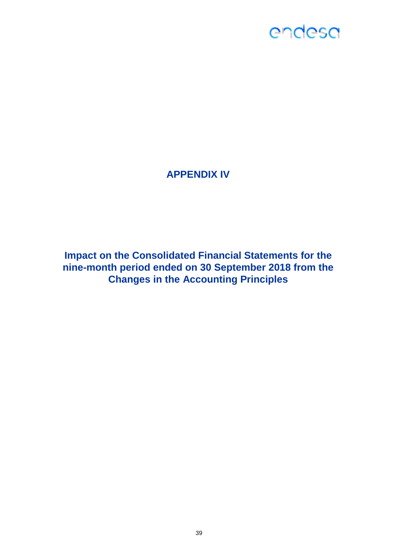### **APPENDIX IV**

**Impact on the Consolidated Financial Statements for the nine-month period ended on 30 September 2018 from the Changes in the Accounting Principles**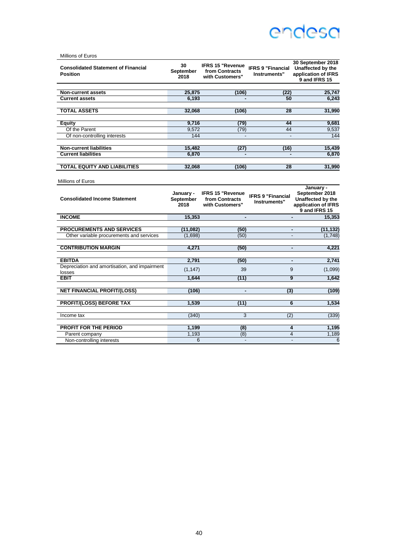| Millions of Euros                                             |                         |                                                              |                                          |                                                                                |
|---------------------------------------------------------------|-------------------------|--------------------------------------------------------------|------------------------------------------|--------------------------------------------------------------------------------|
| <b>Consolidated Statement of Financial</b><br><b>Position</b> | 30<br>September<br>2018 | <b>IFRS 15 "Revenue</b><br>from Contracts<br>with Customers" | <b>IFRS 9 "Financial</b><br>Instruments" | 30 September 2018<br>Unaffected by the<br>application of IFRS<br>9 and IFRS 15 |
| <b>Non-current assets</b>                                     | 25,875                  | (106)                                                        | (22)                                     | 25,747                                                                         |
| <b>Current assets</b>                                         | 6.193                   |                                                              | 50                                       | 6.243                                                                          |
| <b>TOTAL ASSETS</b>                                           | 32,068                  | (106)                                                        | 28                                       | 31,990                                                                         |
| Equity                                                        | 9,716                   | (79)                                                         | 44                                       | 9,681                                                                          |
| Of the Parent                                                 | 9,572                   | (79)                                                         | 44                                       | 9,537                                                                          |
| Of non-controlling interests                                  | 144                     | $\blacksquare$                                               | $\overline{a}$                           | 144                                                                            |
| <b>Non-current liabilities</b>                                | 15,482                  | (27)                                                         | (16)                                     | 15,439                                                                         |
| <b>Current liabilities</b>                                    | 6.870                   |                                                              |                                          | 6,870                                                                          |
| TOTAL EQUITY AND LIABILITIES                                  | 32,068                  | (106)                                                        | 28                                       | 31,990                                                                         |
| Millions of Euros<br><b>Consolidated Income Statement</b>     | January -<br>September  | <b>IFRS 15 "Revenue</b><br>from Contracts                    | <b>IFRS 9 "Financial</b>                 | January -<br>September 2018                                                    |
|                                                               |                         |                                                              |                                          |                                                                                |
|                                                               | 2018                    | with Customers"                                              | Instruments"                             | Unaffected by the<br>application of IFRS<br>9 and IFRS 15                      |
| <b>INCOME</b>                                                 | 15,353                  | $\blacksquare$                                               |                                          | 15.353                                                                         |
| <b>PROCUREMENTS AND SERVICES</b>                              | (11,082)                | (50)                                                         |                                          | (11, 132)                                                                      |
| Other variable procurements and services                      | (1,698)                 | (50)                                                         |                                          | (1,748)                                                                        |
| <b>CONTRIBUTION MARGIN</b>                                    | 4.271                   | (50)                                                         | $\blacksquare$                           | 4.221                                                                          |
| <b>EBITDA</b>                                                 | 2,791                   | (50)                                                         | $\blacksquare$                           | 2.741                                                                          |
| Depreciation and amortisation, and impairment                 | (1, 147)                | 39                                                           | 9                                        | (1,099)                                                                        |
| losses<br><b>EBIT</b>                                         | 1.644                   | (11)                                                         | 9                                        | 1.642                                                                          |
|                                                               |                         |                                                              |                                          |                                                                                |
| <b>NET FINANCIAL PROFIT/(LOSS)</b>                            | (106)                   | $\blacksquare$                                               | (3)                                      | (109)                                                                          |
| <b>PROFIT/(LOSS) BEFORE TAX</b>                               | 1.539                   | (11)                                                         | 6                                        | 1,534                                                                          |
| Income tax                                                    | (340)                   | 3                                                            | (2)                                      | (339)                                                                          |
| <b>PROFIT FOR THE PERIOD</b>                                  | 1,199                   | (8)                                                          | 4                                        | 1,195                                                                          |
| Parent company<br>Non-controlling interests                   | 1,193<br>6              | (8)                                                          | $\overline{4}$<br>$\blacksquare$         | 1,189<br>6                                                                     |